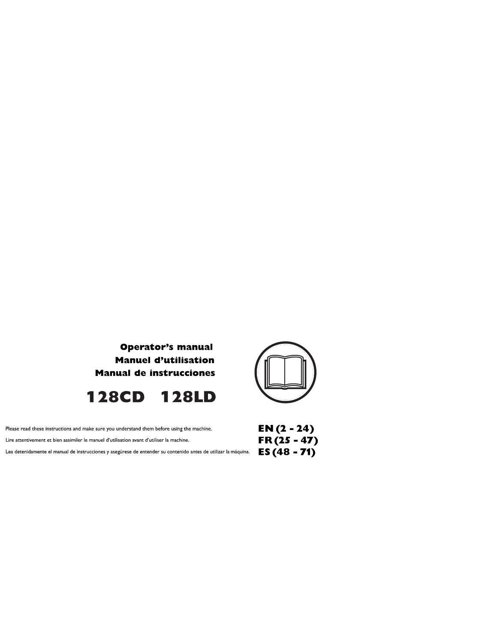





| Please read these instructions and make sure you understand them before using the machine.                           | EN ( |
|----------------------------------------------------------------------------------------------------------------------|------|
| Lire attentivement et bien assimiler le manuel d'utilisation avant d'utiliser la machine.                            | FR ( |
| Lea detenidamente el manual de instrucciones y asegúrese de entender su contenido antes de utilizar la máquina. $ES$ |      |

 $EN(2 - 24)$  $(25 - 47)$ <br>(48 - 71)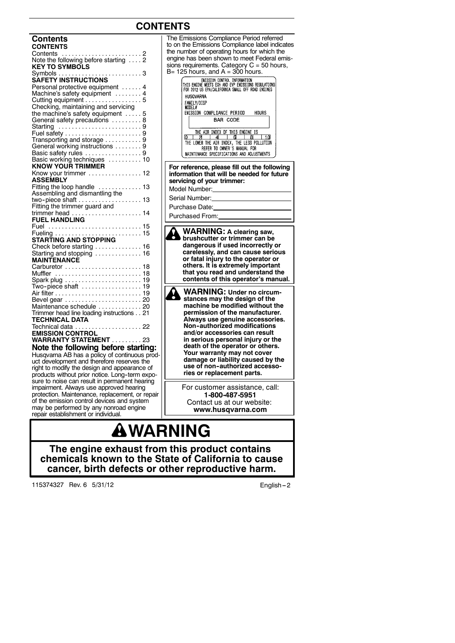# **CONTENTS**

| <b>Contents</b>                                     |    |
|-----------------------------------------------------|----|
| <b>CONTENTS</b>                                     |    |
| Contents                                            |    |
| Outlierits<br>Note the following before starting  2 |    |
| <b>KEY TO SYMBOLS</b>                               |    |
|                                                     |    |
|                                                     |    |
| Personal protective equipment  4                    |    |
| Machine's safety equipment  4                       |    |
|                                                     |    |
| Checking, maintaining and servicing                 |    |
| the machine's safety equipment  5                   |    |
|                                                     |    |
| General safety precautions 8                        |    |
| Starting 9                                          |    |
|                                                     |    |
| Transporting and storage 9                          |    |
| General working instructions  9                     |    |
| Basic safety rules 9<br>Basic working techniques 10 |    |
|                                                     |    |
| <b>KNOW YOUR TRIMMER</b>                            |    |
| Know your trimmer  12                               |    |
| <b>ASSEMBLY</b>                                     |    |
| Fitting the loop handle  13                         |    |
| Assembling and dismantling the                      |    |
| two-piece shaft  13                                 |    |
| Fitting the trimmer guard and                       |    |
|                                                     |    |
| <b>FUEL HANDLING</b>                                |    |
|                                                     |    |
| Fuel  15                                            |    |
|                                                     |    |
| <b>STARTING AND STOPPING</b>                        |    |
| Check before starting  16                           |    |
| Starting and stopping  16                           |    |
| <b>MAINTENANCE</b>                                  |    |
| Carburetor  18                                      |    |
| Muffler                                             | 18 |
|                                                     |    |
|                                                     |    |
|                                                     |    |
|                                                     |    |
| Maintenance schedule  20                            |    |
| Trimmer head line loading instructions 21           |    |
| <b>TECHNICAL DATA</b>                               |    |
|                                                     |    |
| <b>EMISSION CONTROL</b>                             |    |
| WARRANTY STATEMENT 23                               |    |
|                                                     |    |
| Note the following before starting:                 |    |
| Husqvarna AB has a policy of continuous prod-       |    |
| uct development and therefore reserves the          |    |
| right to modify the design and appearance of        |    |
| products without prior notice I and term expo       |    |

products without prior notice. Long-term expo-<br>sure to noise can result in permanent hearing impairment. Always use approved hearing protection. Maintenance, replacement, or repair of the emission control devices and system may be performed by any nonroad engine repair establishment or individual.

#### **BAR CODE** THE AIR INDEX OF THIS ENGINE IS The LOWER THE AIR THE LOWER THE LOWER THE LOWER THE AIR INDEX, THE LESS POLLUTION<br>THE LOWER THE AIR INDEX, THE LESS POLLUTION<br>NEER TO CWINER'S MANUAL FOR MAINTENANCE SPECIFICATIONS AND ADJUSTMENTS **For reference, please fill out the following information that will be needed for future servicing of your trimmer:** Model Number: Serial Number: Purchase Date: Purchased From: **WARNING: A clearing saw, brushcutter or trimmer can be dangerous if used incorrectly or carelessly, and can cause serious or fatal injury to the operator or others. It is extremely important that you read and understand the contents of this operator's manual. WARNING: Under no circum-stances may the design of the machine be modified without the permission of the manufacturer. Always use genuine accessories. Non--authorized modifications and/or accessories can result in serious personal injury or the death of the operator or others. Your warranty may not cover damage or liability caused by the** use of non-authorized accesso**ries or replacement parts.** For customer assistance, call: **1-800-487-5951**

The Emissions Compliance Period referred to on the Emissions Compliance label indicates the number of operating hours for which the engine has been shown to meet Federal emissions requirements. Category  $C = 50$  hours,

 $B= 125$  hours, and  $A = 300$  hours.<br>This engine weens can ano enformation<br>This engine ween schi and ever entssidns regulations<br>for 2012 us epa/california small off road engines

ENISSION COMPLIANCE PERIOD

HOURS

**HUSOVARNA** FAMILY/DISP<br>MODEL#

Contact us at our website: **www.husqvarna.com**

# **WARNING**

**The engine exhaust from this product contains chemicals known to the State of California to cause cancer, birth defects or other reproductive harm.**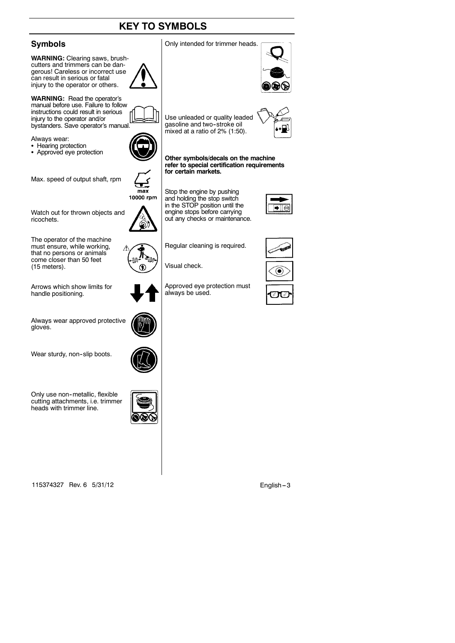# **KEY TO SYMBOLS**

### **Symbols**

**WARNING:** Clearing saws, brushcutters and trimmers can be dangerous! Careless or incorrect use can result in serious or fatal injury to the operator or others.

**WARNING:** Read the operator's manual before use. Failure to follow instructions could result in serious injury to the operator and/or bystanders. Save operator's manual.

Always wear:

- Hearing protection
- Approved eye protection

Max. speed of output shaft, rpm

10000 rpm

Watch out for thrown objects and ricochets.

The operator of the machine must ensure, while working, that no persons or animals come closer than 50 feet (15 meters).

Arrows which show limits for handle positioning.

Always wear approved protective gloves.

Wear sturdy, non-slip boots.



 $max$ 

◉

Only use non-metallic, flexible cutting attachments, i.e. trimmer heads with trimmer line.



115374327 Rev. 6 5/31/12 English -- 3



Use unleaded or quality leaded gasoline and two-stroke oil mixed at a ratio of 2% (1:50).

Only intended for trimmer heads.

**Other symbols/decals on the machine refer to special certification requirements for certain markets.**

Stop the engine by pushing and holding the stop switch in the STOP position until the engine stops before carrying out any checks or maintenance.

Regular cleaning is required.

Approved eye protection must

Visual check.

always be used.









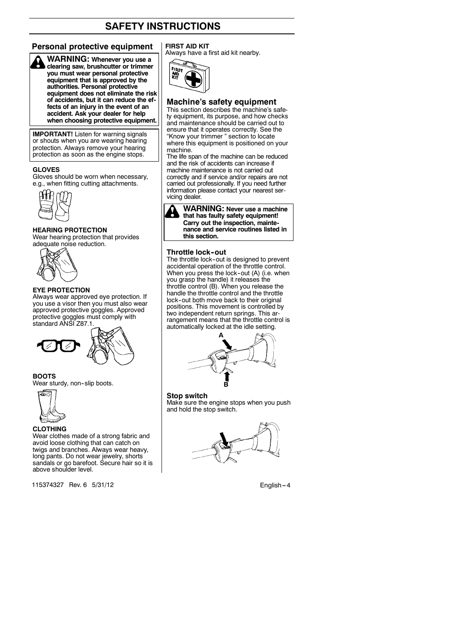#### **Personal protective equipment FIRST AID KIT**



**WARNING: Whenever you use a clearing saw, brushcutter or trimmer you must wear personal protective equipment that is approved by the authorities. Personal protective equipment does not eliminate the risk of accidents, but it can reduce the effects of an injury in the event of an accident. Ask your dealer for help when choosing protective equipment.**

**IMPORTANT!** Listen for warning signals or shouts when you are wearing hearing protection. Always remove your hearing protection as soon as the engine stops.

#### **GLOVES**

Gloves should be worn when necessary, e.g., when fitting cutting attachments.



#### **HEARING PROTECTION**

Wear hearing protection that provides adequate noise reduction.



#### **EYE PROTECTION**

Always wear approved eye protection. If you use a visor then you must also wear approved protective goggles. Approved protective goggles must comply with standard ANSI Z87.1.



#### **BOOTS**

Wear sturdy, non-slip boots.



**CLOTHING**

Wear clothes made of a strong fabric and avoid loose clothing that can catch on twigs and branches. Always wear heavy, long pants. Do not wear jewelry, shorts sandals or go barefoot. Secure hair so it is above shoulder level.

115374327 Rev. 6 5/31/12 English -- 4

Always have a first aid kit nearby.



#### **Machine's safety equipment**

This section describes the machine's safety equipment, its purpose, and how checks and maintenance should be carried out to ensure that it operates correctly. See the "Know your trimmer " section to locate where this equipment is positioned on your machine.

The life span of the machine can be reduced and the risk of accidents can increase if machine maintenance is not carried out correctly and if service and/or repairs are not carried out professionally. If you need further information please contact your nearest servicing dealer.



#### **Throttle lock--out**

The throttle lock-out is designed to prevent accidental operation of the throttle control. When you press the lock-out (A) (i.e. when you grasp the handle) it releases the throttle control (B). When you release the handle the throttle control and the throttle lock--out both move back to their original positions. This movement is controlled by two independent return springs. This arrangement means that the throttle control is automatically locked at the idle setting.



**Stop switch** Make sure the engine stops when you push and hold the stop switch.

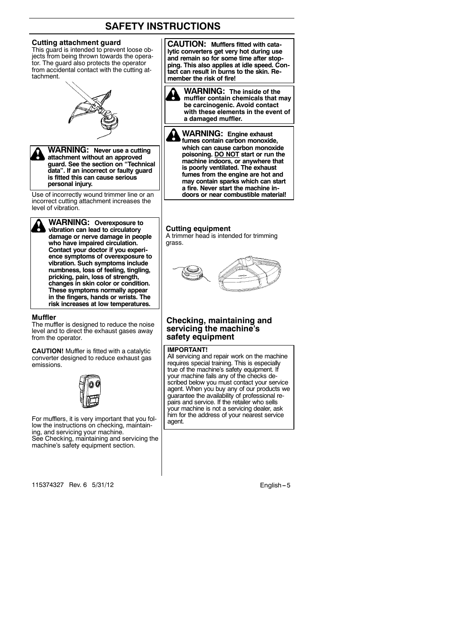#### **Cutting attachment guard**

This guard is intended to prevent loose objects from being thrown towards the operator. The guard also protects the operator from accidental contact with the cutting attachment.





**WARNING: Never use a cutting attachment without an approved guard. See the section on "Technical data". If an incorrect or faulty guard is fitted this can cause serious personal injury.**

Use of incorrectly wound trimmer line or an incorrect cutting attachment increases the level of vibration.

**WARNING: Overexposure to vibration can lead to circulatory damage or nerve damage in people who have impaired circulation. Contact your doctor if you experience symptoms of overexposure to vibration. Such symptoms include numbness, loss of feeling, tingling, pricking, pain, loss of strength, changes in skin color or condition. These symptoms normally appear in the fingers, hands or wrists. The risk increases at low temperatures.**

#### **Muffler**

The muffler is designed to reduce the noise level and to direct the exhaust gases away from the operator.

**CAUTION!** Muffler is fitted with a catalytic converter designed to reduce exhaust gas emissions.



For mufflers, it is very important that you follow the instructions on checking, maintaining, and servicing your machine. See Checking, maintaining and servicing the machine's safety equipment section.

115374327 Rev. 6 5/31/12 English -- 5

**CAUTION: Mufflers fitted with catalytic converters get very hot during use and remain so for some time after stopping. This also applies at idle speed. Contact can result in burns to the skin. Remember the risk of fire!**



**WARNING: Engine exhaust fumes contain carbon monoxide, which can cause carbon monoxide poisoning. DO NOT start or run the machine indoors, or anywhere that is poorly ventilated. The exhaust fumes from the engine are hot and may contain sparks which can start a fire. Never start the machine indoors or near combustible material!**

**Cutting equipment**

A trimmer head is intended for trimming grass.



#### **Checking, maintaining and servicing the machine's safety equipment**

#### **IMPORTANT!**

All servicing and repair work on the machine requires special training. This is especially true of the machine's safety equipment. If your machine fails any of the checks described below you must contact your service agent. When you buy any of our products we guarantee the availability of professional re-pairs and service. If the retailer who sells your machine is not a servicing dealer, ask him for the address of your nearest service agent.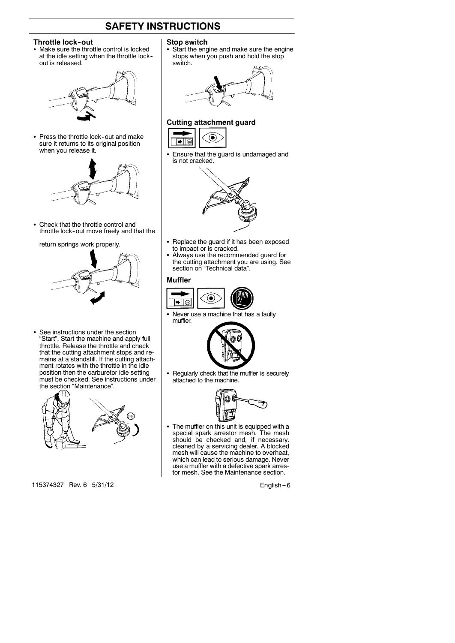#### **Throttle lock-out**

• Make sure the throttle control is locked at the idle setting when the throttle lock- out is released.



• Press the throttle lock-out and make sure it returns to its original position when you release it.



• Check that the throttle control and throttle lock--out move freely and that the

#### return springs work properly.



• See instructions under the section "Start". Start the machine and apply full throttle. Release the throttle and check that the cutting attachment stops and remains at a standstill. If the cutting attachment rotates with the throttle in the idle position then the carburetor idle setting must be checked. See instructions under the section "Maintenance".



115374327 Rev. 6 5/31/12 English -- 6

#### **Stop switch**

• Start the engine and make sure the engine stops when you push and hold the stop switch.

#### **Cutting attachment guard**



• Ensure that the guard is undamaged and is not cracked.



- Replace the guard if it has been exposed to impact or is cracked.
- Always use the recommended quard for the cutting attachment you are using. See section on "Technical data".

#### **Muffler**



• Never use a machine that has a faulty muffler.



• Regularly check that the muffler is securely attached to the machine.



The muffler on this unit is equipped with a special spark arrestor mesh. The mesh should be checked and, if necessary. cleaned by a servicing dealer. A blocked mesh will cause the machine to overheat, which can lead to serious damage. Never use a muffler with a defective spark arrestor mesh. See the Maintenance section.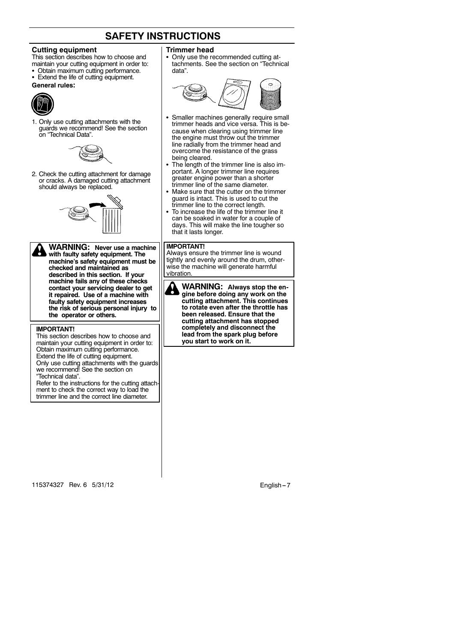#### **Cutting equipment**

- This section describes how to choose and maintain your cutting equipment in order to:
- Obtain maximum cutting performance.
- Extend the life of cutting equipment.
- **General rules:**



1. Only use cutting attachments with the guards we recommend! See the section on "Technical Data".



2. Check the cutting attachment for damage or cracks. A damaged cutting attachment should always be replaced.



**WARNING: Never use a machine with faulty safety equipment. The machine's safety equipment must be checked and maintained as described in this section. If your machine fails any of these checks contact your servicing dealer to get it repaired. Use of a machine with faulty safety equipment increases the risk of serious personal injury to the operator or others.**

#### **IMPORTANT!**

This section describes how to choose and maintain your cutting equipment in order to: Obtain maximum cutting performance. Extend the life of cutting equipment. Only use cutting attachments with the guards we recommend! See the section on "Technical data".

Refer to the instructions for the cutting attach ment to check the correct way to load the trimmer line and the correct line diameter.

#### **Trimmer head**

Only use the recommended cutting attachments. See the section on "Technical data".



- Smaller machines generally require small trimmer heads and vice versa. This is because when clearing using trimmer line the engine must throw out the trimmer line radially from the trimmer head and overcome the resistance of the grass being cleared.
- The length of the trimmer line is also important. A longer trimmer line requires greater engine power than a shorter trimmer line of the same diameter.
- Make sure that the cutter on the trimmer guard is intact. This is used to cut the trimmer line to the correct length.
- To increase the life of the trimmer line it can be soaked in water for a couple of days. This will make the line tougher so that it lasts longer.

#### **IMPORTANT!**

Always ensure the trimmer line is wound tightly and evenly around the drum, otherwise the machine will generate harmful vibration

**WARNING: Always stop the engine before doing any work on the cutting attachment. This continues to rotate even after the throttle has been released. Ensure that the cutting attachment has stopped completely and disconnect the lead from the spark plug before you start to work on it.**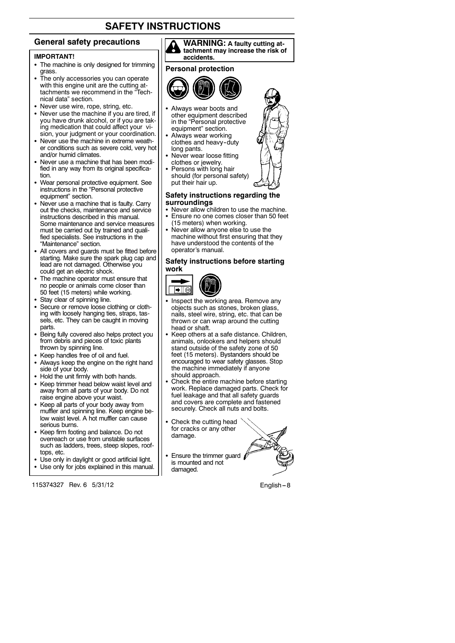#### **General safety precautions**

#### **IMPORTANT!**

- The machine is only designed for trimming grass.
- The only accessories you can operate with this engine unit are the cutting attachments we recommend in the "Technical data" section.
- Never use wire, rope, string, etc.
- Never use the machine if you are tired, if you have drunk alcohol, or if you are taking medication that could affect your vision, your judgment or your coordination.
- Never use the machine in extreme weather conditions such as severe cold, very hot and/or humid climates.
- Never use a machine that has been modified in any way from its original specification.
- Wear personal protective equipment. See instructions in the "Personal protective equipment" section.
- Never use a machine that is faulty. Carry out the checks, maintenance and service instructions described in this manual. Some maintenance and service measures must be carried out by trained and qualified specialists. See instructions in the "Maintenance" section.
- All covers and guards must be fitted before starting. Make sure the spark plug cap and lead are not damaged. Otherwise you could get an electric shock.
- The machine operator must ensure that no people or animals come closer than 50 feet (15 meters) while working.
- Stay clear of spinning line.
- Secure or remove loose clothing or clothing with loosely hanging ties, straps, tassels, etc. They can be caught in moving parts.
- Being fully covered also helps protect you from debris and pieces of toxic plants thrown by spinning line.
- Keep handles free of oil and fuel.
- Always keep the engine on the right hand side of your body.
- Hold the unit firmly with both hands.
- Keep trimmer head below waist level and away from all parts of your body. Do not raise engine above your waist.
- Keep all parts of your body away from muffler and spinning line. Keep engine below waist level. A hot muffler can cause serious burns.
- Keep firm footing and balance. Do not overreach or use from unstable surfaces such as ladders, trees, steep slopes, rooftops, etc.
- Use only in daylight or good artificial light.
- Use only for jobs explained in this manual.

115374327 Rev. 6 5/31/12 English -- 8



#### **Personal protection**



- Always wear boots and other equipment described in the "Personal protective equipment" section.
- Always wear working clothes and heavy-duty long pants.
- Never wear loose fitting clothes or jewelry.
- Persons with long hair should (for personal safety) put their hair up.

#### **Safety instructions regarding the surroundings**

- Never allow children to use the machine. • Ensure no one comes closer than 50 feet (15 meters) when working.
- Never allow anyone else to use the machine without first ensuring that they have understood the contents of the operator's manual.

# **Safety instructions before starting**



- Inspect the working area. Remove any objects such as stones, broken glass, nails, steel wire, string, etc. that can be thrown or can wrap around the cutting head or shaft.
- Keep others at a safe distance. Children, animals, onlookers and helpers should stand outside of the safety zone of 50 feet (15 meters). Bystanders should be encouraged to wear safety glasses. Stop the machine immediately if anyone should approach.
- Check the entire machine before starting work. Replace damaged parts. Check for fuel leakage and that all safety guards and covers are complete and fastened securely. Check all nuts and bolts.
- Check the cutting head for cracks or any other damage.
- $\cdot$  Ensure the trimmer guard  $\beta$ is mounted and not damaged.



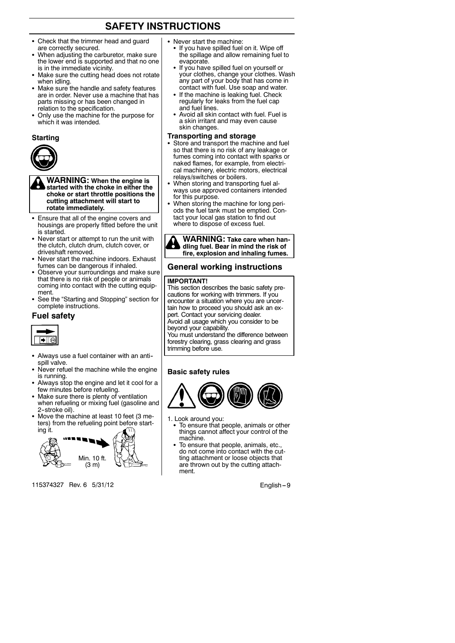- Check that the trimmer head and guard are correctly secured.
- When adjusting the carburetor, make sure the lower end is supported and that no one is in the immediate vicinity.
- Make sure the cutting head does not rotate when idling.
- Make sure the handle and safety features are in order. Never use a machine that has parts missing or has been changed in relation to the specification.
- Only use the machine for the purpose for which it was intended.

#### **Starting**



**WARNING: When the engine is started with the choke in either the choke or start throttle positions the cutting attachment will start to rotate immediately.**

- Ensure that all of the engine covers and housings are properly fitted before the unit is started.
- Never start or attempt to run the unit with the clutch, clutch drum, clutch cover, or driveshaft removed.
- Never start the machine indoors. Exhaust fumes can be dangerous if inhaled.
- Observe your surroundings and make sure that there is no risk of people or animals coming into contact with the cutting equipment.
- See the "Starting and Stopping" section for complete instructions.

#### **Fuel safety**



- Always use a fuel container with an antispill valve.
- Never refuel the machine while the engine is running.
- Always stop the engine and let it cool for a few minutes before refueling.
- Make sure there is plenty of ventilation when refueling or mixing fuel (gasoline and 2-stroke oil).
- Move the machine at least 10 feet (3 meters) from the refueling point before starting it.



115374327 Rev. 6 5/31/12 English -9

- Never start the machine:
- If you have spilled fuel on it. Wipe off the spillage and allow remaining fuel to evaporate.
- If you have spilled fuel on yourself or your clothes, change your clothes. Wash any part of your body that has come in contact with fuel. Use soap and water.
- If the machine is leaking fuel. Check regularly for leaks from the fuel cap and fuel lines.
- Avoid all skin contact with fuel. Fuel is a skin irritant and may even cause skin changes.

#### **Transporting and storage**

- Store and transport the machine and fuel so that there is no risk of any leakage or fumes coming into contact with sparks or naked flames, for example, from electrical machinery, electric motors, electrical relays/switches or boilers.
- When storing and transporting fuel always use approved containers intended for this purpose.
- When storing the machine for long periods the fuel tank must be emptied. Contact your local gas station to find out where to dispose of excess fuel.



#### **General working instructions**

#### **IMPORTANT!**

This section describes the basic safety precautions for working with trimmers. If you encounter a situation where you are uncertain how to proceed you should ask an expert. Contact your servicing dealer. Avoid all usage which you consider to be beyond your capability.

You must understand the difference between forestry clearing, grass clearing and grass trimming before use.

#### **Basic safety rules**



- 1. Look around you:
- To ensure that people, animals or other things cannot affect your control of the machine.
- To ensure that people, animals, etc. do not come into contact with the cutting attachment or loose objects that are thrown out by the cutting attachment.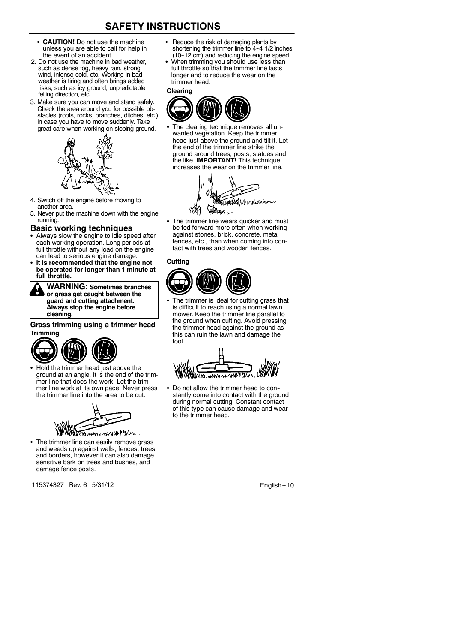- CAUTION! Do not use the machine unless you are able to call for help in the event of an accident.
- 2. Do not use the machine in bad weather, such as dense fog, heavy rain, strong wind, intense cold, etc. Working in bad weather is tiring and often brings added risks, such as icy ground, unpredictable felling direction, etc.
- 3. Make sure you can move and stand safely. Check the area around you for possible obstacles (roots, rocks, branches, ditches, etc.) in case you have to move suddenly. Take great care when working on sloping ground.



- 4. Switch off the engine before moving to another area.
- 5. Never put the machine down with the engine running.

#### **Basic working techniques**

- Always slow the engine to idle speed after each working operation. Long periods at full throttle without any load on the engine can lead to serious engine damage.
- **It is recommended that the engine not be operated for longer than 1 minute at full throttle.**

**WARNING: Sometimes branches or grass get caught between the guard and cutting attachment. Always stop the engine before cleaning.**

#### **Grass trimming using a trimmer head Trimming**



Hold the trimmer head just above the ground at an angle. It is the end of the trimmer line that does the work. Let the trimmer line work at its own pace. Never press the trimmer line into the area to be cut.



• The trimmer line can easily remove grass and weeds up against walls, fences, trees and borders, however it can also damage sensitive bark on trees and bushes, and damage fence posts.

115374327 Rev. 6 5/31/12 **English -- 10** 

- Reduce the risk of damaging plants by shortening the trimmer line to 4-4 1/2 inches (10--12 cm) and reducing the engine speed.
- When trimming you should use less than full throttle so that the trimmer line lasts longer and to reduce the wear on the trimmer head.

#### **Clearing**



The clearing technique removes all unwanted vegetation. Keep the trimmer head just above the ground and tilt it. Let the end of the trimmer line strike the ground around trees, posts, statues and the like. **IMPORTANT!** This technique increases the wear on the trimmer line.



The trimmer line wears quicker and must be fed forward more often when working against stones, brick, concrete, metal fences, etc., than when coming into contact with trees and wooden fences.

#### **Cutting**



The trimmer is ideal for cutting grass that is difficult to reach using a normal lawn mower. Keep the trimmer line parallel to the ground when cutting. Avoid pressing the trimmer head against the ground as this can ruin the lawn and damage the tool.



Do not allow the trimmer head to constantly come into contact with the ground during normal cutting. Constant contact of this type can cause damage and wear to the trimmer head.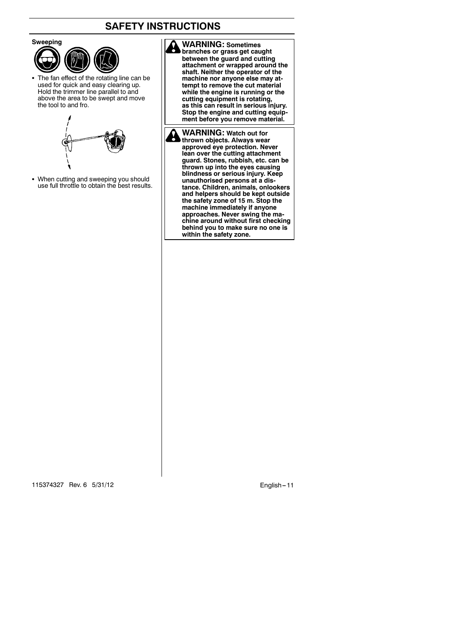

• The fan effect of the rotating line can be used for quick and easy clearing up. Hold the trimmer line parallel to and above the area to be swept and move the tool to and fro.



• When cutting and sweeping you should use full throttle to obtain the best results. **WARNING: Sometimes branches or grass get caught between the guard and cutting attachment or wrapped around the shaft. Neither the operator of the machine nor anyone else may attempt to remove the cut material while the engine is running or the cutting equipment is rotating, as this can result in serious injury. Stop the engine and cutting equip-ment before you remove material.**

**WARNING: Watch out for thrown objects. Always wear approved eye protection. Never lean over the cutting attachment guard. Stones, rubbish, etc. can be thrown up into the eyes causing blindness or serious injury. Keep unauthorised persons at a distance. Children, animals, onlookers and helpers should be kept outside the safety zone of 15 m. Stop the machine immediately if anyone approaches. Never swing the machine around without first checking behind you to make sure no one is within the safety zone.**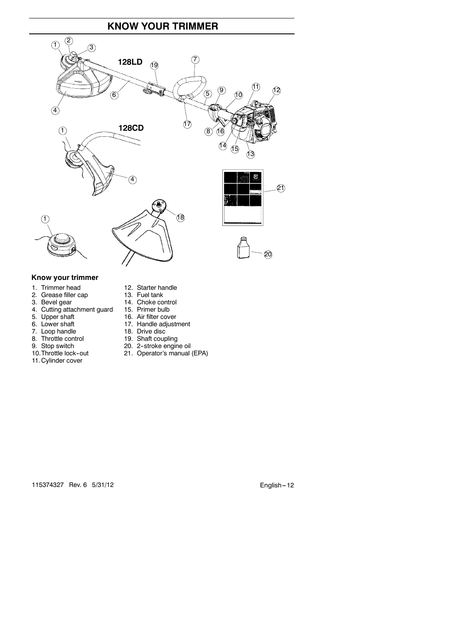# **KNOW YOUR TRIMMER**



#### **Know your trimmer**

- 
- 2. Grease filler cap<br>3. Bevel gear
- 
- 4. Cutting attachment guard<br>5. Upper shaft
- 
- 
- 7. Loop handle
- 8. Throttle control<br>9. Stop switch
- 
- 
- 11. Cylinder cover
- 1. Trimmer head 12. Starter handle<br>2. Grease filler cap 13. Fuel tank
	-
	- 14. Choke control<br>15. Primer bulb
	-
- 5. Upper shaft 16. Air filter cover<br>6. Lower shaft 17. Handle adjust
	- 17. Handle adjustment<br>18. Drive disc
	-
	-
- 8. Throttle control 19. Shaft coupling<br>
9. Stop switch 20. 2-stroke engine oil<br>
10. Throttle lock-out 21. Operator's manual 21. Operator's manual (EPA)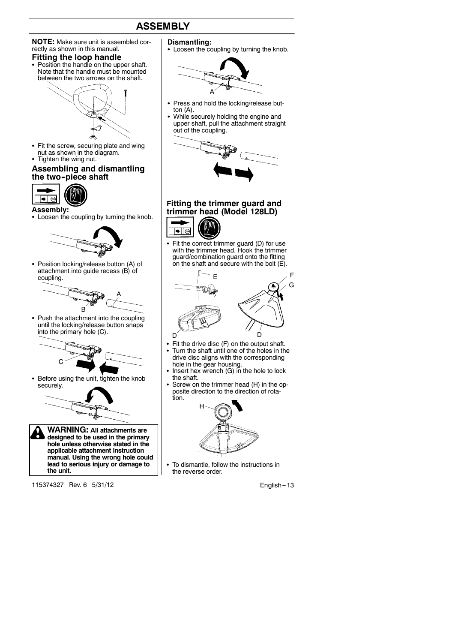# **ASSEMBLY**

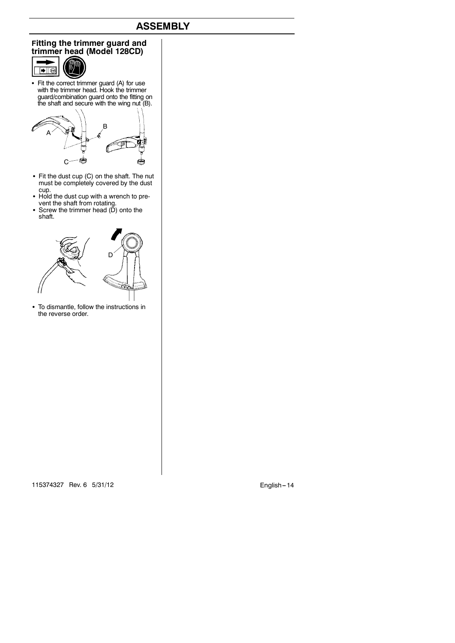# **ASSEMBLY**

#### **Fitting the trimmer guard and trimmer head (Model 128CD)**



S Fit the correct trimmer guard (A) for use with the trimmer head. Hook the trimmer guard/combination guard onto the fitting on the shaft and secure with the wing nut (B).



- S Fit the dust cup (C) on the shaft. The nut must be completely covered by the dust cup.
- Hold the dust cup with a wrench to prevent the shaft from rotating.<br>Screw the trimmer head (D) onto the
- shaft.



• To dismantle, follow the instructions in the reverse order.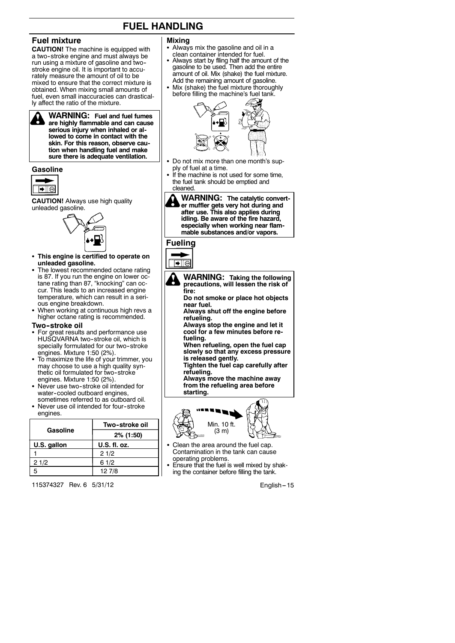# **FUEL HANDLING**

## **Fuel mixture**

**CAUTION!** The machine is equipped with a two-stroke engine and must always be run using a mixture of gasoline and two- stroke engine oil. It is important to accurately measure the amount of oil to be mixed to ensure that the correct mixture is obtained. When mixing small amounts of fuel, even small inaccuracies can drastically affect the ratio of the mixture.

**WARNING: Fuel and fuel fumes are highly flammable and can cause serious injury when inhaled or allowed to come in contact with the skin. For this reason, observe caution when handling fuel and make sure there is adequate ventilation.**

#### **Gasoline**



**CAUTION!** Always use high quality unleaded gasoline.



- **This engine is certified to operate on unleaded gasoline.**
- The lowest recommended octane rating is 87. If you run the engine on lower oc-tane rating than 87, "knocking" can oc-cur. This leads to an increased engine temperature, which can result in a serious engine breakdown.
- When working at continuous high revs a higher octane rating is recommended.

#### **Two--stroke oil**

- For great results and performance use HUSQVARNA two-stroke oil, which is specially formulated for our two-stroke engines. Mixture 1:50 (2%).
- To maximize the life of your trimmer, you may choose to use a high quality synthetic oil formulated for two-stroke engines. Mixture 1:50 (2%).
- Never use two-stroke oil intended for water-cooled outboard engines, sometimes referred to as outboard oil.
- Never use oil intended for four-stroke engines.

|             | Two-stroke oil |  |
|-------------|----------------|--|
| Gasoline    | 2% (1:50)      |  |
| U.S. gallon | U.S. fl. oz.   |  |
|             | 21/2           |  |
| 21/2        | 61/2           |  |
| 5           | 12 7/8         |  |

115374327 Rev. 6 5/31/12 **English --- 15** 

#### **Mixing**

- Always mix the gasoline and oil in a clean container intended for fuel.
- Always start by flling half the amount of the gasoline to be used. Then add the entire amount of oil. Mix (shake) the fuel mixture. Add the remaining amount of gasoline.
- Mix (shake) the fuel mixture thoroughly before filling the machine's fuel tank.



- Do not mix more than one month's supply of fuel at a time.
- If the machine is not used for some time, the fuel tank should be emptied and cleaned.



# **Fueling**





- **Do not smoke or place hot objects near fuel. Always shut off the engine before**
- **refueling. Always stop the engine and let it**
- **cool for a few minutes before refueling. When refueling, open the fuel cap**
- **slowly so that any excess pressure is released gently. Tighten the fuel cap carefully after**
- **refueling. Always move the machine away**

**from the refueling area before starting.**



- Clean the area around the fuel cap. Contamination in the tank can cause operating problems.
- Ensure that the fuel is well mixed by shaking the container before filling the tank.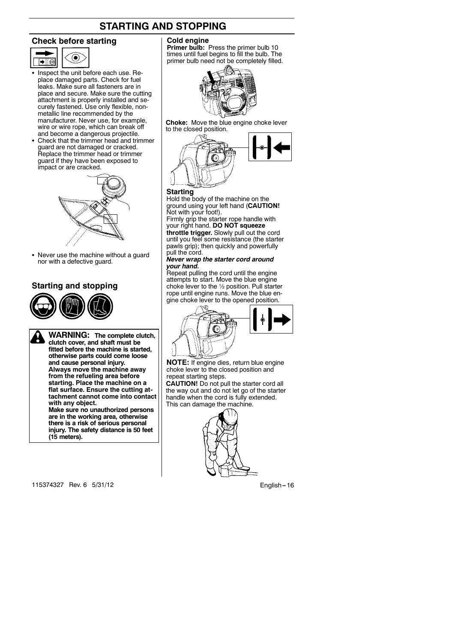# **STARTING AND STOPPING**

#### **Check before starting**



- Inspect the unit before each use. Replace damaged parts. Check for fuel leaks. Make sure all fasteners are in place and secure. Make sure the cutting attachment is properly installed and securely fastened. Use only flexible, nonmetallic line recommended by the manufacturer. Never use, for example, wire or wire rope, which can break off and become a dangerous projectile.
- Check that the trimmer head and trimmer guard are not damaged or cracked. Replace the trimmer head or trimmer guard if they have been exposed to impact or are cracked.



• Never use the machine without a guard nor with a defective guard.

### **Starting and stopping**



**WARNING: The complete clutch, clutch cover, and shaft must be fitted before the machine is started, otherwise parts could come loose and cause personal injury. Always move the machine away from the refueling area before starting. Place the machine on a flat surface. Ensure the cutting attachment cannot come into contact with any object. Make sure no unauthorized persons are in the working area, otherwise**

**there is a risk of serious personal injury. The safety distance is 50 feet (15 meters).**

**Cold engine**

**Primer bulb:** Press the primer bulb 10 times until fuel begins to fill the bulb. The primer bulb need not be completely filled.



**Choke:** Move the blue engine choke lever to the closed position.



#### **Starting**

Hold the body of the machine on the ground using your left hand (**CAUTION!** Not with your foot!).

Firmly grip the starter rope handle with your right hand. **DO NOT squeeze throttle trigger.** Slowly pull out the cord until you feel some resistance (the starter pawls grip); then quickly and powerfully pull the cord.

#### *Never wrap the starter cord around your hand.*

Repeat pulling the cord until the engine attempts to start. Move the blue engine choke lever to the ½ position. Pull starter rope until engine runs. Move the blue engine choke lever to the opened position.



**NOTE:** If engine dies, return blue engine choke lever to the closed position and repeat starting steps.

**CAUTION!** Do not pull the starter cord all the way out and do not let go of the starter handle when the cord is fully extended. This can damage the machine.

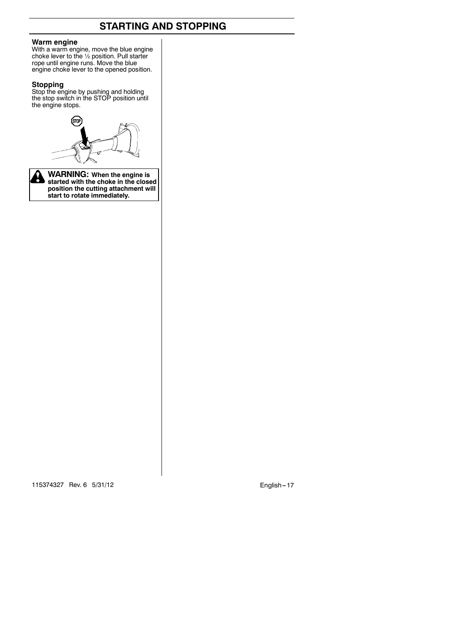# **STARTING AND STOPPING**

#### **Warm engine**

With a warm engine, move the blue engine choke lever to the ½ position. Pull starter rope until engine runs. Move the blue engine choke lever to the opened position.

**Stopping** Stop the engine by pushing and holding the stop switch in the STOP position until the engine stops.





**WARNING: When the engine is started with the choke in the closed position the cutting attachment will start to rotate immediately.**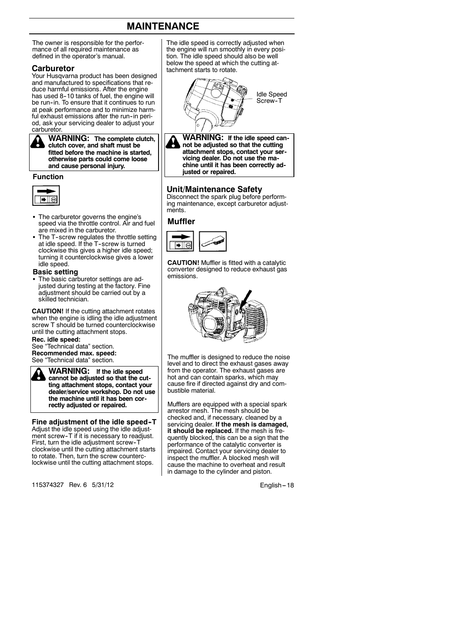# **MAINTENANCE**

The owner is responsible for the performance of all required maintenance as defined in the operator's manual.

Your Husqvarna product has been designed and manufactured to specifications that reduce harmful emissions. After the engine has used 8-10 tanks of fuel, the engine will be run-in. To ensure that it continues to run at peak performance and to minimize harmful exhaust emissions after the run-in period, ask your servicing dealer to adjust your carburetor.

**WARNING: The complete clutch, clutch cover, and shaft must be fitted before the machine is started, otherwise parts could come loose and cause personal injury.**

#### **Function**



- The carburetor governs the engine's speed via the throttle control. Air and fuel are mixed in the carburetor.
- The T-screw regulates the throttle setting at idle speed. If the T-screw is turned clockwise this gives a higher idle speed; turning it counterclockwise gives a lower idle speed.

#### **Basic setting**

• The basic carburetor settings are adjusted during testing at the factory. Fine adjustment should be carried out by a skilled technician.

**CAUTION!** If the cutting attachment rotates when the engine is idling the idle adjustment screw T should be turned counterclockwise until the cutting attachment stops.

**Rec. idle speed:** See "Technical data" section. **Recommended max. speed:** See "Technical data" section.

**WARNING: If the idle speed cannot be adjusted so that the cutting attachment stops, contact your dealer/service workshop. Do not use the machine until it has been correctly adjusted or repaired.**

#### **Fine adjustment of the idle speed--T**

Adjust the idle speed using the idle adjustment screw-T if it is necessary to readjust. First, turn the idle adjustment screw-T clockwise until the cutting attachment starts to rotate. Then, turn the screw counterclockwise until the cutting attachment stops.

115374327 Rev. 6 5/31/12 **English -18** 

The idle speed is correctly adjusted when the engine will run smoothly in every position. The idle speed should also be well **Carburetor Carburetor** the speed at which the cutting at-





#### **Unit/Maintenance Safety**

Disconnect the spark plug before performing maintenance, except carburetor adjustments.

#### **Muffler**



**CAUTION!** Muffler is fitted with a catalytic converter designed to reduce exhaust gas emissions.



The muffler is designed to reduce the noise level and to direct the exhaust gases away from the operator. The exhaust gases are hot and can contain sparks, which may cause fire if directed against dry and combustible material.

Mufflers are equipped with a special spark arrestor mesh. The mesh should be checked and, if necessary. cleaned by a servicing dealer. **If the mesh is damaged, it should be replaced.** If the mesh is frequently blocked, this can be a sign that the performance of the catalytic converter is impaired. Contact your servicing dealer to inspect the muffler. A blocked mesh will cause the machine to overheat and result in damage to the cylinder and piston.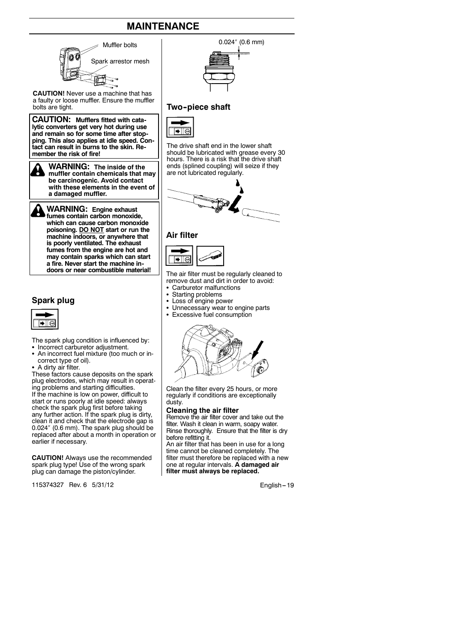# **MAINTENANCE**



**machine indoors, or anywhere that is poorly ventilated. The exhaust fumes from the engine are hot and may contain sparks which can start a fire. Never start the machine indoors or near combustible material!**

#### **Spark plug**



The spark plug condition is influenced by: • Incorrect carburetor adjustment.

- An incorrect fuel mixture (too much or incorrect type of oil).
- A dirty air filter.

These factors cause deposits on the spark plug electrodes, which may result in operating problems and starting difficulties. If the machine is low on power, difficult to start or runs poorly at idle speed: always check the spark plug first before taking any further action. If the spark plug is dirty, clean it and check that the electrode gap is 0.024″ (0.6 mm). The spark plug should be replaced after about a month in operation or earlier if necessary.

**CAUTION!** Always use the recommended spark plug type! Use of the wrong spark plug can damage the piston/cylinder.

115374327 Rev. 6 5/31/12 **English --- 19** English --- 19 English -- 19

#### **Two--piece shaft**

The drive shaft end in the lower shaft should be lubricated with grease every 30 hours. There is a risk that the drive shaft ends (splined coupling) will seize if they are not lubricated regularly.





The air filter must be regularly cleaned to remove dust and dirt in order to avoid:

- Carburetor malfunctions
- Starting problems<br>• Loss of engine now
- $\cdot$  Loss of engine power<br> $\cdot$  Unnecessary wear to
- Unnecessary wear to engine parts
- Excessive fuel consumption



Clean the filter every 25 hours, or more regularly if conditions are exceptionally dusty.

#### **Cleaning the air filter**

Remove the air filter cover and take out the filter. Wash it clean in warm, soapy water. Rinse thoroughly. Ensure that the filter is dry before refitting it.

An air filter that has been in use for a long time cannot be cleaned completely. The filter must therefore be replaced with a new one at regular intervals. **A damaged air filter must always be replaced.**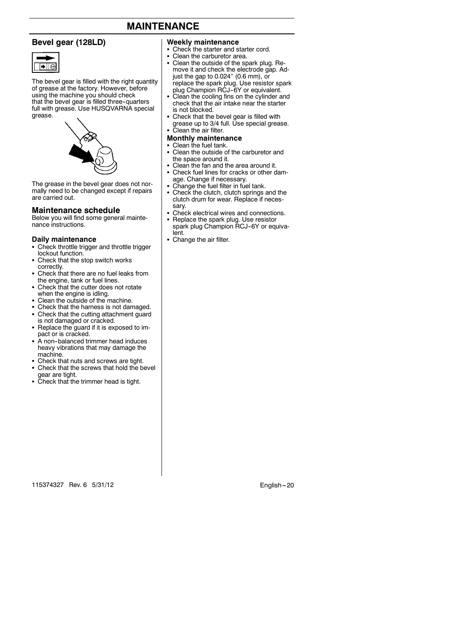# **MAINTENANCE**

#### **Bevel gear (128LD)**



The bevel gear is filled with the right quantity of grease at the factory. However, before using the machine you should check that the bevel gear is filled three-quarters full with grease. Use HUSQVARNA special grease.



The grease in the bevel gear does not normally need to be changed except if repairs are carried out.

#### **Maintenance schedule**

Below you will find some general maintenance instructions.

#### **Daily maintenance**

- Check throttle trigger and throttle trigger lockout function.
- Check that the stop switch works correctly.
- Check that there are no fuel leaks from the engine, tank or fuel lines.
- Check that the cutter does not rotate when the engine is idling.
- Clean the outside of the machine.
- Check that the harness is not damaged. • Check that the cutting attachment guard
- is not damaged or cracked. • Replace the guard if it is exposed to impact or is cracked.
- A non-balanced trimmer head induces heavy vibrations that may damage the machine.
- Check that nuts and screws are tight.
- Check that the screws that hold the bevel
- gear are tight. S Check that the trimmer head is tight.

#### **Weekly maintenance**

- Check the starter and starter cord.
- Clean the carburetor area.
- Clean the outside of the spark plug. Remove it and check the electrode gap. Ad-just the gap to 0.024″ (0.6 mm), or replace the spark plug. Use resistor spark<br>plug Champion RCJ-6Y or equivalent.<br>• Clean the cooling fins on the cylinder and
- check that the air intake near the starter is not blocked.
- 
- S Check that the bevel gear is filled with grease up to 3/4 full. Use special grease. S Clean the air filter.

#### **Monthly maintenance**

- Clean the fuel tank.
- Clean the outside of the carburetor and the space around it.
- Clean the fan and the area around it.<br>• Check fuel lines for cracks or other d
- Check fuel lines for cracks or other damage. Change if necessary.
- Change the fuel filter in fuel tank.
- Check the clutch, clutch springs and the clutch drum for wear. Replace if neces-
- sary. S Check electrical wires and connections.
- Replace the spark plug. Use resistor spark plug Champion RCJ-6Y or equivalent.
- Change the air filter.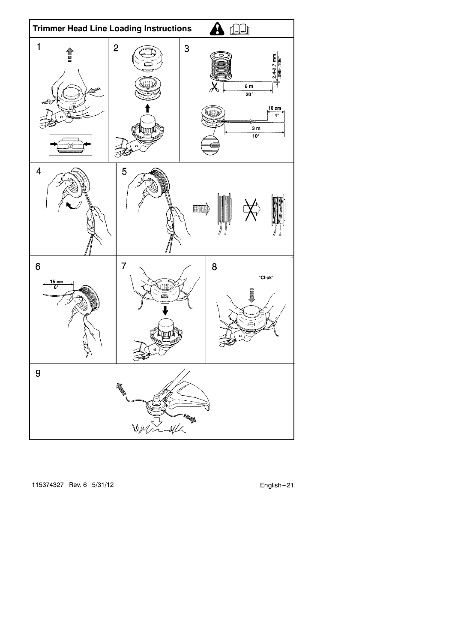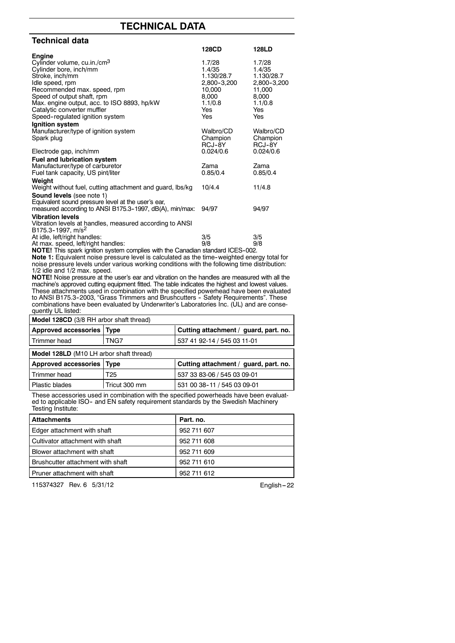# **TECHNICAL DATA**

| Technical data                                                                                                |                       |                       |
|---------------------------------------------------------------------------------------------------------------|-----------------------|-----------------------|
|                                                                                                               | 128CD                 | <b>128LD</b>          |
| <b>Engine</b>                                                                                                 |                       |                       |
| Cylinder volume, cu.in./cm <sup>3</sup>                                                                       | 1.7/28                | 1.7/28                |
| Cylinder bore, inch/mm                                                                                        | 1.4/35                | 1.4/35                |
| Stroke, inch/mm                                                                                               | 1.130/28.7            | 1.130/28.7            |
| Idle speed, rpm<br>Recommended max. speed, rpm                                                                | 2,800-3,200<br>10,000 | 2,800-3,200<br>11,000 |
| Speed of output shaft, rpm                                                                                    | 8,000                 | 8,000                 |
| Max. engine output, acc. to ISO 8893, hp/kW                                                                   | 1.1/0.8               | 1.1/0.8               |
| Catalytic converter muffler                                                                                   | Yes                   | Yes                   |
| Speed-regulated ignition system                                                                               | Yes                   | Yes                   |
| Ignition system                                                                                               |                       |                       |
| Manufacturer/type of ignition system                                                                          | Walbro/CD             | Walbro/CD             |
| Spark plug                                                                                                    | Champion              | Champion              |
|                                                                                                               | RCJ-8Y                | RCJ-8Y                |
| Electrode gap, inch/mm                                                                                        | 0.024/0.6             | 0.024/0.6             |
| Fuel and lubrication system                                                                                   |                       |                       |
| Manufacturer/type of carburetor                                                                               | Zama                  | Zama                  |
| Fuel tank capacity, US pint/liter                                                                             | 0.85/0.4              | 0.85/0.4              |
| Weight                                                                                                        |                       |                       |
| Weight without fuel, cutting attachment and guard, lbs/kg                                                     | 10/4.4                | 11/4.8                |
| Sound levels (see note 1)                                                                                     |                       |                       |
| Equivalent sound pressure level at the user's ear,<br>measured according to ANSI B175.3-1997, dB(A), min/max: | 94/97                 | 94/97                 |
| <b>Vibration levels</b>                                                                                       |                       |                       |
| Vibration levels at handles, measured according to ANSI                                                       |                       |                       |
| B175.3-1997, m/s <sup>2</sup>                                                                                 |                       |                       |
| At idle, left/right handles:                                                                                  | 3/5                   | 3/5                   |
| At max. speed, left/right handles:                                                                            | 9/8                   | 9/8                   |
| <b>NOTE!</b> This spark ignition system complies with the Canadian standard ICES 002                          |                       |                       |

**NOTE!** This spark ignition system complies with the Canadian standard ICES-002.<br>**Note 1:** Equivalent noise pressure level is calculated as the time-weighted energy total for<br>noise pressure levels under various working con 1/2 idle and 1/2 max. speed.

**NOTE!** Noise pressure at the user's ear and vibration on the handles are measured with all the machine's approved cutting equipment fitted. The table indicates the highest and lowest values. These attachments used in combination with the specified powerhead have been evaluated to ANSI B175.3-2003, "Grass Trimmers and Brushcutters - Safety Requirements". These combinations have been evaluated by Underwriter's Laboratories Inc. (UL) and are consequently UL listed:

| <b>Model 128CD</b> (3/8 RH arbor shaft thread) |                                       |  |  |
|------------------------------------------------|---------------------------------------|--|--|
| Approved accessories   Type                    | Cutting attachment / guard, part. no. |  |  |
| TNG7                                           | 537 41 92-14 / 545 03 11-01           |  |  |
| Model 128LD (M10 LH arbor shaft thread)        |                                       |  |  |
| Approved accessories   Type                    | Cutting attachment / guard, part. no. |  |  |
| T25                                            | 537 33 83-06 / 545 03 09-01           |  |  |
| Tricut 300 mm                                  | 531 00 38-11 / 545 03 09-01           |  |  |
|                                                |                                       |  |  |

These accessories used in combination with the specified powerheads have been evaluat-ed to applicable ISO-- and EN safety requirement standards by the Swedish Machinery Testing Institute:

| <b>Attachments</b>                | Part. no.   |
|-----------------------------------|-------------|
| Edger attachment with shaft       | 952 711 607 |
| Cultivator attachment with shaft  | 952 711 608 |
| Blower attachment with shaft      | 952 711 609 |
| Brushcutter attachment with shaft | 952 711 610 |
| Pruner attachment with shaft      | 952 711 612 |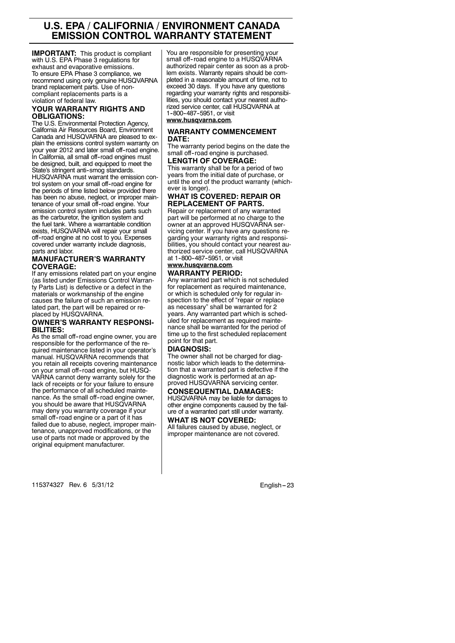# **U.S. EPA / CALIFORNIA / ENVIRONMENT CANADA EMISSION CONTROL WARRANTY STATEMENT**

**IMPORTANT:** This product is compliant with U.S. EPA Phase 3 regulations for exhaust and evaporative emissions. To ensure EPA Phase 3 compliance, we recommend using only genuine HUSQVARNA brand replacement parts. Use of noncompliant replacements parts is a violation of federal law.

#### **YOUR WARRANTY RIGHTS AND OBLIGATIONS:**

The U.S. Environmental Protection Agency, California Air Resources Board, Environment Canada and HUSQVARNA are pleased to explain the emissions control system warranty on your year 2012 and later small off--road engine. In California, all small off-road engines must be designed, built, and equipped to meet the State's stringent anti-smog standards. HUSQVARNA must warrant the emission control system on your small off--road engine for the periods of time listed below provided there has been no abuse, neglect, or improper main-tenance of your small off--road engine. Your emission control system includes parts such as the carburetor, the ignition system and the fuel tank. Where a warrantable condition exists, HUSQVARNA will repair your small off--road engine at no cost to you. Expenses covered under warranty include diagnosis, parts and labor.

#### **MANUFACTURER'S WARRANTY COVERAGE:**

If any emissions related part on your engine (as listed under Emissions Control Warranty Parts List) is defective or a defect in the materials or workmanship of the engine causes the failure of such an emission related part, the part will be repaired or replaced by HUSQVARNA.

#### **OWNER'S WARRANTY RESPONSI-BILITIES:**

As the small off--road engine owner, you are responsible for the performance of the required maintenance listed in your operator's manual. HUSQVARNA recommends that you retain all receipts covering maintenance on your small off--road engine, but HUSQ-VARNA cannot deny warranty solely for the lack of receipts or for your failure to ensure the performance of all scheduled maintenance. As the small off--road engine owner, you should be aware that HUSQVARNA may deny you warranty coverage if your small off--road engine or a part of it has failed due to abuse, neglect, improper maintenance, unapproved modifications, or the use of parts not made or approved by the original equipment manufacturer.

You are responsible for presenting your small off-road engine to a HUSQVARNA authorized repair center as soon as a problem exists. Warranty repairs should be completed in a reasonable amount of time, not to exceed 30 days. If you have any questions regarding your warranty rights and responsibilities, you should contact your nearest autho-rized service center, call HUSQVARNA at 1--800--487--5951, or visit

## **www.husqvarna.com**.

#### **WARRANTY COMMENCEMENT DATE:**

The warranty period begins on the date the small off--road engine is purchased.

#### **LENGTH OF COVERAGE:** This warranty shall be for a period of two

years from the initial date of purchase, or until the end of the product warranty (whichever is longer).

#### **WHAT IS COVERED: REPAIR OR REPLACEMENT OF PARTS.**

Repair or replacement of any warranted part will be performed at no charge to the owner at an approved HUSQVARNA servicing center. If you have any questions regarding your warranty rights and responsibilities, you should contact your nearest au-thorized service center, call HUSQVARNA at 1-800-487-5951, or visit

# **www.husqvarna.com**.

# **WARRANTY PERIOD:**

Any warranted part which is not scheduled for replacement as required maintenance, or which is scheduled only for regular inspection to the effect of "repair or replace as necessary" shall be warranted for 2 years. Any warranted part which is scheduled for replacement as required maintenance shall be warranted for the period of time up to the first scheduled replacement point for that part.

#### **DIAGNOSIS:**

The owner shall not be charged for diagnostic labor which leads to the determination that a warranted part is defective if the diagnostic work is performed at an approved HUSQVARNA servicing center.

#### **CONSEQUENTIAL DAMAGES:**

HUSQVARNA may be liable for damages to other engine components caused by the failure of a warranted part still under warranty. **WHAT IS NOT COVERED:**

All failures caused by abuse, neglect, or improper maintenance are not covered.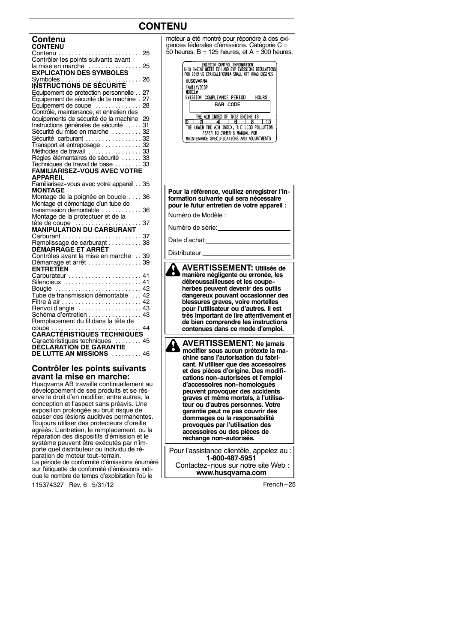# **CONTENU**

| Contenu                                                  |  |
|----------------------------------------------------------|--|
| <b>CONTENU</b>                                           |  |
|                                                          |  |
| Contrôler les points suivants avant                      |  |
| la mise en marche<br>25                                  |  |
| <b>EXPLICATION DES SYMBOLES</b>                          |  |
| 26                                                       |  |
|                                                          |  |
| Equipement de protection personnelle<br>27               |  |
| Equipement de sécurité de la machine . 27                |  |
| Equipement de coupe<br>28                                |  |
| Contrôle, maintenance, et entretien des                  |  |
| équipements de sécurité de la machine<br>29              |  |
| Instructions générales de sécurité  31                   |  |
| Sécurité du mise en marche  32                           |  |
| Sécurité carburant 32                                    |  |
| Transport et entreposage 32                              |  |
| Méthodes de travail  33                                  |  |
| Règles élémentaires de sécurité  33                      |  |
| Techniques de travail de base  33                        |  |
| <b>FAMILIARISEZ-VOUS AVEC VOTRE</b>                      |  |
| <b>APPAREIL</b>                                          |  |
| Familiarisez-vous avec votre appareil 35                 |  |
| <b>MONTAGE</b>                                           |  |
| Montage de la poignée en boucle  36                      |  |
| Montage et démontage d'un tube de                        |  |
| transmission démontable<br>36                            |  |
| Montage de la protectuer et de la                        |  |
| tête de coupe $\ldots \ldots \ldots \ldots \ldots$<br>37 |  |
| <b>MANIPULATION DU CARBURANT</b>                         |  |
|                                                          |  |
| Remplissage de carburant  38<br>DÉMARRAGE ET ARRÊT       |  |
| Contrôles avant la mise en marche  39                    |  |
|                                                          |  |
| Démarrage et arrêt 39<br>ENTRETĪEN                       |  |
| Carburateur  41                                          |  |
| Silencieux  41                                           |  |
| Bougie  42                                               |  |
| Tube de transmission démontable  42                      |  |
|                                                          |  |
| Renvoi d'angle  43                                       |  |
| Schéma d'entretien  43                                   |  |
| Remplacement du fil dans la tête de                      |  |
|                                                          |  |
|                                                          |  |
| Caractéristiques techniques<br>. 45                      |  |
| <b>DÉCLARATION DE GARANTIE</b>                           |  |
| DE LUTTE AN MISSIONS  46                                 |  |
|                                                          |  |

#### **Contrôler les points suivants avant la mise en marche:**

Husqvarna AB travaille continuellement au développement de ses produits et se rés-<br>erve le droit d'en modifier, entre autres, la<br>conception et l'aspect sans préavis. Une<br>exposition prolongée au bruit risque de<br>causer des lésions auditives permanentes.<br>Toujours uti réparation des dispositifs d'émission et le système peuvent être exécutés par n'importe quel distributeur ou individu de réparation de moteur tout-terrain.<br>La période de conformité d'émissions énuméré sur l'étiquette de conformité d'émissions indique le nombre de temps d'exploitation l'où le

115374327 Rev. 6 5/31/12 French -- 25

|   | moteur a été montré pour répondre à des exi-<br>gences fédérales d'émissions. Catégorie C =<br>50 heures, $B = 125$ heures, et $A = 300$ heures.                                                                                                                                                                                                                                          |
|---|-------------------------------------------------------------------------------------------------------------------------------------------------------------------------------------------------------------------------------------------------------------------------------------------------------------------------------------------------------------------------------------------|
|   | <b>ENTSSTON CONTROL INFORMATION<br/>THIS ENGINE MEETS EXH AND EVP ENISSIONS REGULATIONS</b><br>FOR 2012 US EPA/CALIFORNIA SMALL OFF ROAD ENGINES<br>HUSQVARNA<br>FAMILY/DISP<br>MODEL#                                                                                                                                                                                                    |
|   | EMISSION COMPLIANCE PERIOD<br>HOURS<br><b>BAR CODE</b><br>THE AIR INDEX OF THIS ENGINE IS                                                                                                                                                                                                                                                                                                 |
|   | $\overline{10}$<br>10<br>THE LOWER THE AIR INDEX, THE LESS POLLUTION<br>REFER TO OWNER'S MANUAL FOR<br>MAINTENANCE SPECIFICATIONS AND ADJUSTMENTS                                                                                                                                                                                                                                         |
|   |                                                                                                                                                                                                                                                                                                                                                                                           |
|   |                                                                                                                                                                                                                                                                                                                                                                                           |
|   | Pour la référence, veuillez enregistrer l'in-<br>formation suivante qui sera nécessaire<br>pour le futur entretien de votre appareil :                                                                                                                                                                                                                                                    |
|   | Numéro de Modèle :                                                                                                                                                                                                                                                                                                                                                                        |
|   | Numéro de série:                                                                                                                                                                                                                                                                                                                                                                          |
|   | Date d'achat:                                                                                                                                                                                                                                                                                                                                                                             |
|   | Distributeur:                                                                                                                                                                                                                                                                                                                                                                             |
|   | <b>AVERTISSEMENT: Utilisés de</b><br>manière négligente ou erronée, les<br>débroussailleuses et les coupe-<br>herbes peuvent devenir des outils<br>dangereux pouvant occasionner des<br>blessures graves, voire mortelles<br>pour l'utilisateur ou d'autres. Il est<br>très important de lire attentivement et<br>de bien comprendre les instructions<br>contenues dans ce mode d'emploi. |
|   | <b>AVERTISSEMENT: Ne jamais</b><br>modifier sous aucun prétexte la ma-<br>chine sans l'autorisation du fabri-                                                                                                                                                                                                                                                                             |
|   | cant. N'utiliser que des accessoires<br>et des pièces d'origine. Des modifi-<br>cations non-autorisées et l'emploi                                                                                                                                                                                                                                                                        |
|   | d'accessoires non-homologués<br>peuvent provoquer des accidents                                                                                                                                                                                                                                                                                                                           |
|   | graves et même mortels, à l'utilisa-<br>teur ou d'autres personnes. Votre                                                                                                                                                                                                                                                                                                                 |
|   | garantie peut ne pas couvrir des<br>dommages ou la responsabilité                                                                                                                                                                                                                                                                                                                         |
|   | provoqués par l'utilisation des<br>accessoires ou des pièces de<br>rechange non-autorisés.                                                                                                                                                                                                                                                                                                |
|   | Pour l'assistance clientèle, appelez au :                                                                                                                                                                                                                                                                                                                                                 |
| e | 1-800-487-5951                                                                                                                                                                                                                                                                                                                                                                            |
|   | Contactez-nous sur notre site Web:<br>www.husqvarna.com                                                                                                                                                                                                                                                                                                                                   |
|   |                                                                                                                                                                                                                                                                                                                                                                                           |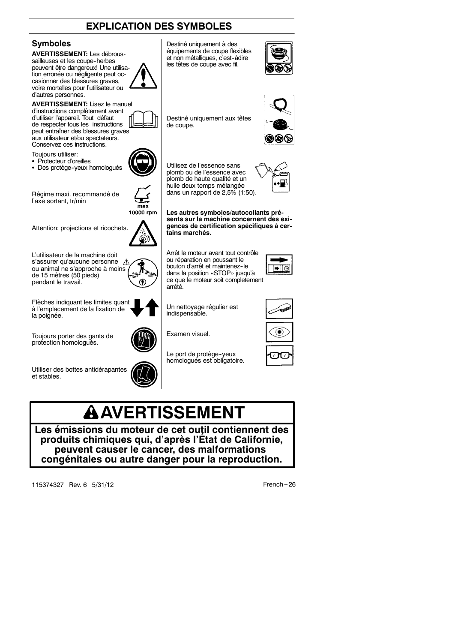

# **A** AVERTISSEMENT

**Les émissions du moteur de cet outil contiennent des produits chimiques qui, d'après l'État de Californie, peuvent causer le cancer, des malformations congénitales ou autre danger pour la reproduction.**

115374327 Rev. 6 5/31/12 **French** --- 26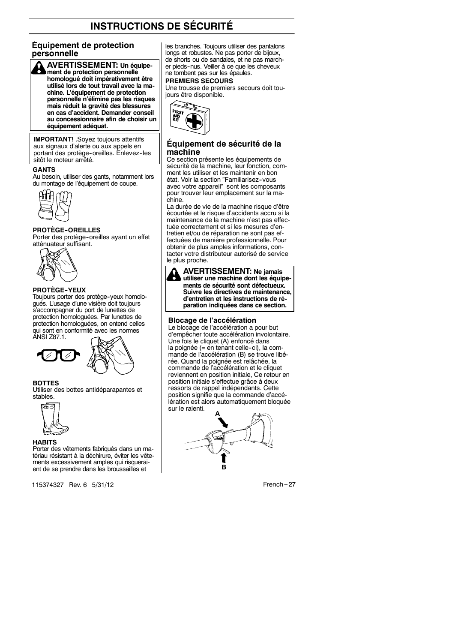#### **Équipement de protection personnelle**



**IMPORTANT!** .Soyez toujours attentifs aux signaux d'alerte ou aux appels en portant des protège-oreilles. Enlevez-les sitôt le moteur arrêté.

#### **GANTS**

Au besoin, utiliser des gants, notamment lors du montage de l'équipement de coupe.



#### **PROTÈGE--OREILLES**

Porter des protège-oreilles ayant un effet atténuateur suffisant.



#### **PROTÈGE--YEUX**

Toujours porter des protège-yeux homologués. L'usage d'une visière doit toujours s'accompagner du port de lunettes de protection homologuées. Par lunettes de protection homologuées, on entend celles qui sont en conformité avec les normes ANSI Z87.1.



#### **BOTTES**

Utiliser des bottes antidéparapantes et stables.



#### **HABITS**

Porter des vêtements fabriqués dans un matériau résistant à la déchirure, éviter les vêtements excessivement amples qui risqueraient de se prendre dans les broussailles et

115374327 Rev. 6 5/31/12 **French** --- 27

les branches. Toujours utiliser des pantalons longs et robustes. Ne pas porter de bijoux, de shorts ou de sandales, et ne pas marcher pieds--nus. Veiller à ce que les cheveux ne tombent pas sur les épaules.

#### **PREMIERS SECOURS**

Une trousse de premiers secours doit toujours être disponible.



#### **Équipement de sécurité de la machine**

Ce section présente les équipements de sécurité de la machine, leur fonction, comment les utiliser et les maintenir en bon état. Voir la section "Familiarisez-vous avec votre appareil" sont les composants pour trouver leur emplacement sur la machine.

La durée de vie de la machine risque d'être écourtée et le risque d'accidents accru si la maintenance de la machine n'est pas effectuée correctement et si les mesures d'entretien et/ou de réparation ne sont pas effectuées de manière professionnelle. Pour obtenir de plus amples informations, contacter votre distributeur autorisé de service le plus proche.



**AVERTISSEMENT: Ne jamais utiliser une machine dont les équipements de sécurité sont défectueux. Suivre les directives de maintenance, d'entretien et les instructions de réparation indiquées dans ce section.**

#### **Blocage de l'accélération**

Le blocage de l'accélération a pour but d'empêcher toute accélération involontaire. Une fois le cliquet (A) enfoncé dans la poignée (= en tenant celle-ci), la commande de l'accélération (B) se trouve libérée. Quand la poignée est relâchée, la commande de l'accélération et le cliquet reviennent en position initiale, Ce retour en position initiale s'effectue grâce à deux ressorts de rappel indépendants. Cette position signifie que la commande d'accélération est alors automatiquement bloquée sur le ralenti.

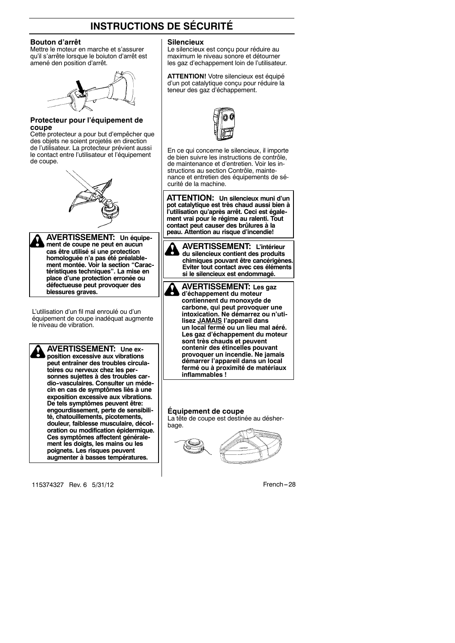#### **Bouton d'arrêt**

Mettre le moteur en marche et s'assurer qu'il s'arrête lorsque le boiuton d'arrêt est amené den position d'arrêt.



#### **Protecteur pour l'équipement de coupe**

Cette protecteur a pour but d'empêcher que des objets ne soient projetés en direction de l'utilisateur. La protecteur prévient aussi le contact entre l'utilisateur et l'équipement de coupe.



**AVERTISSEMENT: Un équipement de coupe ne peut en aucun cas être utilisé si une protection homologuée n'a pas été préalable-ment montée. Voir la section "Caractéristiques techniques". La mise en place d'une protection erronée ou défectueuse peut provoquer des blessures graves.**

L'utilisation d'un fil mal enroulé ou d'un équipement de coupe inadéquat augmente le niveau de vibration.

**AVERTISSEMENT: Une exposition excessive aux vibrations peut entraîner des troubles circulatoires ou nerveux chez les personnes sujettes à des troubles cardio--vasculaires. Consulter un médecin en cas de symptômes liés à une exposition excessive aux vibrations. De tels symptômes peuvent être: engourdissement, perte de sensibilité, chatouillements, picotements, douleur, faiblesse musculaire, décoloration ou modification épidermique. Ces symptômes affectent généralement les doigts, les mains ou les poignets. Les risques peuvent augmenter à basses températures.**

115374327 Rev. 6 5/31/12 **French** --- 28

#### **Silencieux**

Le silencieux est conçu pour réduire au maximum le niveau sonore et détourner les gaz d'echappement loin de l'utilisateur.

**ATTENTION!** Votre silencieux est équipé d'un pot catalytique conçu pour réduire la teneur des gaz d'échappement.

En ce qui concerne le silencieux, il importe de bien suivre les instructions de contrôle, de maintenance et d'entretien. Voir les instructions au section Contrôle, maintenance et entretien des équipements de sécurité de la machine.

**ATTENTION: Un silencieux muni d'un pot catalytique est très chaud aussi bien à l'utilisation qu'après arrêt. Ceci est également vrai pour le régime au ralenti. Tout contact peut causer des brûlures à la peau. Attention au risque d'incendie!**

**AVERTISSEMENT: L'intérieur du silencieux contient des produits chimiques pouvant être cancérigènes. Eviter tout contact avec ces éléments si le silencieux est endommagé.**

**AVERTISSEMENT: Les gaz d'échappement du moteur contiennent du monoxyde de carbone, qui peut provoquer une intoxication. Ne démarrez ou n'utilisez JAMAIS l'appareil dans un local fermé ou un lieu mal aéré. Les gaz d'échappement du moteur sont très chauds et peuvent contenir des étincelles pouvant provoquer un incendie. Ne jamais démarrer l'appareil dans un local fermé ou à proximité de matériaux inflammables !**

**Équipement de coupe** La tête de coupe est destinée au désher-



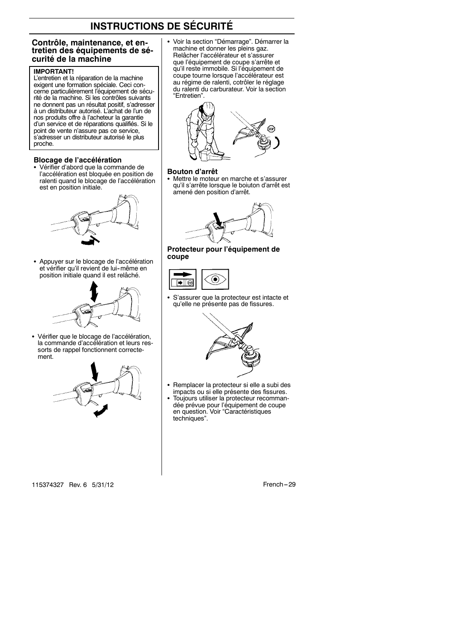#### **Contrôle, maintenance, et entretien des équipements de sécurité de la machine**

#### **IMPORTANT!**

L'entretien et la réparation de la machine exigent une formation spéciale. Ceci concerne particulièrement l'équipement de sécurité de la machine. Si les contrôles suivants ne donnent pas un résultat positif, s'adresser à un distributeur autorisé. L'achat de l'un de nos produits offre à l'acheteur la garantie d'un service et de réparations qualifiés. Si le point de vente n'assure pas ce service, s'adresser un distributeur autorisé le plus proche.

#### **Blocage de l'accélération**

• Vérifier d'abord que la commande de l'accélération est bloquée en position de ralenti quand le blocage de l'accélération est en position initiale.



Appuyer sur le blocage de l'accélération et vérifier qu'il revient de lui--même en position initiale quand il est relâché.



• Vérifier que le blocage de l'accélération, la commande d'accélération et leurs ressorts de rappel fonctionnent correctement.



• Voir la section "Démarrage". Démarrer la machine et donner les pleins gaz. Relâcher l'accélérateur et s'assurer que l'équipement de coupe s'arrête et qu'il reste immobile. Si l'équipement de coupe tourne lorsque l'accélérateur est au régime de ralenti, cotrôler le réglage du ralenti du carburateur. Voir la section "Entretien".



#### **Bouton d'arrêt**

• Mettre le moteur en marche et s'assurer qu'il s'arrête lorsque le boiuton d'arrêt est amené den position d'arrêt.



**Protecteur pour l'équipement de coupe**



• S'assurer que la protecteur est intacte et qu'elle ne présente pas de fissures.



- Remplacer la protecteur si elle a subi des impacts ou si elle présente des fissures.
- S Toujours utiliser la protecteur recomman-dée prévue pour l'équipement de coupe en question. Voir "Caractéristiques techniques".

115374327 Rev. 6 5/31/12 French -- 29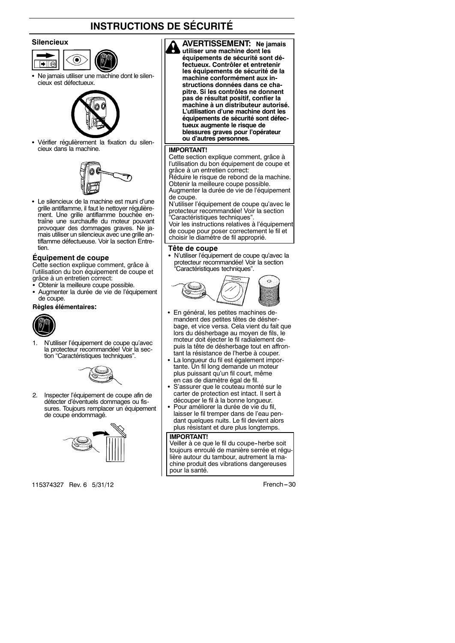#### **Silencieux**

- $||\bullet||$
- Ne jamais utiliser une machine dont le silencieux est défectueux.



• Vérifier régulièrement la fixation du silencieux dans la machine.



• Le silencieux de la machine est muni d'une grille antiflamme, il faut le nettoyer régulièrement. Une grille antiflamme bouchée entraîne une surchauffe du moteur pouvant provoquer des dommages graves. Ne jamais utiliser un silencieux avec une grille antiflamme défectueuse. Voir la section Entretien.

#### **Équipement de coupe**

Cette section explique comment, grâce à l'utilisation du bon équipement de coupe et grâce à un entretien correct:

- Obtenir la meilleure coupe possible.
- Augmenter la durée de vie de l'équipement de coupe.

#### **Règles élémentaires:**



1. N'utiliser l'équipement de coupe qu'avec la protecteur recommandée! Voir la section "Caractéristiques techniques".



2. Inspecter l'équipement de coupe afin de détecter d'éventuels dommages ou fissures. Toujours remplacer un équipement de coupe endommagé.



115374327 Rev. 6 5/31/12 **French** --- 30

**AVERTISSEMENT: Ne jamais utiliser une machine dont les équipements de sécurité sont défectueux. Contrôler et entretenir les équipements de sécurité de la machine conformément aux instructions données dans ce chapitre. Si les contrôles ne donnent pas de résultat positif, confier la machine à un distributeur autorisé. L'utilisation d'une machine dont les équipements de sécurité sont défectueux augmente le risque de blessures graves pour l'opérateur ou d'autres personnes.**

#### **IMPORTANT!**

Cette section explique comment, grâce à l'utilisation du bon équipement de coupe et grâce à un entretien correct:

Réduire le risque de rebond de la machine. Obtenir la meilleure coupe possible. Augmenter la durée de vie de l'équipement

de coupe.

N'utiliser l'équipement de coupe qu'avec le protecteur recommandée! Voir la section "Caractéristiques techniques".

Voir les instructions relatives à l'équipement de coupe pour poser correctement le fil et choisir le diamètre de fil approprié.

#### **Tête de coupe**

• N'utiliser l'équipement de coupe qu'avec la protecteur recommandée! Voir la section "Caractéristiques techniques".



- En général, les petites machines demandent des petites têtes de désherbage, et vice versa. Cela vient du fait que lors du désherbage au moyen de fils, le moteur doit éjecter le fil radialement depuis la tête de désherbage tout en affrontant la résistance de l'herbe à couper.
- La longueur du fil est également importante. Un fil long demande un moteur plus puissant qu'un fil court, même en cas de diamètre égal de fil.
- S'assurer que le couteau monté sur le carter de protection est intact. Il sert à découper le fil à la bonne longueur.
- Pour améliorer la durée de vie du fil, laisser le fil tremper dans de l'eau pendant quelques nuits. Le fil devient alors plus résistant et dure plus longtemps.

#### **IMPORTANT!**

Veiller à ce que le fil du coupe-herbe soit toujours enroulé de manière serrée et régulière autour du tambour, autrement la machine produit des vibrations dangereuses pour la santé.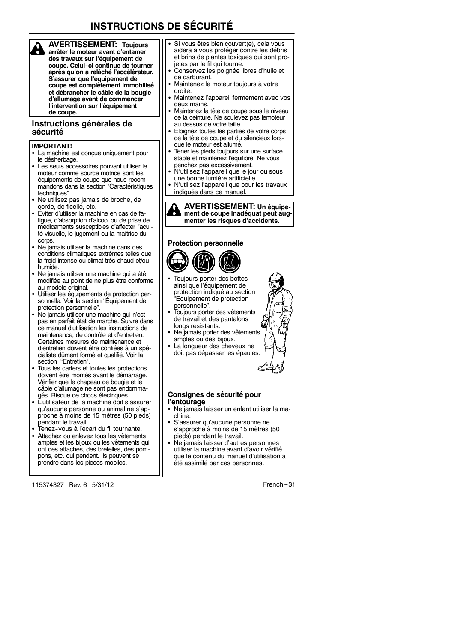**AVERTISSEMENT: Toujours arrêter le moteur avant d'entamer des travaux sur l'équipement de coupe. Celui--ci continue de tourner après qu'on a relâché l'accélérateur. S'assurer que l'équipement de coupe est complètement immobilisé et débrancher le câble de la bougie d'allumage avant de commencer l'intervention sur l'équipement de coupe.**

#### **Instructions générales de sécurité**

#### **IMPORTANT!**

- La machine est conçue uniquement pour le désherbage.
- Les seuls accessoires pouvant utiliser le moteur comme source motrice sont les équipements de coupe que nous recommandons dans la section "Caractéristiques techniques".
- Ne utilisez pas jamais de broche, de corde, de ficelle, etc.
- Éviter d'utiliser la machine en cas de fatigue, d'absorption d'alcool ou de prise de médicaments susceptibles d'affecter l'acuité visuelle, le jugement ou la maîtrise du corps.
- Ne jamais utiliser la machine dans des conditions climatiques extrêmes telles que la froid intense ou climat très chaud et/ou humide.
- Ne jamais utiliser une machine qui a été modifiée au point de ne plus être conforme au modèle original.
- Utiliser les équipements de protection personnelle. Voir la section "Équipement de protection personnelle".
- Ne jamais utiliser une machine qui n'est pas en parfait état de marche. Suivre dans ce manuel d'utilisation les instructions de maintenance, de contrôle et d'entretien. Certaines mesures de maintenance et d'entretien doivent être confiées à un spécialiste dûment formé et qualifié. Voir la section "Entretien".
- Tous les carters et toutes les protections doivent être montés avant le démarrage. Vérifier que le chapeau de bougie et le câble d'allumage ne sont pas endommagés. Risque de chocs électriques.
- L'utilisateur de la machine doit s'assurer qu'aucune personne ou animal ne s'approche à moins de 15 mètres (50 pieds) pendant le travail.
- .<br>Tenez-vous à l'écart du fil tournante.
- S Attachez ou enlevez tous les vêtements amples et les bijoux ou les vêtements qui ont des attaches, des bretelles, des pompons, etc. qui pendent. Ils peuvent se prendre dans les pieces mobiles.

115374327 Rev. 6 5/31/12 French -- 31

- Si vous êtes bien couvert(e), cela vous aidera à vous protéger contre les débris et brins de plantes toxiques qui sont projetés par le fil qui tourne.
- S Conservez les poignée libres d'huile et de carburant.
- Maintenez le moteur toujours à votre droite.
- Maintenez l'appareil fermement avec vos deux mains.
- Maintenez la tête de coupe sous le niveau de la ceinture. Ne soulevez pas lemoteur au dessus de votre taille.
- Eloignez toutes les parties de votre corps de la tête de coupe et du silencieux lorsque le moteur est allumé.
- Tener les pieds toujours sur une surface stable et maintenez l'équilibre. Ne vous penchez pas excessivement.
- N'utilisez l'appareil que le jour ou sous une bonne lumière artificielle.
- N'utilisez l'appareil que pour les travaux indiqués dans ce manuel.



#### **Protection personnelle**



- Toujours porter des bottes ainsi que l'équipement de protection indiqué au section "Equipement de protection personnelle".
- Toujours porter des vêtements de travail et des pantalons longs résistants.
- Ne jamais porter des vêtements amples ou des bijoux.
- La longueur des cheveux ne doit pas dépasser les épaules.

#### **Consignes de sécurité pour l'entourage**

- Ne jamais laisser un enfant utiliser la machine.
- S'assurer qu'aucune personne ne s'approche à moins de 15 mètres (50 pieds) pendant le travail.
- Ne jamais laisser d'autres personnes utiliser la machine avant d'avoir vérifié que le contenu du manuel d'utilisation a été assimilé par ces personnes.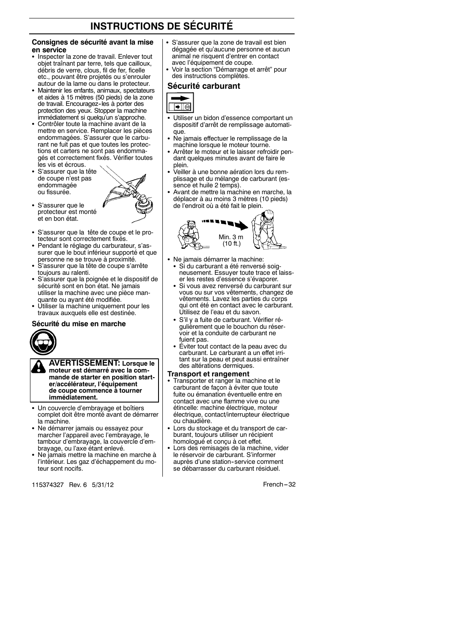#### **Consignes de sécurité avant la mise en service**

- Inspecter la zone de travail. Enlever tout objet traînant par terre, tels que cailloux, débris de verre, clous, fil de fer, ficelle etc., pouvant être projetés ou s'enrouler autour de la lame ou dans le protecteur.
- Maintenir les enfants, animaux, spectateurs et aides à 15 mètres (50 pieds) de la zone de travail. Encouragez-les à porter des protection des yeux. Stopper la machine immédiatement si quelqu'un s'approche.
- · Contrôler toute la machine avant de la mettre en service. Remplacer les pièces endommagées. S'assurer que le carburant ne fuit pas et que toutes les protections et carters ne sont pas endommagés et correctement fixés. Vérifier toutes les vis et écrous.
- S'assurer que la tête de coupe n'est pas endommagée ou fissurée.
- S S'assurer que le protecteur est monté et en bon état.
- S'assurer que la tête de coupe et le protecteur sont correctement fixés.
- Pendant le réglage du carburateur, s'assurer que le bout inférieur supporté et que personne ne se trouve à proximité.
- S S'assurer que la tête de coupe s'arrête toujours au ralenti.
- S S'assurer que la poignée et le dispositif de sécurité sont en bon état. Ne jamais utiliser la machine avec une pièce manquante ou ayant été modifiée.
- Utiliser la machine uniquement pour les travaux auxquels elle est destinée.

#### **Sécurité du mise en marche**



**AVERTISSEMENT: Lorsque le moteur est démarré avec la commande de starter en position starter/accélérateur, l'équipement de coupe commence à tourner immédiatement.**

- S Un couvercle d'embrayage et boîtiers complet doit être monté avant de démarrer la machine.
- Ne démarrer jamais ou essayez pour marcher l'appareil avec l'embrayage, le tambour d'embrayage, la couvercle d'embrayage, ou l'axe étant enlevé.
- Ne jamais mettre la machine en marche à l'intérieur. Les gaz d'échappement du moteur sont nocifs.

115374327 Rev. 6 5/31/12 **French** --- 32

- S'assurer que la zone de travail est bien dégagée et qu'aucune personne et aucun animal ne risquent d'entrer en contact avec l'équipement de coupe.
- S Voir la section "Démarrage et arrêt" pour des instructions complètes.

#### **Sécurité carburant**



- Utiliser un bidon d'essence comportant un dispositif d'arrêt de remplissage automatique.
- Ne jamais effectuer le remplissage de la machine lorsque le moteur tourne.
- Arrêter le moteur et le laisser refroidir pendant quelques minutes avant de faire le
- plein. S Veiller à une bonne aération lors du remplissage et du mélange de carburant (essence et huile 2 temps).
- Avant de mettre la machine en marche, la déplacer à au moins 3 mètres (10 pieds) de l'endroit où a été fait le plein.



- Ne jamais démarrer la machine: Si du carburant a été renversé soigneusement. Essuyer toute trace et laiss
	- er les restes d'essence s'évaporer. S Si vous avez renversé du carburant sur vous ou sur vos vêtements, changez de vêtements. Lavez les parties du corps qui ont été en contact avec le carburant. Utilisez de l'eau et du savon.
	- S S'il y a fuite de carburant. Vérifier régulièrement que le bouchon du réservoir et la conduite de carburant ne fuient pas.
	- Éviter tout contact de la peau avec du carburant. Le carburant a un effet irritant sur la peau et peut aussi entraîner des altérations dermiques.

#### **Transport et rangement**

- Transporter et ranger la machine et le carburant de façon à éviter que toute fuite ou émanation éventuelle entre en contact avec une flamme vive ou une étincelle: machine électrique, moteur électrique, contact/interrupteur électrique ou chaudière.
- Lors du stockage et du transport de carburant, toujours utiliser un récipient homologué et conçu à cet effet.
- Lors des remisages de la machine, vider le réservoir de carburant. S'informer auprès d'une station-service comment se débarrasser du carburant résiduel.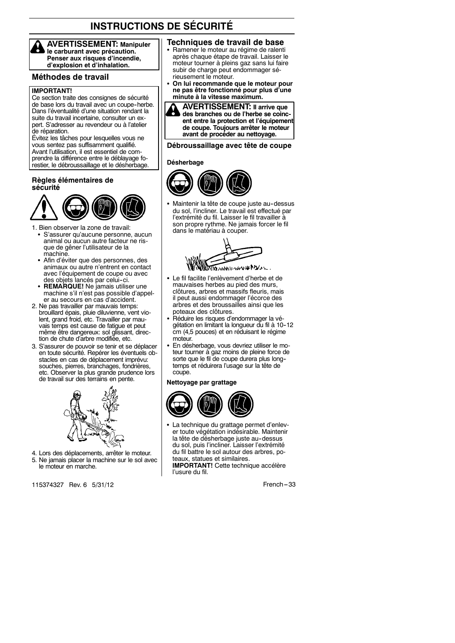**AVERTISSEMENT: Manipuler le carburant avec précaution. Penser aux risques d'incendie, d'explosion et d'inhalation.**

#### **Méthodes de travail**

#### **IMPORTANT!**

Ce section traite des consignes de sécurité de base lors du travail avec un coupe-herbe. Dans l'éventualité d'une situation rendant la suite du travail incertaine, consulter un expert. S'adresser au revendeur ou à l'atelier de réparation.

Évitez les tâches pour lesquelles vous ne vous sentez pas suffisamment qualifié. Avant l'utilisation, il est essentiel de comprendre la différence entre le déblayage forestier, le débroussaillage et le désherbage.

#### **Règles élémentaires de sécurité**



- 1. Bien observer la zone de travail:
	- S'assurer qu'aucune personne, aucun animal ou aucun autre facteur ne risque de gêner l'utilisateur de la machine.
	- Afin d'éviter que des personnes, des animaux ou autre n'entrent en contact avec l'équipement de coupe ou avec des objets lancés par celui-ci.
	- REMARQUE! Ne jamais utiliser une machine s'il n'est pas possible d'appeler au secours en cas d'accident.
- 2. Ne pas travailler par mauvais temps: brouillard épais, pluie diluvienne, vent violent, grand froid, etc. Travailler par mauvais temps est cause de fatigue et peut même être dangereux: sol glissant, direction de chute d'arbre modifiée, etc.
- 3. S'assurer de pouvoir se tenir et se déplacer en toute sécurité. Repérer les éventuels obstacles en cas de déplacement imprévu: souches, pierres, branchages, fondrières, etc. Observer la plus grande prudence lors de travail sur des terrains en pente.



4. Lors des déplacements, arrêter le moteur. 5. Ne jamais placer la machine sur le sol avec le moteur en marche.

115374327 Rev. 6 5/31/12 **French** --- 33

#### **Techniques de travail de base**

- Ramener le moteur au régime de ralenti après chaque étape de travail. Laisser le moteur tourner à pleins gaz sans lui faire subir de charge peut endommager sérieusement le moteur.
- On lui recommande que le moteur pour **ne pas être fonctionné pour plus d'une minute à la vitesse maximum.**



#### **Débroussaillage avec tête de coupe**

#### **Désherbage**



Maintenir la tête de coupe juste au-dessus du sol, l'incliner. Le travail est effectué par l'extrémité du fil. Laisser le fil travailler à son propre rythme. Ne jamais forcer le fil dans le matériau à couper.



- Le fil facilite l'enlèvement d'herbe et de mauvaises herbes au pied des murs, clôtures, arbres et massifs fleuris, mais il peut aussi endommager l'écorce des arbres et des broussailles ainsi que les poteaux des clôtures.
- Réduire les risques d'endommager la végétation en limitant la longueur du fil à 10-12 cm (4,5 pouces) et en réduisant le régime moteur.
- En désherbage, vous devriez utiliser le moteur tourner à gaz moins de pleine force de sorte que le fil de coupe durera plus longtemps et réduirera l'usage sur la tête de coupe.

#### **Nettoyage par grattage**



• La technique du grattage permet d'enlever toute végétation indésirable. Maintenir la tête de désherbage juste au-dessus du sol, puis l'incliner. Laisser l'extrémité du fil battre le sol autour des arbres, poteaux, statues et similaires.

**IMPORTANT!** Cette technique accélère l'usure du fil.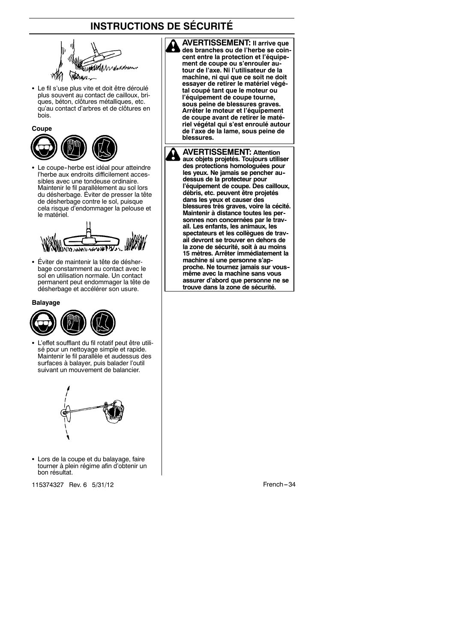

• Le fil s'use plus vite et doit être déroulé plus souvent au contact de cailloux, briques, béton, clôtures métalliques, etc. qu'au contact d'arbres et de clôtures en bois.



Le coupe-herbe est idéal pour atteindre l'herbe aux endroits difficilement accessibles avec une tondeuse ordinaire. Maintenir le fil parallèlement au sol lors du désherbage. Éviter de presser la tête de désherbage contre le sol, puisque cela risque d'endommager la pelouse et le matériel.



• Éviter de maintenir la tête de désherbage constamment au contact avec le sol en utilisation normale. Un contact permanent peut endommager la tête de désherbage et accélérer son usure.

**Balayage**



L'effet soufflant du fil rotatif peut être utilisé pour un nettoyage simple et rapide. Maintenir le fil parallèle et audessus des surfaces à balayer, puis balader l'outil suivant un mouvement de balancier.



• Lors de la coupe et du balayage, faire tourner à plein régime afin d'obtenir un bon résultat.

115374327 Rev. 6 5/31/12 French -- 34

**AVERTISSEMENT: Il arrive que des branches ou de l'herbe se coincent entre la protection et l'équipement de coupe ou s'enrouler autour de l'axe. Ni l'utilisateur de la machine, ni qui que ce soit ne doit essayer de retirer le matériel végétal coupé tant que le moteur ou l'équipement de coupe tourne, sous peine de blessures graves. Arrêter le moteur et l'équipement de coupe avant de retirer le matériel végétal qui s'est enroulé autour de l'axe de la lame, sous peine de blessures.**

**AVERTISSEMENT: Attention aux objets projetés. Toujours utiliser des protections homologuées pour les yeux. Ne jamais se pencher au- dessus de la protecteur pour l'équipement de coupe. Des cailloux, débris, etc. peuvent être projetés dans les yeux et causer des blessures très graves, voire la cécité. Maintenir à distance toutes les personnes non concernées par le travail. Les enfants, les animaux, les spectateurs et les collègues de travail devront se trouver en dehors de la zone de sécurité, soit à au moins 15 mètres. Arrêter immédiatement la machine si une personne s'approche. Ne tournez jamais sur vous- même avec la machine sans vous assurer d'abord que personne ne se trouve dans la zone de sécurité.**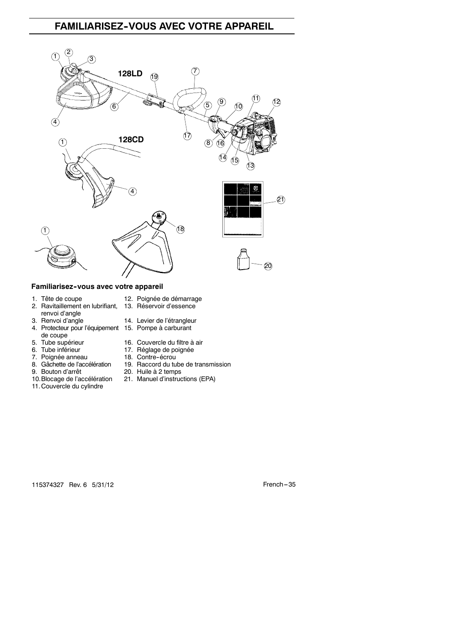# **FAMILIARISEZ--VOUS AVEC VOTRE APPAREIL**



#### **Familiarisez--vous avec votre appareil**

- 
- 2. Ravitaillement en lubrifiant, 13. Réservoir d'essence renvoi d'angle<br>3. Renvoi d'angle
- 
- 4. Protecteur pour l'équipement 15. Pompe à carburant de coupe<br>5. Tube supérieur
- 
- 
- 7. Poignée anneau<br>18. Gâchette de l'accélération
- 
- 9. Bouton d'arrêt 20. Huile à 2 temps<br>10. Blocage de l'accélération 21. Manuel d'instruc
- 
- 11. Couvercle du cylindre
- 1. Tête de coupe 12. Poignée de démarrage
	-
	- 14. Levier de l'étrangleur
		-
- 5. Tube supérieur 16. Couvercle du filtre à air<br>6. Tube inférieur 17. Réglage de poignée
	- 17. Réglage de poignée<br>18. Contre-écrou
	-
- 8. Gâchette de l'accélération 19. Raccord du tube de transmission<br>9. Bouton d'arrêt 20. Huile à 2 temps
	- 21. Manuel d'instructions (EPA)

115374327 Rev. 6 5/31/12 French --- 35

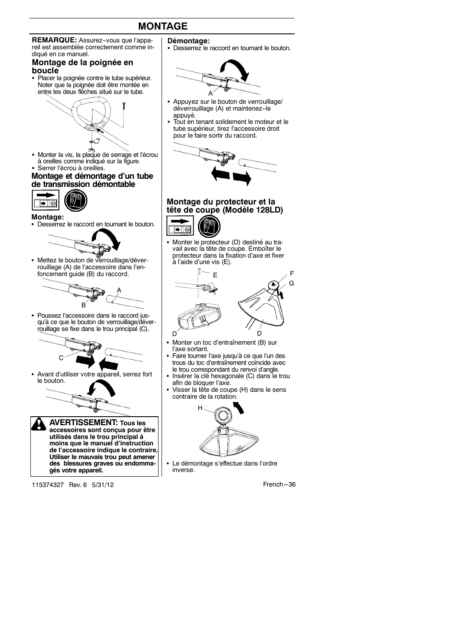# **MONTAGE**



#### **Montage de la poignée en boucle**

• Placer la poignée contre le tube supérieur. Noter que la poignée doit être montée en entre les deux flèches situé sur le tube.



- Monter la vis, la plaque de serrage et l'écrou à oreilles comme indiqué sur la figure.
- Serrer l'écrou à oreilles.

#### **Montage et démontage d'un tube de transmission démontable**



#### **Montage:**

• Desserrez le raccord en tournant le bouton.



• Mettez le bouton de verrouillage/déverrouillage (A) de l'accessoire dans l'enfoncement guide (B) du raccord.



• Poussez l'accessoire dans le raccord jusqu'à ce que le bouton de verrouillage/déverrouillage se fixe dans le trou principal (C).



• Avant d'utiliser votre appareil, serrez fort le bouton.



115374327 Rev. 6 5/31/12 French --- 36

- **Démontage:**
- Desserrez le raccord en tournant le bouton.



- Appuyez sur le bouton de verrouillage/ déverrouillage (A) et maintenez-le appuyé.
- Tout en tenant solidement le moteur et le tube supérieur, tirez l'accessoire droit pour le faire sortir du raccord.



## **Montage du protecteur et la tête de coupe (Modèle 128LD)**



• Monter le protecteur (D) destiné au travail avec la tête de coupe. Emboîter le protecteur dans la fixation d'axe et fixer à l'aide d'une vis (E).



- Monter un toc d'entraînement (B) sur l'axe sortant.
- Faire tourner l'axe jusqu'à ce que l'un des trous du toc d'entraînement coïncide avec le trou correspondant du renvoi d'angle.
- S Insérer la clé hexagonale (C) dans le trou afin de bloquer l'axe.
- Visser la tête de coupe (H) dans le sens contraire de la rotation.



Le démontage s'effectue dans l'ordre inverse.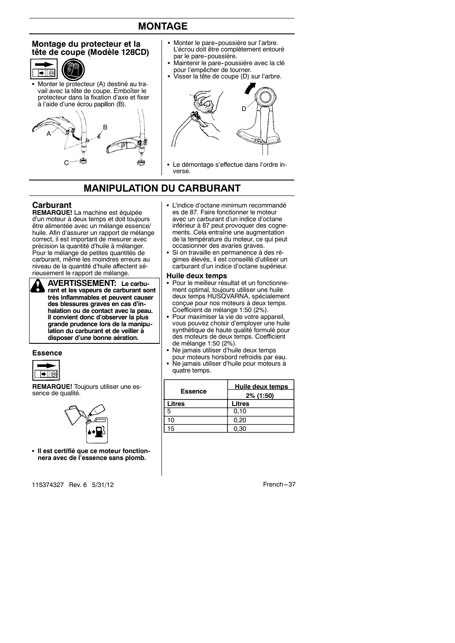# **MONTAGE**

#### **Montage du protecteur et la tête de coupe (Modèle 128CD)**



Monter le protecteur (A) destiné au travail avec la tête de coupe. Emboîter le protecteur dans la fixation d'axe et fixer à l'aide d'une écrou papillon (B).



- Monter le pare-poussière sur l'arbre. L'écrou doit être complètement entouré par le pare-poussière.
- Maintenir le pare-poussière avec la clé pour l'empêcher de tourner.
- Visser la tête de coupe (D) sur l'arbre.



• Le démontage s'effectue dans l'ordre inverse.

# **MANIPULATION DU CARBURANT**

#### **Carburant**

**REMARQUE!** La machine est équipée d'un moteur à deux temps et doit toujours être alimentée avec un mélange essence/ huile. Afin d'assurer un rapport de mélange correct, il est important de mesurer avec précision la quantité d'huile à mélanger. Pour le mélange de petites quantités de carburant, même les moindres erreurs au niveau de la quantité d'huile affectent sérieusement le rapport de mélange.



**AVERTISSEMENT: Le carburant et les vapeurs de carburant sont très inflammables et peuvent causer des blessures graves en cas d'inhalation ou de contact avec la peau. Il convient donc d'observer la plus grande prudence lors de la manipulation du carburant et de veiller à disposer d'une bonne aération.**

#### **Essence**



**REMARQUE!** Toujours utiliser une essence de qualité.



**• Il est certifié que ce moteur fonctionnera avec de l'essence sans plomb.**

115374327 Rev. 6 5/31/12 **French** --- 37

- L'indice d'octane minimum recommandé es de 87. Faire fonctionner le moteur avec un carburant d'un indice d'octane inférieur à 87 peut provoquer des cognements. Cela entraîne une augmentation de la température du moteur, ce qui peut occasionner des avaries graves.
- Si on travaille en permanence à des régimes élevés, il est conseillé d'utiliser un carburant d'un indice d'octane supérieur.

#### **Huile deux temps**

- Pour le meilleur résultat et un fonctionnement optimal, toujours utiliser une huile deux temps HUSQVARNA, spécialement conçue pour nos moteurs à deux temps. Coefficient de mélange 1:50 (2%).
- Pour maximiser la vie de votre appareil, vous pouvez choisir d'employer une huile synthétique de haute qualité formulé pour des moteurs de deux temps. Coefficient de mélange 1:50 (2%).
- Ne jamais utiliser d'huile deux temps pour moteurs horsbord refroidis par eau.
- Ne jamais utiliser d'huile pour moteurs à quatre temps.

| <b>Essence</b> | Huile deux temps    |  |
|----------------|---------------------|--|
| Litres         | 2% (1:50)<br>Litres |  |
| 5              | 0,10                |  |
| 10             | 0.20                |  |
| 15             | 0.30                |  |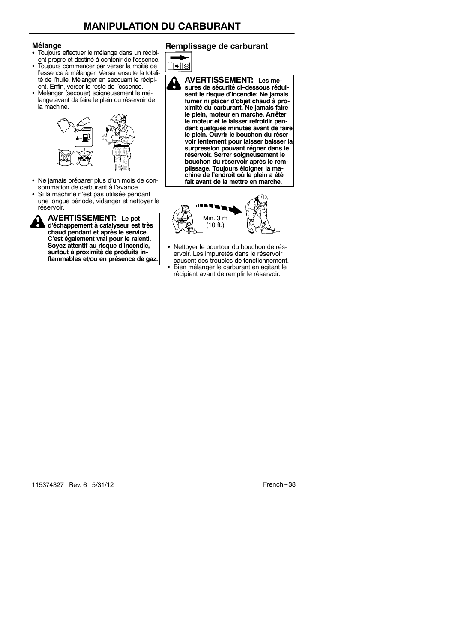# **MANIPULATION DU CARBURANT**

#### **Mélange**

- Toujours effectuer le mélange dans un récipient propre et destiné à contenir de l'essence.
- S Toujours commencer par verser la moitié de l'essence à mélanger. Verser ensuite la totalité de l'huile. Mélanger en secouant le récipi-
- ent. Enfin, verser le reste de l'essence. • Mélanger (secouer) soigneusement le mélange avant de faire le plein du réservoir de la machine.



- Ne jamais préparer plus d'un mois de consommation de carburant à l'avance.
- · Si la machine n'est pas utilisée pendant une longue période, vidanger et nettoyer le réservoir.

**AVERTISSEMENT: Le pot d'échappement à catalyseur est très chaud pendant et après le service. C'est également vrai pour le ralenti. Soyez attentif au risque d'incendie, surtout à proximité de produits inflammables et/ou en présence de gaz.**

# **Remplissage de carburant**



**voir lentement pour laisser baisser la surpression pouvant régner dans le réservoir. Serrer soigneusement le bouchon du réservoir après le remplissage. Toujours éloigner la machine de l'endroit où le plein a été fait avant de la mettre en marche.**



- Nettoyer le pourtour du bouchon de réservoir. Les impuretés dans le réservoir causent des troubles de fonctionnement. S Bien mélanger le carburant en agitant le
- récipient avant de remplir le réservoir.

115374327 Rev. 6 5/31/12 French -- 38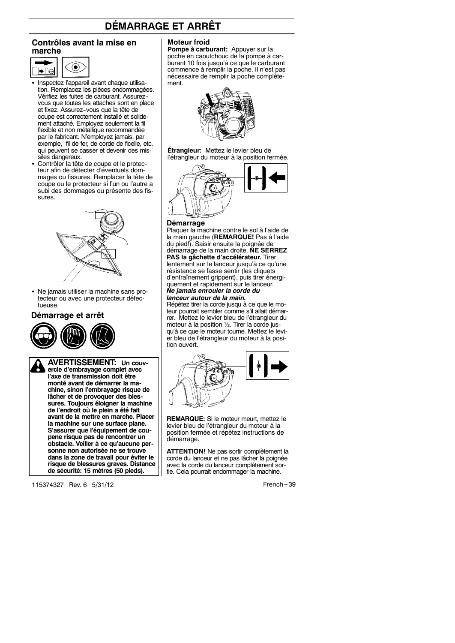# **DÉMARRAGE ET ARRÊT**

#### **Contrôles avant la mise en marche**



- Inspectez l'appareil avant chaque utilisation. Remplacez les pièces endommagées. Vérifiez les fuites de carburant. Assurez- vous que toutes les attaches sont en place et fixez. Assurez--vous que la tête de coupe est correctement installé et solidement attaché. Employez seulement la fil flexible et non métallique recommandée par le fabricant. N'employez jamais, par exemple, fil de fer, de corde de ficelle, etc. qui peuvent se casser et devenir des missiles dangereux.
- Contrôler la tête de coupe et le protecteur afin de détecter d'éventuels dommages ou fissures. Remplacer la tête de coupe ou le protecteur si l'un ou l'autre a subi des dommages ou présente des fissures.



• Ne jamais utiliser la machine sans protecteur ou avec une protecteur défectueuse.

#### **Démarrage et arrêt**



**AVERTISSEMENT: Un couvercle d'embrayage complet avec l'axe de transmission doit être monté avant de démarrer la machine, sinon l'embrayage risque de lâcher et de provoquer des blessures. Toujours éloigner la machine de l'endroit où le plein a été fait avant de la mettre en marche. Placer la machine sur une surface plane. S'assurer que l'équipement de coupene risque pas de rencontrer un obstacle. Veiller à ce qu'aucune personne non autorisée ne se trouve dans la zone de travail pour éviter le risque de blessures graves. Distance de sécurité: 15 mètres (50 pieds).**

115374327 Rev. 6 5/31/12 **French** --- 39

#### **Moteur froid**

**Pompe à carburant:** Appuyer sur la poche en caoutchouc de la pompe à carburant 10 fois jusqu'à ce que le carburant commence à remplir la poche. Il n'est pas nécessaire de remplir la poche complètement.



**Étrangleur:** Mettez le levier bleu de l'étrangleur du moteur à la position fermée.



#### **Démarrage**

Plaquer la machine contre le sol à l'aide de la main gauche (**REMARQUE!** Pas à l'aide du pied!). Saisir ensuite la poignée de démarrage de la main droite. **NE SERREZ PAS la gâchette d'accélérateur.** Tirer

lentement sur le lanceur jusqu'à ce qu'une résistance se fasse sentir (les cliquets d'entraînement grippent), puis tirer énergiquement et rapidement sur le lanceur. *Ne jamais enrouler la corde du*

# *lanceur autour de la main.*

Répétez tirer la corde jusqu à ce que le moteur pourrait sembler comme s'il allait démarrer. Mettez le levier bleu de l'étrangleur du moteur à la position ½. Tirer la corde jusqu'à ce que le moteur tourne. Mettez le levier bleu de l'étrangleur du moteur à la position ouvert.



**REMARQUE:** Si le moteur meurt, mettez le levier bleu de l'étrangleur du moteur à la position fermée et répétez instructions de démarrage.

**ATTENTION!** Ne pas sortir complètement la corde du lanceur et ne pas lâcher la poignée avec la corde du lanceur complètement sortie. Cela pourrait endommager la machine.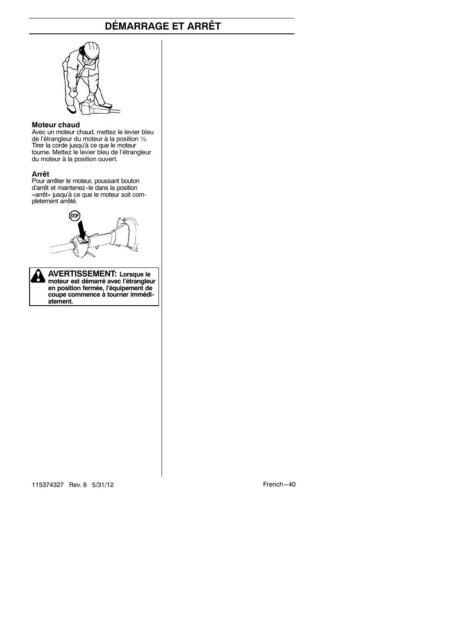# **DÉMARRAGE ET ARRÊT**



#### **Moteur chaud**

Avec un moteur chaud, mettez le levier bleu de l'étrangleur du moteur à la position ½. Tirer la corde jusqu'à ce que le moteur tourne. Mettez le levier bleu de l'étrangleur du moteur à la position ouvert.

#### **Arrêt**

Pour arrêter le moteur, poussant bouton d'arrêt et maintenez--le dans la position «arrêt» jusqu'à ce que le moteur soit completement arrêté.

**AVERTISSEMENT: Lorsque le MODE AVEN II DO EIVIEIT II.** LUI SQUE 10 **en position fermée, l'équipement de coupe commence à tourner immédiatement.**

115374327 Rev. 6 5/31/12 French -- 40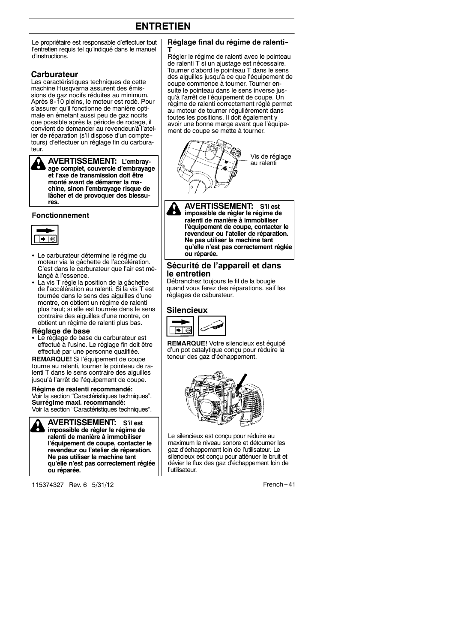# **ENTRETIEN**

Le propriétaire est responsable d'effectuer tout l'entretien requis tel qu'indiqué dans le manuel d'instructions.

#### **Carburateur**

Les caractéristiques techniques de cette machine Husqvarna assurent des émissions de gaz nocifs réduites au minimum. Après 8--10 pleins, le moteur est rodé. Pour s'assurer qu'il fonctionne de manière optimale en émetant aussi peu de gaz nocifs que possible après la période de rodage, il convient de demander au revendeur/à l'atelier de réparation (s'il dispose d'un compte- tours) d'effectuer un réglage fin du carburateur.

**AVERTISSEMENT: L'embray-**H **age complet, couvercle d'embrayage et l'axe de transmission doit être monté avant de démarrer la machine, sinon l'embrayage risque de lâcher et de provoquer des blessures.**

#### **Fonctionnement**



- Le carburateur détermine le régime du moteur via la gâchette de l'accélération. C'est dans le carburateur que l'air est mélangé à l'essence.
- La vis T règle la position de la gâchette de l'accélération au ralenti. Si la vis T est tournée dans le sens des aiguilles d'une montre, on obtient un régime de ralenti plus haut; si elle est tournée dans le sens contraire des aiguilles d'une montre, on obtient un régime de ralenti plus bas.

#### **Réglage de base**

• Le réglage de base du carburateur est effectué à l'usine. Le réglage fin doit être effectué par une personne qualifiée.

**REMARQUE!** Si l'équipement de coupe tourne au ralenti, tourner le pointeau de ralenti T dans le sens contraire des aiguilles jusqu'à l'arrêt de l'équipement de coupe.

#### **Régime de realenti recommandé:**

Voir la section "Caractéristiques techniques". **Surrégime maxi. recommandé:** Voir la section "Caractéristiques techniques".

**AVERTISSEMENT: S'il est impossible de régler le régime de ralenti de manière à immobiliser l'équipement de coupe, contacter le revendeur ou l'atelier de réparation. Ne pas utiliser la machine tant qu'elle n'est pas correctement réglée ou réparée.**

115374327 Rev. 6 5/31/12 **French -41** 

#### **Réglage final du régime de ralenti--**

**T** Régler le régime de ralenti avec le pointeau de ralenti T si un ajustage est nécessaire. Tourner d'abord le pointeau T dans le sens des aiguilles jusqu'à ce que l'équipement de coupe commence à tourner. Tourner ensuite le pointeau dans le sens inverse jusqu'à l'arrêt de l'équipement de coupe. Un régime de ralenti correctement réglé permet au moteur de tourner régulièrement dans toutes les positions. Il doit également y avoir une bonne marge avant que l'équipement de coupe se mette à tourner.



**AVERTISSEMENT: S'il est** H **impossible de régler le régime de ralenti de manière à immobiliser l'équipement de coupe, contacter le revendeur ou l'atelier de réparation. Ne pas utiliser la machine tant qu'elle n'est pas correctement réglée ou réparée.**

#### **Sécurité de l'appareil et dans le entretien**

Débranchez toujours le fil de la bougie quand vous ferez des réparations. saif les réglages de caburateur.

#### **Silencieux**



**REMARQUE!** Votre silencieux est équipé d'un pot catalytique conçu pour réduire la teneur des gaz d'échappement.



Le silencieux est conçu pour réduire au maximum le niveau sonore et détourner les gaz d'échappement loin de l'utilisateur. Le silencieux est conçu pour atténuer le bruit et dévier le flux des gaz d'échappement loin de l'utilisateur.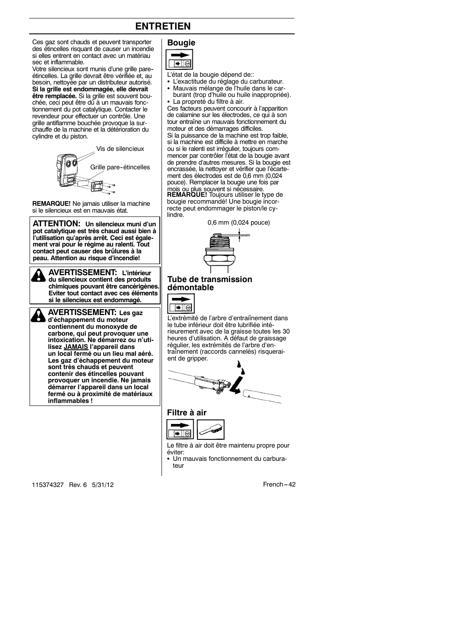# **ENTRETIEN**

Ces gaz sont chauds et peuvent transporter des étincelles risquant de causer un incendie si elles entrent en contact avec un matériau sec et inflammable.

Votre silencieux sont munis d'une grille pare-- étincelles. La grille devrait être vérifiée et, au besoin, nettoyée par un distributeur autorisé. **Si la grille est endommagée, elle devrait** être remplacée. Si la grille est souvent bouchée, ceci peut être dû à un mauvais fonctionnement du pot catalytique. Contacter le revendeur pour effectuer un contrôle. Une grille antiflamme bouchée provoque la surchauffe de la machine et la détérioration du cylindre et du piston.



**REMARQUE!** Ne jamais utiliser la machine si le silencieux est en mauvais état.

**ATTENTION: Un silencieux muni d'un pot catalytique est très chaud aussi bien à l'utilisation qu'après arrêt. Ceci est également vrai pour le régime au ralenti. Tout contact peut causer des brûlures à la peau. Attention au risque d'incendie!**

**AVERTISSEMENT: L'intérieur du silencieux contient des produits chimiques pouvant être cancérigènes. Eviter tout contact avec ces éléments si le silencieux est endommagé.**

**AVERTISSEMENT: Les gaz d'échappement du moteur contiennent du monoxyde de carbone, qui peut provoquer une intoxication. Ne démarrez ou n'utilisez JAMAIS l'appareil dans un local fermé ou un lieu mal aéré. Les gaz d'échappement du moteur sont très chauds et peuvent contenir des étincelles pouvant provoquer un incendie. Ne jamais démarrer l'appareil dans un local fermé ou à proximité de matériaux inflammables !**

**Bougie**  $\overline{\blacktriangleright}$   $\overline{\mathbb{D}}$ 

L'état de la bougie dépend de::

- L'exactitude du réglage du carburateur.
- Mauvais mélange de l'huile dans le car-
- burant (trop d'huile ou huile inappropriée). La propreté du filtre à air.

Ces facteurs peuvent concourir à l'apparition de calamine sur les électrodes, ce qui à son tour entraîne un mauvais fonctionnement du moteur et des démarrages difficiles.

Si la puissance de la machine est trop faible, si la machine est difficile à mettre en marche ou si le ralenti est irrégulier, toujours commencer par contrôler l'état de la bougie avant de prendre d'autres mesures. Si la bougie est encrassée, la nettoyer et vérifier que l'écartement des électrodes est de 0,6 mm (0,024 pouce). Remplacer la bougie une fois par

mois ou plus souvent si nécessaire.<br>**REMARQUE!** Toujours utiliser le type de bougie recommandé! Une bougie incorrecte peut endommager le piston/le cylindre.

0,6 mm (0,024 pouce)



#### **Tube de transmission démontable**



L'extrémité de l'arbre d'entraiînement dans le tube inférieur doit être lubrifiée intérieurement avec de la graisse toutes les 30 heures d'utilisation. A défaut de graissage régulier, les extrémités de l'arbre d'entraînement (raccords cannelés) risqueraient de gripper.



## **Filtre à air**



Le filtre à air doit être maintenu propre pour éviter:

Un mauvais fonctionnement du carburateur

115374327 Rev. 6 5/31/12 **French -42**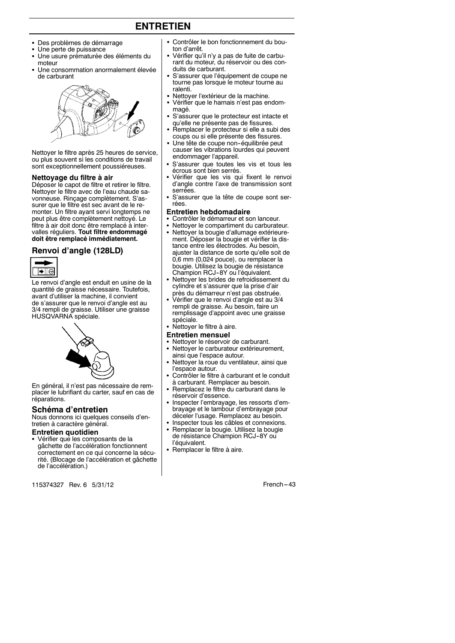# **ENTRETIEN**

- Des problèmes de démarrage
- Une perte de puissance
- Une usure prématurée des éléments du moteur
- Une consommation anormalement élevée de carburant



Nettoyer le filtre après 25 heures de service, ou plus souvent si les conditions de travail sont exceptionnellement poussiéreuses.

#### **Nettoyage du filtre à air**

Déposer le capot de filtre et retirer le filtre. Nettoyer le filtre avec de l'eau chaude savonneuse. Rinçage complètement. S'assurer que le filtre est sec avant de le remonter. Un filtre ayant servi longtemps ne peut plus être complètement nettoyé. Le filtre à air doit donc être remplacé à intervalles réguliers. **Tout filtre endommagé doit être remplacé immédiatement.**

#### **Renvoi d'angle (128LD)**



Le renvoi d'angle est enduit en usine de la quantité de graisse nécessaire. Toutefois, avant d'utiliser la machine, il convient de s'assurer que le renvoi d'angle est au 3/4 rempli de graisse. Utiliser une graisse HUSQVARNA spéciale.



En général, il n'est pas nécessaire de remplacer le lubrifiant du carter, sauf en cas de réparations.

#### **Schéma d'entretien**

Nous donnons ici quelques conseils d'entretien à caractère général.

#### **Entretien quotidien**

• Vérifier que les composants de la gâchette de l'accélération fonctionnent correctement en ce qui concerne la sécurité. (Blocage de l'accélération et gâchette de l'accélération.)

115374327 Rev. 6 5/31/12 **French -43** 

- Contrôler le bon fonctionnement du bouton d'arrêt.
- Vérifier qu'il n'y a pas de fuite de carburant du moteur, du réservoir ou des conduits de carburant.
- S'assurer que l'équipement de coupe ne tourne pas lorsque le moteur tourne au ralenti.
- Nettoyer l'extérieur de la machine.
- Vérifier que le harnais n'est pas endommagé.
- S'assurer que le protecteur est intacte et qu'elle ne présente pas de fissures.
- Remplacer le protecteur si elle a subi des coups ou si elle présente des fissures.
- Une tête de coupe non-équilibrée peut causer les vibrations lourdes qui peuvent endommager l'appareil.
- S'assurer que toutes les vis et tous les écrous sont bien serrés.
- Vérifier que les vis qui fixent le renvoi d'angle contre l'axe de transmission sont serrées.
- S'assurer que la tête de coupe sont serrées.

#### **Entretien hebdomadaire**

- Contrôler le démarreur et son lanceur.
- Nettoyer le compartiment du carburateur.
- Nettoyer la bougie d'allumage extérieurement. Déposer la bougie et vérifier la distance entre les électrodes. Au besoin, ajuster la distance de sorte qu'elle soit de 0,6 mm (0,024 pouce), ou remplacer la bougie. Utilisez la bougie de résistance Champion RCJ--8Y ou l'équivalent.
- Nettoyer les brides de refroidissement du cylindre et s'assurer que la prise d'air
- près du démarreur n'est pas obstruée. S Vérifier que le renvoi d'angle est au 3/4 rempli de graisse. Au besoin, faire un remplissage d'appoint avec une graisse spéciale.
- Nettoyer le filtre à aire.

#### **Entretien mensuel**

- Nettoyer le réservoir de carburant.<br>• Nettoyer le carburateur extérieurer
- Nettoyer le carburateur extérieurement, ainsi que l'espace autour.
- Nettoyer la roue du ventilateur, ainsi que l'espace autour.
- Contrôler le filtre à carburant et le conduit à carburant. Remplacer au besoin.
- Remplacez le filtre du carburant dans le réservoir d'essence.
- Inspecter l'embrayage, les ressorts d'embrayage et le tambour d'embrayage pour déceler l'usage. Remplacez au besoin.
- Inspecter tous les câbles et connexions.
- Remplacer la bougie. Utilisez la bougie de résistance Champion RCJ-8Y ou l'équivalent.
- Remplacer le filtre à aire.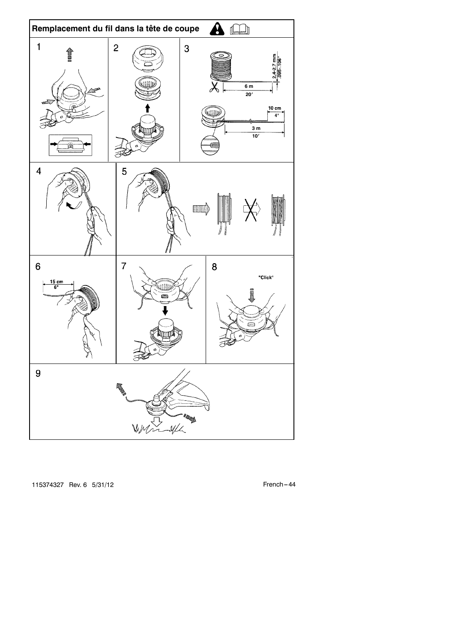

115374327 Rev. 6 5/31/12 **French** -- 44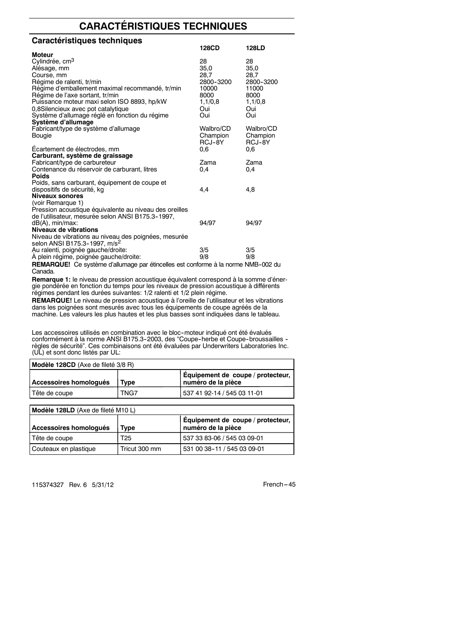# **CARACTÉRISTIQUES TECHNIQUES**

| Caractéristiques techniques                                                              |            |            |
|------------------------------------------------------------------------------------------|------------|------------|
|                                                                                          | 128CD      | 128LD      |
| Moteur                                                                                   |            |            |
| Cylindrée, cm <sup>3</sup>                                                               | 28         | 28         |
| Alésage, mm                                                                              | 35.0       | 35.0       |
| Course, mm                                                                               | 28,7       | 28,7       |
| Régime de ralenti, tr/min                                                                | 2800-3200  | 2800-3200  |
| Régime d'emballement maximal recommandé, tr/min                                          | 10000      | 11000      |
| Régime de l'axe sortant, tr/min                                                          | 8000       | 8000       |
| Puissance moteur maxi selon ISO 8893, hp/kW                                              | 1,1/0,8    | 1,1/0,8    |
| 0,8Silencieux avec pot catalytique                                                       | Oui<br>Oui | Oui<br>Oui |
| Système d'allumage réglé en fonction du régime<br>Système d'allumage                     |            |            |
| Fabricant/type de système d'allumage                                                     | Walbro/CD  | Walbro/CD  |
| Bougie                                                                                   | Champion   | Champion   |
|                                                                                          | RCJ-8Y     | RCJ-8Y     |
| Ecartement de électrodes, mm                                                             | 0.6        | 0.6        |
| Carburant, système de graissage                                                          |            |            |
| Fabricant/type de carbureteur                                                            | Zama       | Zama       |
| Contenance du réservoir de carburant, litres                                             | 0.4        | 0.4        |
| <b>Poids</b>                                                                             |            |            |
| Poids, sans carburant, équipement de coupe et                                            |            |            |
| dispositifs de sécurité, kg                                                              | 4,4        | 4,8        |
| Niveaux sonores                                                                          |            |            |
| (voir Remarque 1)                                                                        |            |            |
| Pression acoustique équivalente au niveau des oreilles                                   |            |            |
| de l'utilisateur, mesurée selon ANSI B175.3-1997,                                        |            |            |
| dB(A), min/max:<br>Niveaux de vibrations                                                 | 94/97      | 94/97      |
| Niveau de vibrations au niveau des poignées, mesurée                                     |            |            |
| selon ANSI B175.3-1997, m/s <sup>2</sup>                                                 |            |            |
| Au ralenti, poignée gauche/droite:                                                       | 3/5        | 3/5        |
| A plein régime, poignée gauche/droite:                                                   | 9/8        | 9/8        |
| <b>REMAROUEL</b> Ce système d'allumage par étincelles est conforme à la norme NMB-002 du |            |            |

**E**! Ce système d'allumage par étincelles est conforme à la norme NMB-002 du Canada.

**Remarque 1:** le niveau de pression acoustique équivalent correspond à la somme d'énergie pondérée en fonction du temps pour les niveaux de pression acoustique à différents régimes pendant les durées suivantes: 1/2 ralenti et 1/2 plein régime.

**REMARQUE!** Le niveau de pression acoustique à l'oreille de l'utilisateur et les vibrations dans les poignées sont mesurés avec tous les équipements de coupe agréés de la machine. Les valeurs les plus hautes et les plus basses sont indiquées dans le tableau.

Les accessoires utilisés en combination avec le bloc-moteur indiqué ont été évalués<br>conformément à la norme ANSI B175.3-2003, des "Coupe-herbe et Coupe-broussailles -<br>règles de sécurité". Ces combinaisons ont été évaluées

| Modèle 128CD (Axe de fileté 3/8 R) |               |                                                         |  |
|------------------------------------|---------------|---------------------------------------------------------|--|
| Accessoires homologués             | Type          | Equipement de coupe / protecteur,<br>numéro de la pièce |  |
| Tête de coupe                      | TNG7          | 537 41 92-14 / 545 03 11-01                             |  |
|                                    |               |                                                         |  |
| Modèle 128LD (Axe de fileté M10L)  |               |                                                         |  |
| Accessoires homologués             | Type          | Équipement de coupe / protecteur,<br>numéro de la pièce |  |
| Tête de coupe                      | T25           | 537 33 83-06 / 545 03 09-01                             |  |
| Couteaux en plastique              | Tricut 300 mm | 531 00 38-11 / 545 03 09-01                             |  |

115374327 Rev. 6 5/31/12 French -- 45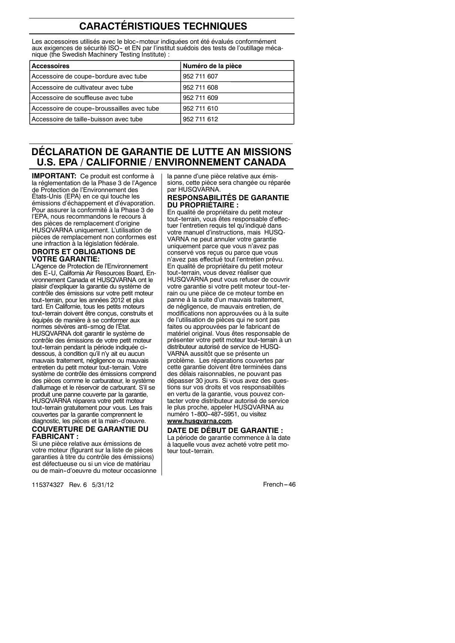# **CARACTÉRISTIQUES TECHNIQUES**

Les accessoires utilisés avec le bloc-moteur indiquées ont été évalués conformément aux exigences de sécurité ISO- et EN par l'institut suédois des tests de l'outillage mécanique (the Swedish Machinery Testing Institute) :

| <b>Accessoires</b>                         | Numéro de la pièce |
|--------------------------------------------|--------------------|
| Accessoire de coupe-bordure avec tube      | 952 711 607        |
| Accessoire de cultivateur avec tube        | 952 711 608        |
| Accessoire de souffleuse avec tube         | 952 711 609        |
| Accessoire de coupe-broussailles avec tube | 952 711 610        |
| Accessoire de taille-buisson avec tube     | 952 711 612        |

# **DÉCLARATION DE GARANTIE DE LUTTE AN MISSIONS U.S. EPA / CALIFORNIE / ENVIRONNEMENT CANADA**

**IMPORTANT:** Ce produit est conforme à la réglementation de la Phase 3 de l'Agence de Protection de l'Environnement des États-Unis (EPA) en ce qui touche les émissions d'échappement et d'évaporation. Pour assurer la conformité à la Phase 3 de l'EPA, nous recommandons le recours à des pièces de remplacement d'origine HUSQVARNA uniquement. L'utilisation de pièces de remplacement non conformes est une infraction à la législation fédérale.

#### **DROITS ET OBLIGATIONS DE VOTRE GARANTIE:**

**COUVERTURE DE GARANTIE DU FABRICANT :** L'Agence de Protection de l'Environnement des E--U, California Air Resources Board, Environnement Canada et HUSQVARNA ont le plaisir d'expliquer la garantie du système de contrôle des émissions sur votre petit moteur tout-terrain, pour les années 2012 et plus tard. En Californie, tous les petits moteurs tout--terrain doivent être conçus, construits et équipés de manière à se conformer aux normes sévères anti-smog de l'État. HUSQVARNA doit garantir le système de contrôle des émissions de votre petit moteur tout--terrain pendant la période indiquée ci- dessous, à condition qu'il n'y ait eu aucun mauvais traitement, négligence ou mauvais entretien du petit moteur tout--terrain. Votre système de contrôle des émissions comprend des pièces comme le carburateur, le système d'allumage et le réservoir de carburant. S'il se produit une panne couverte par la garantie, HUSQVARNA réparera votre petit moteur tout--terrain gratuitement pour vous. Les frais couvertes par la garantie comprennent le diagnostic, les pièces et la main-d'oeuvre.

Si une pièce relative aux émissions de votre moteur (figurant sur la liste de pièces garanties à titre du contrôle des émissions) est défectueuse ou si un vice de matériau ou de main--d'oeuvre du moteur occasionne la panne d'une pièce relative aux émissions, cette pièce sera changée ou réparée par HUSQVARNA.

#### **RESPONSABILITÉS DE GARANTIE DU PROPRIÉTAIRE :**

En qualité de propriétaire du petit moteur tout-terrain, vous êtes responsable d'effectuer l'entretien requis tel qu'indiqué dans votre manuel d'instructions, mais HUSQ-VARNA ne peut annuler votre garantie uniquement parce que vous n'avez pas conservé vos reçus ou parce que vous n'avez pas effectué tout l'entretien prévu. En qualité de propriétaire du petit moteur tout-terrain, vous devez réaliser que HUSQVARNA peut vous refuser de couvrir votre garantie si votre petit moteur tout-terrain ou une pièce de ce moteur tombe en panne à la suite d'un mauvais traitement, de négligence, de mauvais entretien, de modifications non approuvées ou à la suite de l'utilisation de pièces qui ne sont pas faites ou approuvées par le fabricant de matériel original. Vous êtes responsable de présenter votre petit moteur tout-terrain à un distributeur autorisé de service de HUSQ-VARNA aussitôt que se présente un problème. Les réparations couvertes par cette garantie doivent être terminées dans des délais raisonnables, ne pouvant pas dépasser 30 jours. Si vous avez des questions sur vos droits et vos responsabilités en vertu de la garantie, vous pouvez contacter votre distributeur autorisé de service le plus proche, appeler HUSQVARNA au numéro 1--800--487--5951, ou visitez **www.husqvarna.com**.

#### **DATE DE DÉBUT DE GARANTIE :**

La période de garantie commence à la date à laquelle vous avez acheté votre petit moteur tout--terrain.

115374327 Rev. 6 5/31/12 **French --- 120 French -- 46**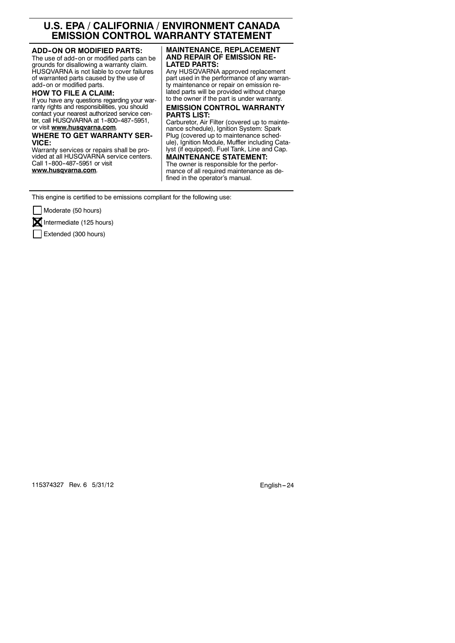# **U.S. EPA / CALIFORNIA / ENVIRONMENT CANADA EMISSION CONTROL WARRANTY STATEMENT**

#### **ADD--ON OR MODIFIED PARTS:**

The use of add-on or modified parts can be grounds for disallowing a warranty claim. HUSQVARNA is not liable to cover failures of warranted parts caused by the use of add-on or modified parts.

#### **HOW TO FILE A CLAIM:**

If you have any questions regarding your warranty rights and responsibilities, you should contact your nearest authorized service center, call HUSQVARNA at 1-800-487-5951,

#### or visit **www.husqvarna.com**.

#### **WHERE TO GET WARRANTY SER-VICE:**

Warranty services or repairs shall be provided at all HUSQVARNA service centers. Call 1-800-487-5951 or visit **www.husqvarna.com**.

#### **MAINTENANCE, REPLACEMENT AND REPAIR OF EMISSION RE-LATED PARTS:**

Any HUSQVARNA approved replacement part used in the performance of any warranty maintenance or repair on emission related parts will be provided without charge to the owner if the part is under warranty.

#### **EMISSION CONTROL WARRANTY PARTS LIST:**

Carburetor, Air Filter (covered up to maintenance schedule), Ignition System: Spark Plug (covered up to maintenance schedule), Ignition Module, Muffler including Catalyst (if equipped), Fuel Tank, Line and Cap.

**MAINTENANCE STATEMENT:** The owner is responsible for the performance of all required maintenance as defined in the operator's manual.

This engine is certified to be emissions compliant for the following use:

Moderate (50 hours)

 $\mathbf{\Sigma}$  Intermediate (125 hours)

Extended (300 hours)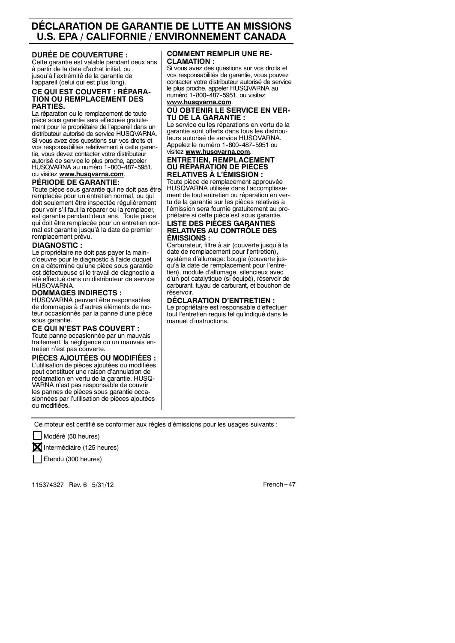# **DÉCLARATION DE GARANTIE DE LUTTE AN MISSIONS U.S. EPA / CALIFORNIE / ENVIRONNEMENT CANADA**

#### **DURÉE DE COUVERTURE :**

Cette garantie est valable pendant deux ans à partir de la date d'achat initial, ou jusqu'à l'extrémité de la garantie de l'appareil (celui qui est plus long).

#### **CE QUI EST COUVERT : RÉPARA-TION OU REMPLACEMENT DES PARTIES.**

La réparation ou le remplacement de toute pièce sous garantie sera effectuée gratuitement pour le propriétaire de l'appareil dans un distributeur autorisé de service HUSQVARNA. Si vous avez des questions sur vos droits et vos responsabilités relativement à cette garantie, vous devez contacter votre distributeur autorisé de service le plus proche, appeler HUSQVARNA au numéro 1-800-487-5951, ou visitez **www.husqvarna.com**.

#### **PÉRIODE DE GARANTIE:**

Toute pièce sous garantie qui ne doit pas être remplacée pour un entretien normal, ou qui doit seulement être inspectée régulièrement pour voir s'il faut la réparer ou la remplacer, est garantie pendant deux ans. Toute pièce qui doit être remplacée pour un entretien normal est garantie jusqu'à la date de premier remplacement prévu.

#### **DIAGNOSTIC :**

Le propriétaire ne doit pas payer la maind'oeuvre pour le diagnostic à l'aide duquel on a déterminé qu'une pièce sous garantie est défectueuse si le travail de diagnostic a été effectué dans un distributeur de service HUSQVARNA.

#### **DOMMAGES INDIRECTS :**

HUSQVARNA peuvent être responsables de dommages à d'autres éléments de moteur occasionnés par la panne d'une pièce sous garantie.

#### **CE QUI N'EST PAS COUVERT :**

Toute panne occasionnée par un mauvais traitement, la négligence ou un mauvais entretien n'est pas couverte.

#### **PIÈCES AJOUTÉES OU MODIFIÉES :**

L'utilisation de pièces ajoutées ou modifiées peut constituer une raison d'annulation de réclamation en vertu de la garantie. HUSQ-VARNA n'est pas responsable de couvrir les pannes de pièces sous garantie occasionnées par l'utilisation de pièces ajoutées ou modifiées.

#### **COMMENT REMPLIR UNE RÉ-CLAMATION :**

Si vous avez des questions sur vos droits et vos responsabilités de garantie, vous pouvez contacter votre distributeur autorisé de service le plus proche, appeler HUSQVARNA au numéro 1-800-487-5951, ou visitez

**www.husqvarna.com**. **OÙ OBTENIR LE SERVICE EN VER-**

#### **TU DE LA GARANTIE :** Le service ou les réparations en vertu de la

garantie sont offerts dans tous les distributeurs autorisé de service HUSQVARNA. Appelez le numéro 1-800-487-5951 ou visitez **www.husqvarna.com**.

#### **ENTRETIEN, REMPLACEMENT OU RÉPARATION DE PIÈCES RELATIVES À L'ÉMISSION :**

Toute pièce de remplacement approuvée HUSQVARNA utilisée dans l'accomplissement de tout entretien ou réparation en vertu de la garantie sur les pièces relatives à l'émission sera fournie gratuitement au propriétaire si cette pièce est sous garantie.

#### **LISTE DES PIÈCES GARANTIES RELATIVES AU CONTRÔLE DES ÉMISSIONS :**

Carburateur, filtre à air (couverte jusqu'à la date de remplacement pour l'entretien), système d'allumage: bougie (couverte jusqu'à la date de remplacement pour l'entretien), module d'allumage, silencieux avec d'un pot catalytique (si équipé), réservoir de carburant, tuyau de carburant, et bouchon de réservoir.

#### **DÉCLARATION D'ENTRETIEN :**

Le propriétaire est responsable d'effectuer tout l'entretien requis tel qu'indiqué dans le manuel d'instructions.

Ce moteur est certifié se conformer aux règles d'émissions pour les usages suivants :

Modéré (50 heures)



**X** Intermédiaire (125 heures)

Étendu (300 heures)

115374327 Rev. 6 5/31/12 **French -- 47**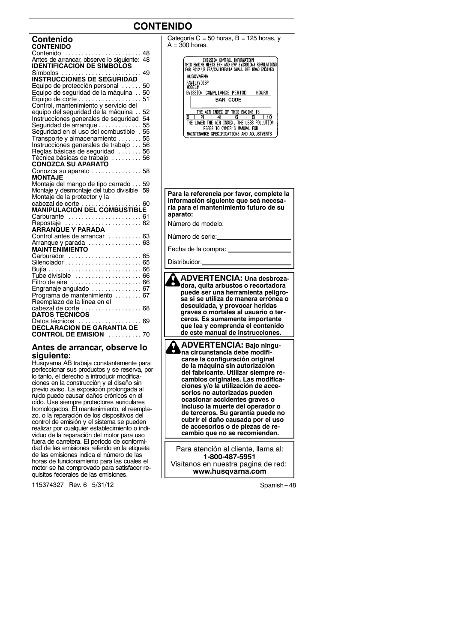# **CONTENIDO**

| Contenido<br><b>CONTENIDO</b>                        |    |
|------------------------------------------------------|----|
|                                                      |    |
| .<br>Contenido<br>$\cdots$                           | 48 |
| Antes de arrancar, observe lo siquiente:             | 48 |
| <b>IDENTIFICACION DE SIMBOLOS</b>                    |    |
|                                                      | 49 |
| Símbolos<br>INSTRUCCIONES DE SEGURIDAD               |    |
|                                                      |    |
| Equipo de protección personal                        | 50 |
| Equipo de seguridad de la máquina                    | 50 |
| Equipo de corte $\ldots \ldots \ldots \ldots \ldots$ | 51 |
| Control, mantenimiento y servicio del                |    |
| equipo del sequridad de la máquina                   | 52 |
| Instrucciones generales de seguridad                 | 54 |
|                                                      |    |
| Sequridad de arranque                                | 55 |
| Seguridad en el uso del combustible . 55             |    |
| Transporte y almacenamiento  55                      |    |
| Instrucciones generales de trabajo 56                |    |
| Reglas básicas de seguridad 56                       |    |
| Técnica básicas de trabajo  56                       |    |
|                                                      |    |
| <b>CONOZCA SU APARATO</b>                            |    |
| Conozca su aparato  58                               |    |
| MONTAJE                                              |    |
| Montaje del mango de tipo cerrado 59                 |    |
| Montaje y desmontaje del tubo divisible 59           |    |
| Montaje de la protector y la                         |    |
|                                                      |    |
| cabezal de corte<br>MANIPULACION DEL COMBUSTIBLE     |    |
|                                                      |    |
| Carburante  61                                       |    |
| Repostaje                                            |    |
| ARRANQUE Y PARADA                                    |    |
| Control antes de arrancar  63                        |    |
| Arranque y parada  63                                |    |
| <b>MAINTENIMIENTO</b>                                |    |
|                                                      |    |
| Carburador  65                                       |    |
|                                                      |    |
|                                                      |    |
|                                                      |    |
| Filtro de aire  66                                   |    |
| Engranaje angulado  67                               |    |
| Programa de mantenimiento  67                        |    |
|                                                      |    |
| Reemplazo de la línea en el                          |    |
| cabezal de corte<br>. 68                             |    |
| <b>DATOS TECNICOS</b>                                |    |
|                                                      |    |
|                                                      |    |
| <b>CONTROL DE EMISION 70</b>                         |    |
|                                                      |    |

#### **Antes de arrancar, observe lo siguiente:**

Husqvarna AB trabaja constantemente para perfeccionar sus productos y se reserva, por lo tanto, el derecho a introducir modificaciones en la construcción y el diseño sin previo aviso. La exposición prolongada al ruido puede causar daños crónicos en el oído. Use siempre protectores auriculares homologados. El mantenimiento, el reemplazo, o la reparación de los dispositivos del control de emisión y el sistema se pueden realizar por cualquier establecimiento o individuo de la reparación del motor para uso fuera de carretera. El período de conformidad de las emisiones referido en la etiqueta de las emisiones indica el número de las horas de funcionamiento para las cuales el motor se ha comprovado para satisfacer requisitos federales de las emisiones.

115374327 Rev. 6 5/31/12 Spanish --- 48

Categoría  $C = 50$  horas, B = 125 horas, y  $A = 300$  horas.

| ENISSION CONTROL INFORMATION<br>THIS ENGINE MEETS EXH AND EVP EMISSIONS REGULATIONS<br>FOR 2012 US EPA/CALIFORNIA SMALL OFF ROAD ENGINES |  |
|------------------------------------------------------------------------------------------------------------------------------------------|--|
| HUSOVARNA                                                                                                                                |  |
| FAMILY/DISP<br>MODEL#                                                                                                                    |  |
| EMISSION COMPLIANCE PERIOD<br>HOURS                                                                                                      |  |
| BAR CODE                                                                                                                                 |  |
|                                                                                                                                          |  |
| THE AIR INDEX OF THIS ENGINE IS                                                                                                          |  |
| A<br>۱n<br>Δ                                                                                                                             |  |
| THE LOWER THE AIR INDEX, THE LESS POLLUTION                                                                                              |  |
| REFER TO OWNER'S MANUAL FOR                                                                                                              |  |
| MAINTENANCE SPECIFICATIONS AND ADJUSTMENTS                                                                                               |  |

**Para la referencia por favor, complete la información siguiente que seá necesaria para el mantenimiento futuro de su aparato:**

Número de modelo:

Número de serie:

Fecha de la compra:

Distribuidor:

**ADVERTENCIA: Una desbrozadora, quita arbustos o recortadora puede ser una herramienta peligrosa si se utiliza de manera errónea o descuidada, y provocar heridas graves o mortales al usuario o terceros. Es sumamente importante que lea y comprenda el contenido de este manual de instrucciones. ADVERTENCIA: Bajo ningu-**У **na circunstancia debe modifi-**

**carse la configuración original de la máquina sin autorización del fabricante. Utilizar siempre recambios originales. Las modificaciones y/o la utilización de accesorios no autorizadas pueden ocasionar accidentes graves o incluso la muerte del operador o de terceros. Su garantía puede no cubrir el daño causada por el uso de accesorios o de piezas de recambio que no se recomiendan.**

Para atención al cliente, llama al: **1-800-487-5951** Visítanos en nuestra pagina de red: **www.husqvarna.com**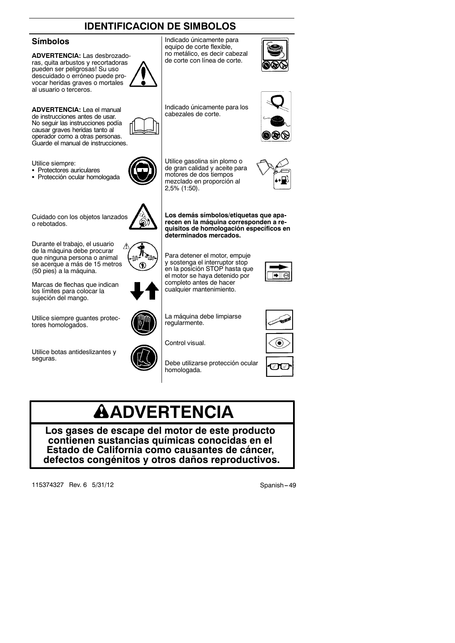# **IDENTIFICACION DE SIMBOLOS**

## **Símbolos**

**ADVERTENCIA:** Las desbrozadoras, quita arbustos y recortadoras pueden ser peligrosas! Su uso descuidado o erróneo puede provocar heridas graves o mortales al usuario o terceros.

**ADVERTENCIA:** Lea el manual de instrucciones antes de usar. No seguir las instrucciones podía causar graves heridas tanto al operador como a otras personas. Guarde el manual de instrucciones.

Utilice siempre:

- Protectores auriculares
- Protección ocular homologada

Cuidado con los objetos lanzados o rebotados.

Durante el trabajo, el usuario Λ de la máquina debe procurar que ninguna persona o animal se acerque a más de 15 metros (50 pies) a la máquina.

Marcas de flechas que indican los límites para colocar la sujeción del mango.

Utilice siempre guantes protectores homologados.

Utilice botas antideslizantes y seguras.

Debe utilizarse protección ocular homologada.

# **ADVERTENCIA**

**Los gases de escape del motor de este producto contienen sustancias químicas conocidas en el Estado de California como causantes de cáncer, defectos congénitos y otros daños reproductivos.**

115374327 Rev. 6 5/31/12 Spanish --- 49



Indicado únicamente para los cabezales de corte.

motores de dos tiempos mezclado en proporción al

**determinados mercados.**

completo antes de hacer cualquier mantenimiento.

La máquina debe limpiarse

regularmente.

Control visual.

**Los demás símbolos/etiquetas que aparecen en la máquina corresponden a requisitos de homologación específicos en**

2,5% (1:50).















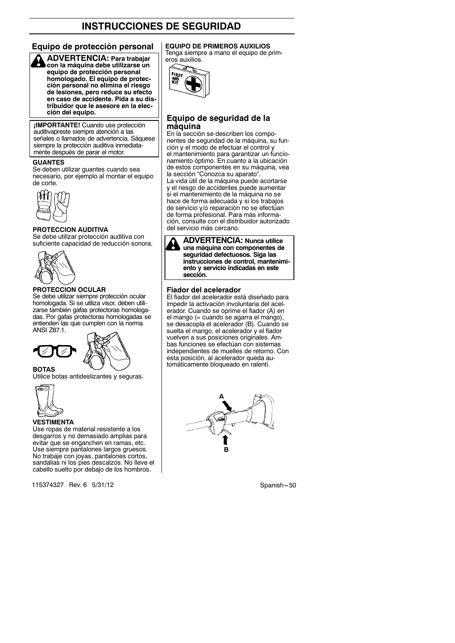## **Equipo de protección personal EQUIPO DE PRIMEROS AUXILIOS**



**ADVERTENCIA: Para trabajar con la máquina debe utilizarse un equipo de protección personal homologado. El equipo de protección personal no elimina el riesgo de lesiones, pero reduce su efecto en caso de accidente. Pida a su distribuidor que le asesore en la elección del equipo.**

**¡IMPORTANTE!** Cuando use protección auditivapreste siempre atención a las señales o llamados de advertencia. Sáquese siempre la protección auditiva inmediata mente después de parar el motor.

#### **GUANTES**

Se deben utilizar guantes cuando sea necesario, por ejemplo al montar el equipo de corte.



#### **PROTECCION AUDITIVA**

Se debe utilizar protección auditiva con suficiente capacidad de reducción sonora.



#### **PROTECCION OCULAR**

Se debe utilizar siempre protección ocular homologada. Si se utiliza visor, deben utilizarse también gafas protectoras homologadas. Por gafas protectoras homologadas se entienden las que cumplen con la norma ANSI Z87.1.





Utilice botas antideslizantes y seguras.



**BOTAS**

#### **VESTIMENTA**

Use ropas de material resistente a los desgarros y no demasiado amplias para evitar que se enganchen en ramas, etc. Use siempre pantalones largos gruesos. No trabaje con joyas, pantalones cortos, sandalias ni los pies descalzos. No lleve el cabello suelto por debajo de los hombros.

115374327 Rev. 6 5/31/12 Spanish -- 50

Tenga siempre a mano el equipo de primeros auxilios.



#### **Equipo de seguridad de la máquina**

En la sección se describen los componentes de seguridad de la máquina, su función y el modo de efectuar el control y el mantenimiento para garantizar un funcionamiento óptimo. En cuanto a la ubicación de estos componentes en su máquina, vea la sección "Conozca su aparato".

La vida útil de la máquina puede acortarse y el riesgo de accidentes puede aumentar si el mantenimiento de la máquina no se hace de forma adecuada y si los trabajos de servicio y/o reparación no se efectúan de forma profesional. Para más información, consulte con el distribuidor autorizado del servicio más cercano.



**ADVERTENCIA: Nunca utilice una máquina con componentes de seguridad defectuosos. Siga las instrucciones de control, mantenimiento y servicio indicadas en este sección.**

#### **Fiador del acelerador**

El fiador del acelerador está diseñado para impedir la activación involuntaria del acelerador. Cuando se oprime el fiador (A) en el mango (= cuando se agarra el mango), se desacopla el acelerador (B). Cuando se suelta el mango, el acelerador y el fiador vuelven a sus posiciones originales. Ambas funciones se efectúan con sistemas independientes de muelles de retorno. Con esta posición, al acelerador queda automáticamente bloqueado en ralentí.

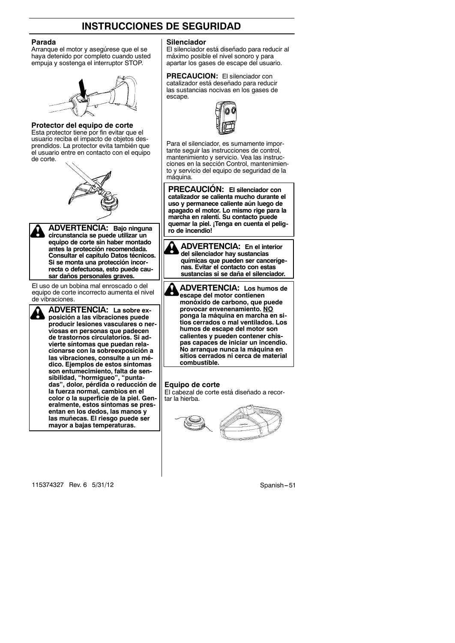#### **Parada**

Arranque el motor y asegúrese que el se haya detenido por completo cuando usted empuja y sostenga el interruptor STOP.



#### **Protector del equipo de corte**

Esta protector tiene por fin evitar que el usuario reciba el impacto de objetos desprendidos. La protector evita también que el usuario entre en contacto con el equipo de corte.





**ADVERTENCIA: Bajo ninguna circunstancia se puede utilizar un equipo de corte sin haber montado antes la protección recomendada. Consultar el capítulo Datos técnicos.** Si se monta una protección incor**recta o defectuosa, esto puede causar daños personales graves.**

El uso de un bobina mal enroscado o del equipo de corte incorrecto aumenta el nivel de vibraciones.



**ADVERTENCIA: La sobre exposición a las vibraciones puede** producir lesiones vasculares o ner**viosas en personas que padecen de trastornos circulatorios. Si advierte síntomas que puedan relacionarse con la sobreexposición a las vibraciones, consulte a un médico. Ejemplos de estos síntomas son entumecimiento, falta de sensibilidad, "hormigueo", "puntadas", dolor, pérdida o reducción de la fuerza normal, cambios en el color o la superficie de la piel. Generalmente, estos síntomas se presentan en los dedos, las manos y las muñecas. El riesgo puede ser mayor a bajas temperaturas.**

**Silenciador**

El silenciador está diseñado para reducir al máximo posible el nivel sonoro y para apartar los gases de escape del usuario.

#### **PRECAUCION:** El silenciador con catalizador está deseñado para reducir

las sustancias nocivas en los gases de escape.

Para el silenciador, es sumamente importante seguir las instrucciones de control, mantenimiento y servicio. Vea las instrucciones en la sección Control, mantenimiento y servicio del equipo de seguridad de la máquina.

**PRECAUCIÓN: El silenciador con catalizador se calienta mucho durante el uso y permanece caliente aún luego de apagado el motor. Lo mismo rige para la marcha en ralentí. Su contacto puede quemar la piel. ¡Tenga en cuenta el peligro de incendio!**

**ADVERTENCIA: En el interior del silenciador hay sustancias químicas que pueden ser cancerígenas. Evitar el contacto con estas sustancias si se daña el silenciador.**

**ADVERTENCIA: Los humos de** A **escape del motor contienen monóxido de carbono, que puede provocar envenenamiento. NO ponga la máquina en marcha en sitios cerrados o mal ventilados. Los humos de escape del motor son calientes y pueden contener chispas capaces de iniciar un incendio. No arranque nunca la máquina en sitios cerrados ni cerca de material combustible.**

#### **Equipo de corte**

El cabezal de corte está diseñado a recortar la hierba.



115374327 Rev. 6 5/31/12 Spanish -- 51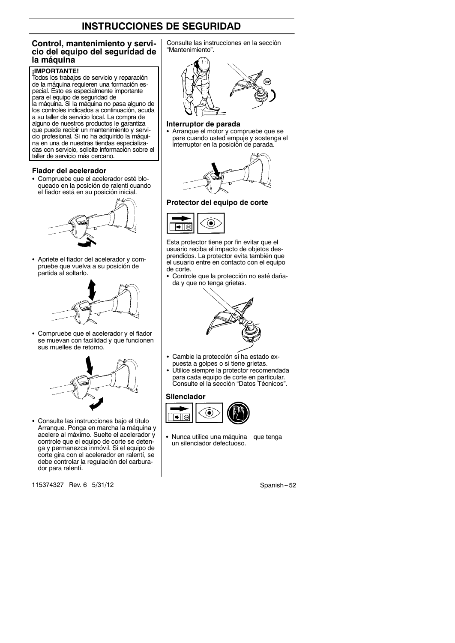#### **Control, mantenimiento y servicio del equipo del seguridad de la máquina**

#### **¡IMPORTANTE!**

Todos los trabajos de servicio y reparación de la máquina requieren una formación especial. Esto es especialmente importante para el equipo de seguridad de la máquina. Si la máquina no pasa alguno de los controles indicados a continuación, acuda a su taller de servicio local. La compra de alguno de nuestros productos le garantiza que puede recibir un mantenimiento y servicio profesional. Si no ha adquirido la máquina en una de nuestras tiendas especializadas con servicio, solicite información sobre el taller de servicio más cercano.

#### **Fiador del acelerador**

• Compruebe que el acelerador esté bloqueado en la posición de ralenti cuando el fiador está en su posición inicial.



• Apriete el fiador del acelerador y compruebe que vuelva a su posición de partida al soltarlo.



• Compruebe que el acelerador y el fiador se muevan con facilidad y que funcionen sus muelles de retorno.



• Consulte las instrucciones bajo el título Arranque. Ponga en marcha la máquina y acelere al máximo. Suelte el acelerador y controle que el equipo de corte se detenga y permanezca inmóvil. Si el equipo de corte gira con el acelerador en ralentí, se debe controlar la regulación del carburador para ralentí.

115374327 Rev. 6 5/31/12 Spanish -52

Consulte las instrucciones en la sección "Mantenimiento".



#### **Interruptor de parada**

S Arranque el motor y compruebe que se pare cuando usted empuje y sostenga el interruptor en la posición de parada.



**Protector del equipo de corte**



Esta protector tiene por fin evitar que el usuario reciba el impacto de objetos desprendidos. La protector evita también que el usuario entre en contacto con el equipo de corte.

Controle que la protección no esté dañada y que no tenga grietas.



- Cambie la protección si ha estado ex-
- puesta a golpes o si tiene grietas. S Utilice siempre la protector recomendada para cada equipo de corte en particular. Consulte el la sección "Datos Técnicos".

#### **Silenciador**



Nunca utilice una máquina que tenga un silenciador defectuoso.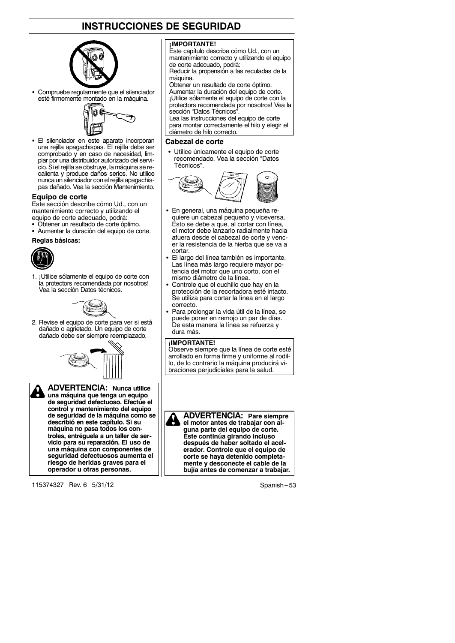

Compruebe regularmente que el silenciador esté firmemente montado en la máquina.



• El silenciador en este aparato incorporan una rejilla apagachispas. El rejilla debe ser comprobado y en caso de necesidad, limpiar por una distribuidor autorizado del servicio. Si el rejilla se obstruye, la máquina se recalienta y produce daños serios. No utilice nunca un silenciador con el rejilla apagachispas dañado. Vea la sección Mantenimiento.

#### **Equipo de corte**

Este sección describe cómo Ud., con un mantenimiento correcto y utilizando el equipo de corte adecuado, podrá:

- Obtener un resultado de corte óptimo.
- Aumentar la duración del equipo de corte.

**Reglas básicas:**



1. ¡Utilice sólamente el equipo de corte con la protectors recomendada por nosotros! Vea la sección Datos técnicos.



2. Revise el equipo de corte para ver si está dañado o agrietado. Un equipo de corte dañado debe ser siempre reemplazado.





**ADVERTENCIA: Nunca utilice una máquina que tenga un equipo de seguridad defectuoso. Efectúe el control y mantenimiento del equipo de seguridad de la máquina como se describió en este capítulo. Si su máquina no pasa todos los controles, entréguela a un taller de servicio para su reparación. El uso de una máquina con componentes de seguridad defectuosos aumenta el riesgo de heridas graves para el operador u otras personas.**

115374327 Rev. 6 5/31/12 Spanish -- 53

#### **¡IMPORTANTE!**

Este capítulo describe cómo Ud., con un mantenimiento correcto y utilizando el equipo de corte adecuado, podrá: Reducir la propensión a las reculadas de la

máquina.

Obtener un resultado de corte óptimo. Aumentar la duración del equipo de corte. ¡Utilice sólamente el equipo de corte con la protectors recomendada por nosotros! Vea la sección "Datos Técnicos".

Lea las instrucciones del equipo de corte para montar correctamente el hilo y elegir el diámetro de hilo correcto.

#### **Cabezal de corte**

· Utilice únicamente el equipo de corte recomendado. Vea la sección "Datos Técnicos".



- En general, una máquina pequeña requiere un cabezal pequeño y viceversa. Esto se debe a que, al cortar con línea, el motor debe lanzarlo radialmente hacia afuera desde el cabezal de corte y vencer la resistencia de la hierba que se va a cortar.
- El largo del línea también es importante. Las línea más largo requiere mayor potencia del motor que uno corto, con el mismo diámetro de la línea.
- Controle que el cuchillo que hay en la protección de la recortadora esté intacto. Se utiliza para cortar la línea en el largo correcto.
- Para prolongar la vida útil de la línea, se puede poner en remojo un par de días. De esta manera la línea se refuerza y dura más.

#### **¡IMPORTANTE!**

Observe siempre que la línea de corte esté arrollado en forma firme y uniforme al rodillo, de lo contrario la máquina producirá vibraciones perjudiciales para la salud.

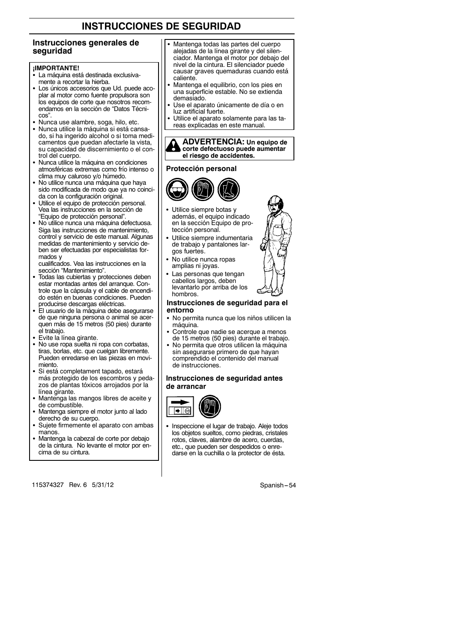#### **Instrucciones generales de seguridad**

#### **¡IMPORTANTE!**

- La máquina está destinada exclusivamente a recortar la hierba.
- Los únicos accesorios que Ud. puede acoplar al motor como fuente propulsora son los equipos de corte que nosotros recomendamos en la sección de "Datos Técnicos".
- Nunca use alambre, soga, hilo, etc.
- Nunca utilice la máquina si está cansado, si ha ingerido alcohol o si toma medicamentos que puedan afectarle la vista, su capacidad de discernimiento o el control del cuerpo.
- Nunca utilice la máquina en condiciones atmosféricas extremas como frío intenso o clima muy caluroso y/o húmedo.
- No utilice nunca una máquina que haya sido modificada de modo que ya no coincida con la configuración original.
- Utilice el equipo de protección personal. Vea las instrucciones en la sección de "Equipo de protección personal".
- No utilice nunca una máquina defectuosa. Siga las instrucciones de mantenimiento, control y servicio de este manual. Algunas medidas de mantenimiento y servicio deben ser efectuadas por especialistas formados y

cualificados. Vea las instrucciones en la sección "Mantenimiento".

- Todas las cubiertas y protecciones deben estar montadas antes del arranque. Controle que la cápsula y el cable de encendido estén en buenas condiciones. Pueden producirse descargas eléctricas.
- El usuario de la máquina debe asegurarse de que ninguna persona o animal se acerquen más de 15 metros (50 pies) durante el trabajo.
- Evite la línea girante.
- No use ropa suelta ni ropa con corbatas, tiras, borlas, etc. que cuelgan libremente. Pueden enredarse en las piezas en movimiento.
- Si está completament tapado, estará más protegido de los escombros y pedazos de plantas tóxicos arrojados por la línea girante.
- Mantenga las mangos libres de aceite y de combustible.
- Mantenga siempre el motor junto al lado derecho de su cuerpo.
- Sujete firmemente el aparato con ambas manos.
- Mantenga la cabezal de corte por debajo de la cintura. No levante el motor por encima de su cintura.
- 115374327 Rev. 6 5/31/12 Spanish -- 54
- Mantenga todas las partes del cuerpo alejadas de la línea girante y del silenciador. Mantenga el motor por debajo del nivel de la cintura. El silenciador puede causar graves quemaduras cuando está caliente.
- Mantenga el equilibrio, con los pies en una superficie estable. No se extienda demasiado.
- Use el aparato únicamente de día o en luz artificial fuerte.
- Utilice el aparato solamente para las tareas explicadas en este manual.



#### **Protección personal**



- Utilice siempre botas y además, el equipo indicado en la sección Equipo de protección personal.
- Utilice siempre indumentaria de trabajo y pantalones largos fuertes.
- No utilice nunca ropas amplias ni joyas.
- Las personas que tengan cabellos largos, deben levantarlo por arriba de los hombros.

#### **Instrucciones de seguridad para el entorno**

- No permita nunca que los niños utilicen la máquina.
- Controle que nadie se acerque a menos de 15 metros (50 pies) durante el trabajo.
- No permita que otros utilicen la máquina sin asegurarse primero de que hayan comprendido el contenido del manual de instrucciones.

#### **Instrucciones de seguridad antes de arrancar**



Inspeccione el lugar de trabajo. Aleje todos los objetos sueltos, como piedras, cristales rotos, claves, alambre de acero, cuerdas, etc., que pueden ser despedidos o enredarse en la cuchilla o la protector de ésta.

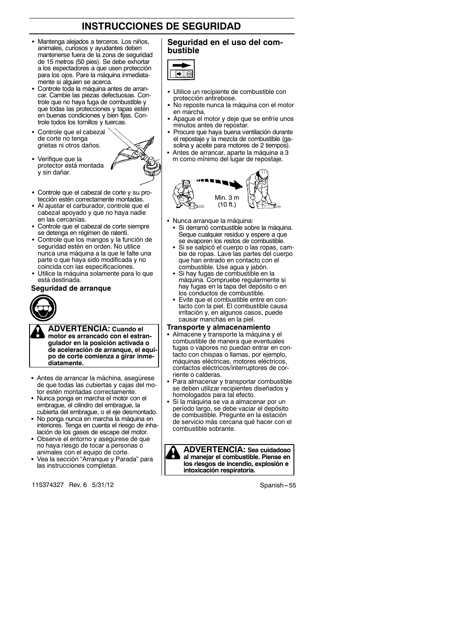- · Mantenga alejados a terceros. Los niños, animales, curiosos y ayudantes deben mantenerse fuera de la zona de seguridad de 15 metros (50 pies). Se debe exhortar a los espectadores a que usen protección para los ojos. Pare la máquina inmediatamente si alguien se acerca.
- Controle toda la máquina antes de arrancar. Cambie las piezas defectuosas. Controle que no haya fuga de combustible y que todas las protecciones y tapas estén en buenas condiciones y bien fijas. Controle todos los tornillos y tuercas.
- Controle que el cabezal de corte no tenga grietas ni otros daños.
- Verifique que la protector está montada y sin dañar.



- Controle que el cabezal de corte y su protección estén correctamente montadas.
- Al ajustar el carburador, controle que el cabezal apoyado y que no haya nadie en las cercanías.
- Controle que el cabezal de corte siempre se detenga en régimen de ralentí.
- Controle que los mangos y la función de seguridad estén en orden. No utilice nunca una máquina a la que le falte una parte o que haya sido modificada y no coincida con las especificaciones.
- Utilice la máquina solamente para lo que está destinada.

#### **Seguridad de arranque**



**ADVERTENCIA: Cuando el motor es arrancado con el estrangulador en la posición activada o de aceleración de arranque, el equipo de corte comienza a girar inmediatamente.**

- Antes de arrancar la máchina, asegúrese de que todas las cubiertas y cajas del motor estén montadas correctamente.
- Nunca ponga en marcha el motor con el embrague, el cilindro del embrague, la cubierta del embrague, o el eje desmontado.
- No ponga nunca en marcha la máquina en interiores. Tenga en cuenta el riesgo de inhalación de los gases de escape del motor.
- Observe el entorno y asegúrese de que no haya riesgo de tocar a personas o animales con el equipo de corte.
- Vea la sección "Arranque y Parada" para las instrucciones completas.

115374327 Rev. 6 5/31/12 Spanish -- 55

#### **Seguridad en el uso del combustible**



- Utilice un recipiente de combustible con protección antirebose.
- No reposte nunca la máquina con el motor en marcha.
- Apague el motor y deje que se enfríe unos minutos antes de repostar.
- Procure que haya buena ventilación durante el repostaje y la mezcla de combustible (gasolina y aceite para motores de 2 tiempos).
- Antes de arrancar, aparte la máquina a 3 m como mínimo del lugar de repostaje.



- Nunca arranque la máquina:
- Si derramó combustible sobre la máquina. Seque cualquier residuo y espere a que se evaporen los restos de combustible.
- Si se salpicó el cuerpo o las ropas, cambie de ropas. Lave las partes del cuerpo que han entrado en contacto con el combustible. Use agua y jabón.
- Si hay fugas de combustible en la máquina. Compruebe regularmente si hay fugas en la tapa del depósito o en los conductos de combustible.
- Evite que el combustible entre en contacto con la piel. El combustible causa irritación y, en algunos casos, puede causar manchas en la piel.

#### **Transporte y almacenamiento**

- Almacene y transporte la máquina y el combustible de manera que eventuales fugas o vapores no puedan entrar en contacto con chispas o llamas, por ejemplo, máquinas eléctricas, motores eléctricos, contactos eléctricos/interruptores de corriente o calderas.
- Para almacenar y transportar combustible se deben utilizar recipientes diseñados y homologados para tal efecto.
- Si la máquina se va a almacenar por un período largo, se debe vaciar el depósito de combustible. Pregunte en la estación de servicio más cercana qué hacer con el combustible sobrante.

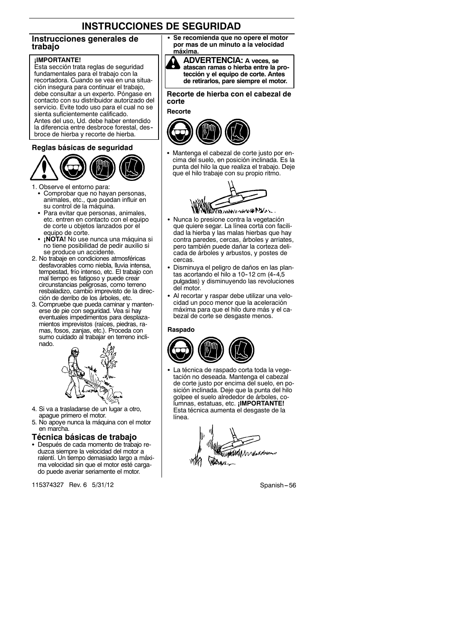#### **Instrucciones generales de trabajo**

#### **¡IMPORTANTE!**

Esta sección trata reglas de seguridad fundamentales para el trabajo con la recortadora. Cuando se vea en una situación insegura para continuar el trabajo, debe consultar a un experto. Póngase en contacto con su distribuidor autorizado del servicio. Evite todo uso para el cual no se sienta suficientemente calificado. Antes del uso, Ud. debe haber entendido la diferencia entre desbroce forestal, des- broce de hierba y recorte de hierba.

#### **Reglas básicas de seguridad**



1. Observe el entorno para:

- Comprobar que no hayan personas, animales, etc., que puedan influir en su control de la máquina.
- Para evitar que personas, animales, etc. entren en contacto con el equipo de corte u objetos lanzados por el equipo de corte.
- **¡NOTA!** No use nunca una máquina si no tiene posibilidad de pedir auxilio si se produce un accidente.
- 2. No trabaje en condiciones atmosféricas desfavorables como niebla, lluvia intensa, tempestad, frío intenso, etc. El trabajo con mal tiempo es fatigoso y puede crear circunstancias peligrosas, como terreno resbaladizo, cambio imprevisto de la dirección de derribo de los árboles, etc.
- 3. Compruebe que pueda caminar y mantenerse de pie con seguridad. Vea si hay eventuales impedimentos para desplazamientos imprevistos (raíces, piedras, ramas, fosos, zanjas, etc.). Proceda con sumo cuidado al trabajar en terreno inclinado.



- 4. Si va a trasladarse de un lugar a otro, apague primero el motor.
- 5. No apoye nunca la máquina con el motor en marcha.

#### **Técnica básicas de trabajo**

• Después de cada momento de trabajo reduzca siempre la velocidad del motor a ralentí. Un tiempo demasiado largo a máxima velocidad sin que el motor esté cargado puede averiar seriamente el motor.

115374327 Rev. 6 5/31/12 Spanish --- 56

Se recomienda que no opere el motor **por mas de un minuto a la velocidad máxima.**



**atascan ramas o hierba entre la protección y el equipo de corte. Antes de retirarlos, pare siempre el motor.**

**Recorte de hierba con el cabezal de corte**

#### **Recorte**



Mantenga el cabezal de corte justo por encima del suelo, en posición inclinada. Es la punta del hilo la que realiza el trabajo. Deje que el hilo trabaje con su propio ritmo.



MOUNTAIN YANG PULLE

- Nunca lo presione contra la vegetación que quiere segar. La línea corta con facilidad la hierba y las malas hierbas que hay contra paredes, cercas, árboles y arriates, pero también puede dañar la corteza delicada de árboles y arbustos, y postes de cercas.
- · Disminuya el peligro de daños en las plantas acortando el hilo a 10-12 cm (4-4,5 pulgadas) y disminuyendo las revoluciones del motor.
- Al recortar y raspar debe utilizar una velocidad un poco menor que la aceleración máxima para que el hilo dure más y el cabezal de corte se desgaste menos.

#### **Raspado**



La técnica de raspado corta toda la vegetación no deseada. Mantenga el cabezal de corte justo por encima del suelo, en posición inclinada. Deje que la punta del hilo golpee el suelo alrededor de árboles, columnas, estatuas, etc. **¡IMPORTANTE!** Esta técnica aumenta el desgaste de la línea.

Alanda salandan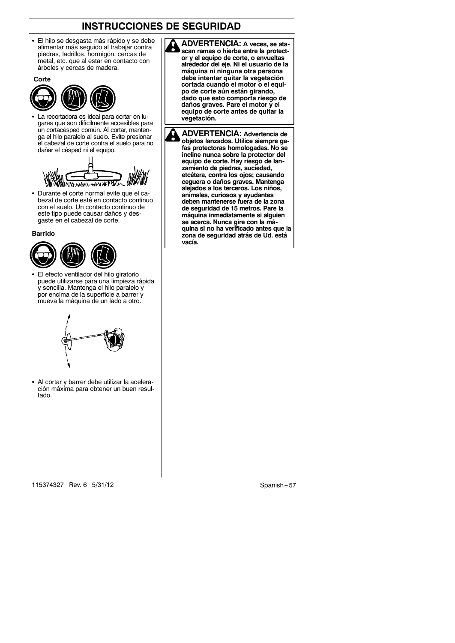El hilo se desgasta más rápido y se debe alimentar más seguido al trabajar contra piedras, ladrillos, hormigón, cercas de metal, etc. que al estar en contacto con árboles y cercas de madera.

**Corte**



La recortadora es ideal para cortar en lugares que son difícilmente accesibles para un cortacésped común. Al cortar, mantenga el hilo paralelo al suelo. Evite presionar el cabezal de corte contra el suelo para no dañar el césped ni el equipo.



• Durante el corte normal evite que el cabezal de corte esté en contacto continuo con el suelo. Un contacto continuo de este tipo puede causar daños y desgaste en el cabezal de corte.

**Barrido**



El efecto ventilador del hilo giratorio puede utilizarse para una limpieza rápida y sencilla. Mantenga el hilo paralelo y por encima de la superficie a barrer y mueva la máquina de un lado a otro.



• Al cortar y barrer debe utilizar la aceleración máxima para obtener un buen resultado.

**ADVERTENCIA: A veces, se ata**scan ramas o hierba entre la protect**or y el equipo de corte, o envueltas alrededor del eje. Ni el usuario de la máquina ni ninguna otra persona debe intentar quitar la vegetación cortada cuando el motor o el equipo de corte aún están girando, dado que esto comporta riesgo de daños graves. Pare el motor y el equipo de corte antes de quitar la vegetación.**

**ADVERTENCIA: Advertencia de** М **objetos lanzados. Utilice siempre gafas protectoras homologadas. No se incline nunca sobre la protector del equipo de corte. Hay riesgo de lanzamiento de piedras, suciedad, etcétera, contra los ojos; causando ceguera o daños graves. Mantenga alejados a los terceros. Los niños, animales, curiosos y ayudantes deben mantenerse fuera de la zona de seguridad de 15 metros. Pare la máquina inmediatamente si alguien se acerca. Nunca gire con la máquina si no ha verificado antes que la zona de seguridad atrás de Ud. está vacía.**

115374327 Rev. 6 5/31/12 Spanish -- 57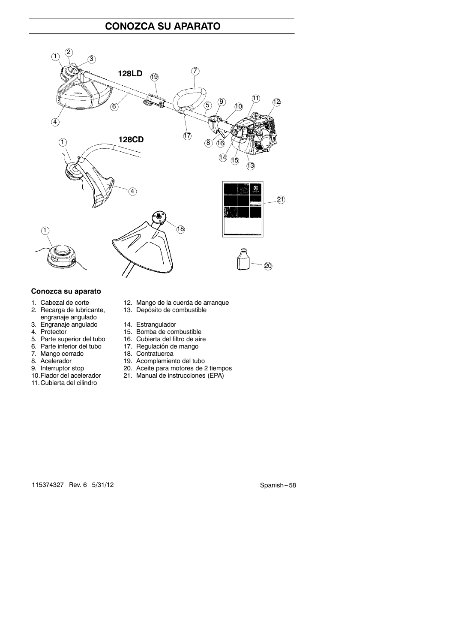# **CONOZCA SU APARATO**



#### **Conozca su aparato**

- 
- engranaje angulado
- 3. Engranaje angulado<br>4. Protector
- 
- 5. Parte superior del tubo 16. Cubierta del filtro de aire
- 
- 
- 
- 
- 
- 11.Cubierta del cilindro
- 1. Cabezal de corte 12. Mango de la cuerda de arranque
- 2. Recarga de lubricante, 13. Depósito de combustible
	-
	-
- 4. Estrangulado 14. Estrangulador<br>
4. Protector 15. Bomba de combustible<br>
5. Parte superior del tubo 16. Cubierta del filtro de air
- 6. Parte inferior del tubo 17. Regulación de mango
- 7. Mango cerrado 18. Contratuerca
	-
- 8. Acelerador 19. Acomplamiento del tubo<br>
9. Interruptor stop 20. Aceite para motores de 2 9. Interruptor stop 20. Aceite para motores de 2 tiempos<br>10. Fiador del acelerador 21. Manual de instrucciones (EPA)
	- 21. Manual de instrucciones (EPA)

115374327 Rev. 6 5/31/12 Spanish -- 58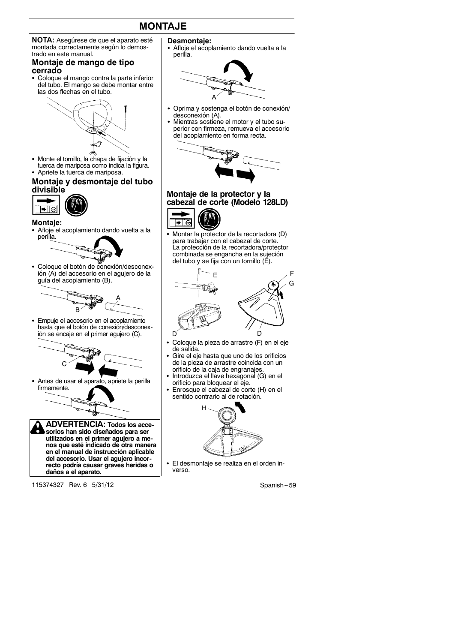# **MONTAJE**

**NOTA:** Asegúrese de que el aparato esté montada correctamente según lo demostrado en este manual.

#### **Montaje de mango de tipo cerrado**

• Coloque el mango contra la parte inferior del tubo. El mango se debe montar entre las dos flechas en el tubo.



• Monte el tornillo, la chapa de fijación y la tuerca de mariposa como indica la figura. • Apriete la tuerca de mariposa.

#### **Montaje y desmontaje del tubo divisible**



#### **Montaje:**

• Afloje el acoplamiento dando vuelta a la perilla.



• Coloque el botón de conexión/desconexión (A) del accesorio en el agujero de la guía del acoplamiento (B).



• Empuje el accesorio en el acoplamiento hasta que el botón de conexión/desconexión se encaje en el primer agujero (C).



Antes de usar el aparato, apriete la perilla firmemente.



**recto podría causar graves heridas o daños a el aparato.**

115374327 Rev. 6 5/31/12 Spanish --- 59 Spanish -- 59 Spanish -- 59 Spanish -- 59

#### **Desmontaje:**

Afloje el acoplamiento dando vuelta a la perilla.



- Oprima y sostenga el botón de conexión/ desconexión (A).
- Mientras sostiene el motor y el tubo superior con firmeza, remueva el accesorio del acoplamiento en forma recta.



# **Montaje de la protector y la cabezal de corte (Modelo 128LD)**



Montar la protector de la recortadora (D) para trabajar con el cabezal de corte. La protección de la recortadora/protector combinada se engancha en la sujeción del tubo y se fija con un tornillo (E).



- Coloque la pieza de arrastre (F) en el eje de salida.
- Gire el eje hasta que uno de los orificios de la pieza de arrastre coincida con un orificio de la caja de engranajes.
- Introduzca el llave hexagonal (G) en el orificio para bloquear el eje.
- Enrosque el cabezal de corte (H) en el sentido contrario al de rotación.



El desmontaje se realiza en el orden inverso.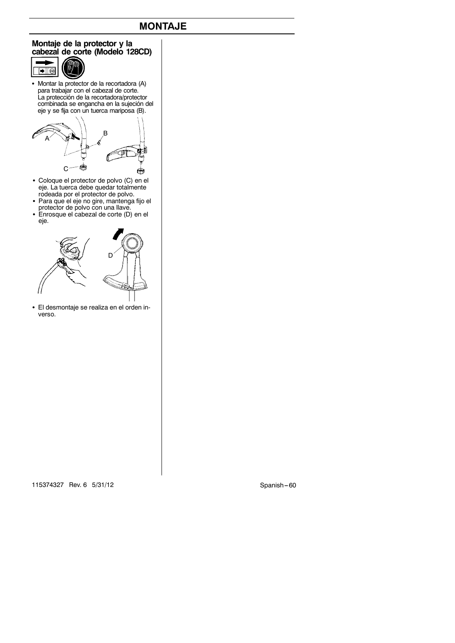# **MONTAJE**

#### **Montaje de la protector y la cabezal de corte (Modelo 128CD)**



• Montar la protector de la recortadora (A) para trabajar con el cabezal de corte. La protección de la recortadora/protector combinada se engancha en la sujeción del eje y se fija con un tuerca mariposa (B).



- S Coloque el protector de polvo (C) en el eje. La tuerca debe quedar totalmente rodeada por el protector de polvo.
- · Para que el eje no gire, mantenga fijo el protector de polvo con una llave. S Enrosque el cabezal de corte (D) en el
- eje.



• El desmontaje se realiza en el orden inverso.

115374327 Rev. 6 5/31/12 Spanish -- 60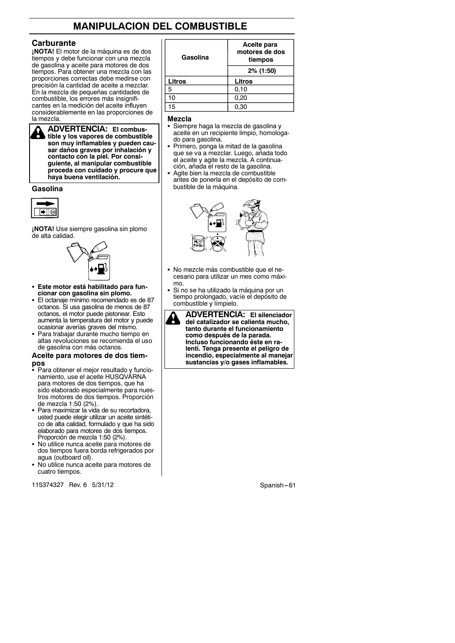# **MANIPULACION DEL COMBUSTIBLE**

#### **Carburante**

**¡NOTA!** El motor de la máquina es de dos tiempos y debe funcionar con una mezcla de gasolina y aceite para motores de dos tiempos. Para obtener una mezcla con las proporciones correctas debe medirse con precisión la cantidad de aceite a mezclar. En la mezcla de pequeñas cantidades de combustible, los errores más insignificantes en la medición del aceite influyen considerablemente en las proporciones de la mezcla.

**ADVERTENCIA: El combustible y los vapores de combustible son muy inflamables y pueden causar daños graves por inhalación y contacto con la piel. Por consiguiente, al manipular combustible proceda con cuidado y procure que haya buena ventilación.**

#### **Gasolina**



**¡NOTA!** Use siempre gasolina sin plomo de alta calidad.



- **Este motor está habilitado para funcionar con gasolina sin plomo.**
- · El octanaje mínimo recomendado es de 87 octanos. Si usa gasolina de menos de 87 octanos, el motor puede pistonear. Esto aumenta la temperatura del motor y puede ocasionar averías graves del mismo.
- Para trabajar durante mucho tiempo en altas revoluciones se recomienda el uso de gasolina con más octanos.

#### **Aceite para motores de dos tiempos**

- Para obtener el mejor resultado y funcionamiento, use el aceite HUSQVÁRNA para motores de dos tiempos, que ha sido elaborado especialmente para nuestros motores de dos tiempos. Proporción de mezcla 1:50 (2%).
- Para maximizar la vida de su recortadora, usted puede elegir utilizar un aceite sintético de alta calidad, formulado y que ha sido elaborado para motores de dos tiempos. Proporción de mezcla 1:50 (2%).
- No utilice nunca aceite para motores de dos tiempos fuera borda refrigerados por agua (outboard oil).
- No utilice nunca aceite para motores de cuatro tiempos.

115374327 Rev. 6 5/31/12 Spanish -- 61

| Gasolina | Aceite para<br>motores de dos<br>tiempos |
|----------|------------------------------------------|
|          | 2% (1:50)                                |
| Litros   | Litros                                   |
| 5        | 0.10                                     |
| 10       | 0,20                                     |
| 15       | 0.30                                     |

#### **Mezcla**

- Siempre haga la mezcla de gasolina y aceite en un recipiente limpio, homologado para gasolina.
- Primero, ponga la mitad de la gasolina que se va a mezclar. Luego, añada todo el aceite y agite la mezcla. A continuación, añada el resto de la gasolina.
- Agite bien la mezcla de combustible antes de ponerla en el depósito de combustible de la máquina.



- No mezcle más combustible que el necesario para utilizar un mes como máximo.
- Si no se ha utilizado la máquina por un tiempo prolongado, vacíe el depósito de combustible y límpielo.
- **ADVERTENCIA: El silenciador del catalizador se calienta mucho, tanto durante el funcionamiento como después de la parada. Incluso funcionando éste en ralentí. Tenga presente el peligro de incendio, especialmente al manejar sustancias y/o gases inflamables.**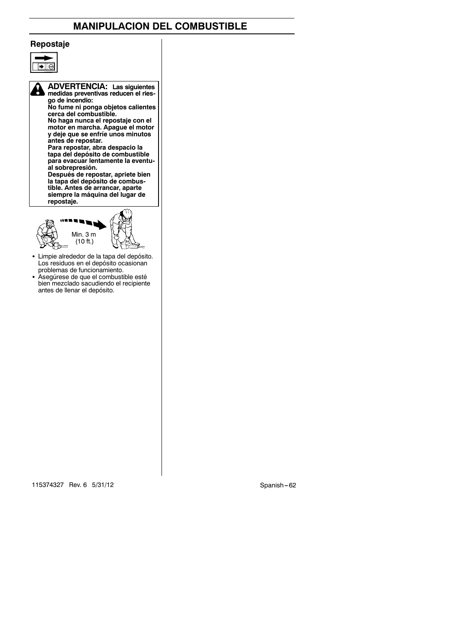# **MANIPULACION DEL COMBUSTIBLE**

#### **Repostaje**



**ADVERTENCIA: Las siguientes medidas preventivas reducen el riesgo de incendio:**

**No fume ni ponga objetos calientes cerca del combustible. No haga nunca el repostaje con el motor en marcha. Apague el motor y deje que se enfríe unos minutos antes de repostar.**

**Para repostar, abra despacio la tapa del depósito de combustible para evacuar lentamente la eventual sobrepresión. Después de repostar, apriete bien la tapa del depósito de combus-**

**tible. Antes de arrancar, aparte siempre la máquina del lugar de repostaje.**



• Limpie alrededor de la tapa del depósito. Los residuos en el depósito ocasionan problemas de funcionamiento. S Asegúrese de que el combustible esté

bien mezclado sacudiendo el recipiente antes de llenar el depósito.

115374327 Rev. 6 5/31/12 Spanish -- 62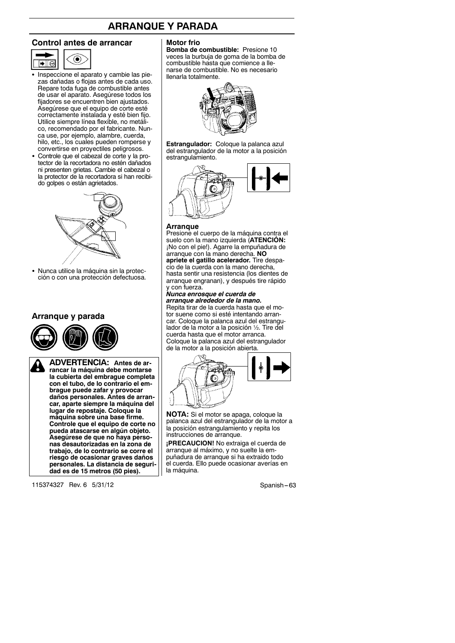# **ARRANQUE Y PARADA**

#### **Control antes de arrancar**



- Inspeccione el aparato y cambie las piezas dañadas o flojas antes de cada uso. Repare toda fuga de combustible antes de usar el aparato. Asegúrese todos los fijadores se encuentren bien ajustados. Asegúrese que el equipo de corte esté correctamente instalada y esté bien fijo. Utilice siempre línea flexible, no metálico, recomendado por el fabricante. Nunca use, por ejemplo, alambre, cuerda, hilo, etc., los cuales pueden romperse y convertirse en proyectiles peligrosos.
- Controle que el cabezal de corte y la protector de la recortadora no estén dañados ni presenten grietas. Cambie el cabezal o la protector de la recortadora si han recibido golpes o están agrietados.



• Nunca utilice la máquina sin la protección o con una protección defectuosa.

#### **Arranque y parada**



**ADVERTENCIA: Antes de arrancar la máquina debe montarse la cubierta del embrague completa con el tubo, de lo contrario el embrague puede zafar y provocar daños personales. Antes de arrancar, aparte siempre la máquina del lugar de repostaje. Coloque la máquina sobre una base firme. Controle que el equipo de corte no pueda atascarse en algún objeto. Asegúrese de que no haya personas desautorizadas en la zona de trabajo, de lo contrario se corre el riesgo de ocasionar graves daños personales. La distancia de seguridad es de 15 metros (50 pies).**

115374327 Rev. 6 5/31/12 Spanish -- 63

#### **Motor frio**

**Bomba de combustible:** Presione 10 veces la burbuja de goma de la bomba de combustible hasta que comience a llenarse de combustible. No es necesario llenarla totalmente.



**Estrangulador:** Coloque la palanca azul del estrangulador de la motor a la posición estrangulamiento.



#### **Arranque**

Presione el cuerpo de la máquina contra el suelo con la mano izquierda (**ATENCIÓN:** ¡No con el pie!). Agarre la empuñadura de arranque con la mano derecha. **NO apriete el gatillo acelerador.** Tire despacio de la cuerda con la mano derecha, hasta sentir una resistencia (los dientes de arranque engranan), y después tire rápido

# y con fuerza. *Nunca enrosque el cuerda de arranque alrededor de la mano.*

Repita tirar de la cuerda hasta que el motor suene como si esté intentando arrancar. Coloque la palanca azul del estrangulador de la motor a la posición ½. Tire del cuerda hasta que el motor arranca. Coloque la palanca azul del estrangulador de la motor a la posición abierta.



**NOTA:** Si el motor se apaga, coloque la palanca azul del estrangulador de la motor a la posición estrangulamiento y repita los instrucciones de arranque.

**¡PRECAUCION!** No extraiga el cuerda de arranque al máximo, y no suelte la empuñadura de arranque si ha extraido todo el cuerda. Ello puede ocasionar averías en la máquina.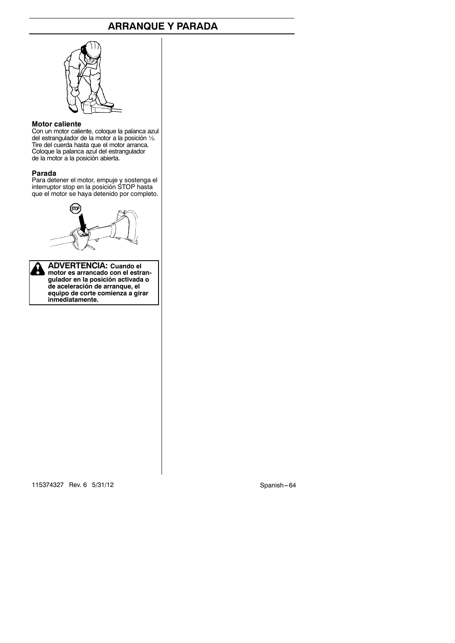# **ARRANQUE Y PARADA**



#### **Motor caliente**

Con un motor caliente, coloque la palanca azul del estrangulador de la motor a la posición ½. Tire del cuerda hasta que el motor arranca. Coloque la palanca azul del estrangulador de la motor a la posición abierta.

#### **Parada**

Para detener el motor, empuje y sostenga el interruptor stop en la posición STOP hasta que el motor se haya detenido por completo.



**ADVERTENCIA: Cuando el motor es arrancado con el estran-gulador en la posición activada o de aceleración de arranque, el equipo de corte comienza a girar inmediatamente.**

115374327 Rev. 6 5/31/12 Spanish -- 64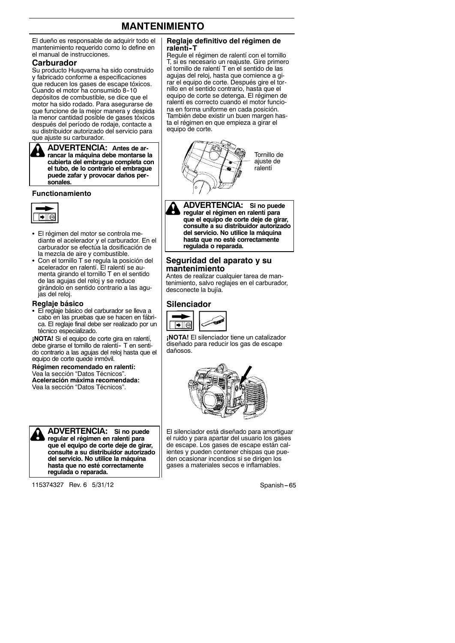# **MANTENIMIENTO**

El dueño es responsable de adquirir todo el mantenimiento requerido como lo define en el manual de instrucciones.

#### **Carburador**

Su producto Husqvarna ha sido construido y fabricado conforme a especificaciones que reducen los gases de escape tóxicos. Cuando el motor ha consumido 8--10 depósitos de combustible, se dice que el motor ha sido rodado. Para asegurarse de que funcione de la mejor manera y despida la menor cantidad posible de gases tóxicos después del período de rodaje, contacte a su distribuidor autorizado del servicio para que ajuste su carburador.

**ADVERTENCIA: Antes de arrancar la máquina debe montarse la cubierta del embrague completa con el tubo, de lo contrario el embrague puede zafar y provocar daños personales.**

#### **Functionamiento**



- El régimen del motor se controla mediante el acelerador y el carburador. En el carburador se efectúa la dosificación de la mezcla de aire y combustible.
- Con el tornillo T se regula la posición del acelerador en ralentí. El ralentí se aumenta girando el tornillo T en el sentido de las agujas del reloj y se reduce girándolo en sentido contrario a las agujas del reloj.

#### **Reglaje básico**

· El reglaje básico del carburador se lleva a cabo en las pruebas que se hacen en fábrica. El reglaje final debe ser realizado por un técnico especializado.

**¡NOTA!** Si el equipo de corte gira en ralentí, debe girarse el tornillo de ralentí- T en sentido contrario a las agujas del reloj hasta que el equipo de corte quede inmóvil.

**Régimen recomendado en ralentí:** Vea la sección "Datos Técnicos". **Aceleración máxima recomendada:** Vea la sección "Datos Técnicos".



**ADVERTENCIA: Si no puede regular el régimen en ralentí para que el equipo de corte deje de girar, consulte a su distribuidor autorizado del servicio. No utilice la máquina hasta que no esté correctamente regulada o reparada.**

115374327 Rev. 6 5/31/12 Spanish -- 65

#### **Reglaje definitivo del régimen de ralentí--T**

Regule el régimen de ralentí con el tornillo T, si es necesario un reajuste. Gire primero el tornillo de ralentí T en el sentido de las agujas del reloj, hasta que comience a girar el equipo de corte. Después gire el tornillo en el sentido contrario, hasta que el equipo de corte se detenga. El régimen de ralentí es correcto cuando el motor funciona en forma uniforme en cada posición. También debe existir un buen margen hasta el régimen en que empieza a girar el equipo de corte.



**ADVERTENCIA: Si no puede regular el régimen en ralentí para que el equipo de corte deje de girar, consulte a su distribuidor autorizado del servicio. No utilice la máquina hasta que no esté correctamente regulada o reparada.**

#### **Seguridad del aparato y su mantenimiento**

Antes de realizar cualquier tarea de mantenimiento, salvo reglajes en el carburador, desconecte la bujía.

#### **Silenciador**



**¡NOTA!** El silenciador tiene un catalizador diseñado para reducir los gas de escape dañosos.



El silenciador está diseñado para amortiguar el ruido y para apartar del usuario los gases de escape. Los gases de escape están calientes y pueden contener chispas que pueden ocasionar incendios si se dirigen los gases a materiales secos e inflamables.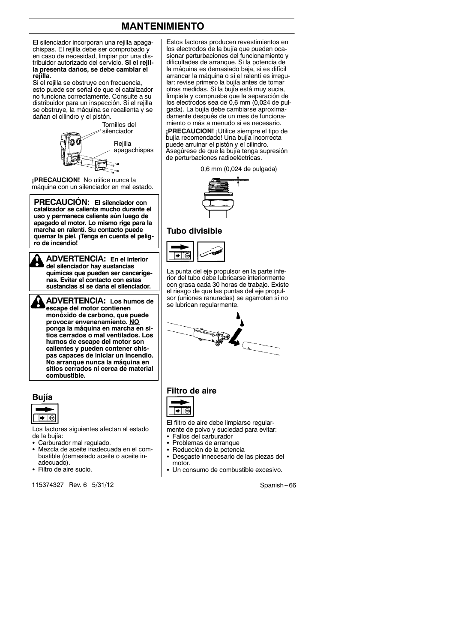# **MANTENIMIENTO**

El silenciador incorporan una rejilla apagachispas. El rejilla debe ser comprobado y en caso de necesidad, limpiar por una distribuidor autorizado del servicio. **Si el rejilla presenta daños, se debe cambiar el rejilla.**

Si el rejilla se obstruye con frecuencia, esto puede ser señal de que el catalizador no funciona correctamente. Consulte a su distribuidor para un inspección. Si el rejilla se obstruye, la máquina se recalienta y se dañan el cilindro y el pistón.



**¡PRECAUCION!** No utilice nunca la máquina con un silenciador en mal estado.

**PRECAUCIÓN: El silenciador con catalizador se calienta mucho durante el uso y permanece caliente aún luego de apagado el motor. Lo mismo rige para la marcha en ralentí. Su contacto puede quemar la piel. ¡Tenga en cuenta el peligro de incendio!**

**ADVERTENCIA: En el interior del silenciador hay sustancias químicas que pueden ser cancerígenas. Evitar el contacto con estas sustancias si se daña el silenciador.**

**ADVERTENCIA: Los humos de escape del motor contienen monóxido de carbono, que puede provocar envenenamiento. NO ponga la máquina en marcha en sitios cerrados o mal ventilados. Los humos de escape del motor son calientes y pueden contener chispas capaces de iniciar un incendio. No arranque nunca la máquina en sitios cerrados ni cerca de material combustible.**

#### **Bujía**



Los factores siguientes afectan al estado de la bujía:

- · Carburador mal regulado.
- Mezcla de aceite inadecuada en el combustible (demasiado aceite o aceite inadecuado).
- Filtro de aire sucio.

115374327 Rev. 6 5/31/12 Spanish --- 66

Estos factores producen revestimientos en los electrodos de la bujía que pueden ocasionar perturbaciones del funcionamiento y dificultades de arranque. Si la potencia de la máquina es demasiado baja, si es difícil arrancar la máquina o si el ralentí es irregular: revise primero la bujía antes de tomar otras medidas. Si la bujía está muy sucia, límpiela y compruebe que la separación de los electrodos sea de 0,6 mm (0,024 de pulgada). La bujía debe cambiarse aproximadamente después de un mes de funcionamiento o más a menudo si es necesario.

**¡PRECAUCION!** ¡Utilice siempre el tipo de bujía recomendado! Una bujía incorrecta puede arruinar el pistón y el cilindro. Asegúrese de que la bujía tenga supresión de perturbaciones radioeléctricas.





#### **Tubo divisible**



La punta del eje propulsor en la parte inferior del tubo debe lubricarse interiormente con grasa cada 30 horas de trabajo. Existe el riesgo de que las puntas del eje propulsor (uniones ranuradas) se agarroten si no se lubrican regularmente.



# **Filtro de aire**



El filtro de aire debe limpiarse regularmente de polvo y suciedad para evitar:

- Fallos del carburador
- Problemas de arranque
- · Reducción de la potencia
- Desgaste innecesario de las piezas del motor.
- Un consumo de combustible excesivo.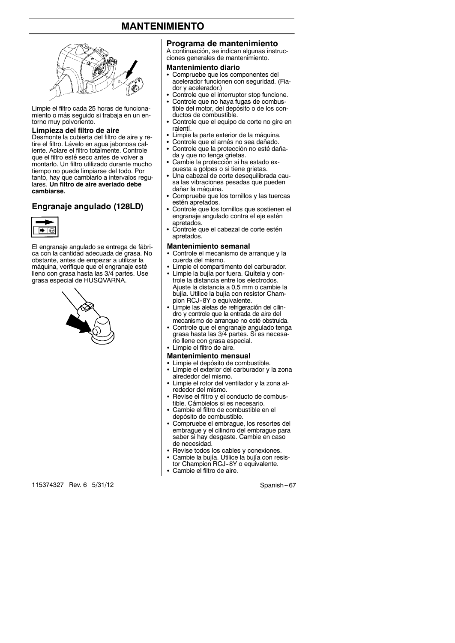# **MANTENIMIENTO**



Limpie el filtro cada 25 horas de funcionamiento o más seguido si trabaja en un entorno muy polvoriento.

#### **Limpieza del filtro de aire**

Desmonte la cubierta del filtro de aire y retire el filtro. Lávelo en agua jabonosa caliente. Aclare el filtro totalmente. Controle que el filtro esté seco antes de volver a montarlo. Un filtro utilizado durante mucho tiempo no puede limpiarse del todo. Por tanto, hay que cambiarlo a intervalos regulares. **Un filtro de aire averiado debe cambiarse.**

#### **Engranaje angulado (128LD)**



El engranaje angulado se entrega de fábrica con la cantidad adecuada de grasa. No obstante, antes de empezar a utilizar la máquina, verifique que el engranaje esté lleno con grasa hasta las 3/4 partes. Use grasa especial de HUSQVARNA.



115374327 Rev. 6 5/31/12 Spanish -- 67

#### **Programa de mantenimiento**

A continuación, se indican algunas instrucciones generales de mantenimiento.

#### **Mantenimiento diario**

- Compruebe que los componentes del acelerador funcionen con seguridad. (Fiador y acelerador.)
- Controle que el interruptor stop funcione.
- Controle que no haya fugas de combustible del motor, del depósito o de los conductos de combustible.
- Controle que el equipo de corte no gire en ralentí.
- Limpie la parte exterior de la máquina.
- Controle que el arnés no sea dañado. Controle que la protección no esté daña-
- da y que no tenga grietas.
- Cambie la protección si ha estado expuesta a golpes o si tiene grietas.
- Una cabezal de corte desequilibrada causa las vibraciones pesadas que pueden dañar la máquina.
- S Compruebe que los tornillos y las tuercas estén apretados.
- Controle que los tornillos que sostienen el engranaje angulado contra el eje estén apretados.
- Seprésiment : apretados.

#### **Mantenimiento semanal**

- Controle el mecanismo de arranque y la cuerda del mismo.
- Limpie el compartimento del carburador.
- Limpie la bujía por fuera. Quítela y controle la distancia entre los electrodos. Ajuste la distancia a 0,5 mm o cambie la bujía. Utilice la bujía con resistor Cham-
- pion RCJ-8Y o equivalente.<br>• Limpie las aletas de refrigeración del cilindro y controle que la entrada de aire del mecanismo de arranque no esté obstruida.
- Controle que el engranaje angulado tenga grasa hasta las 3/4 partes. Si es necesario llene con grasa especial.
- Limpie el filtro de aire.
- **Mantenimiento mensual**
- Limpie el depósito de combustible.<br>• Limpie el exterior del carburador y Limpie el exterior del carburador y la zona
- alrededor del mismo.
- Limpie el rotor del ventilador y la zona alrededor del mismo.
- Revise el filtro y el conducto de combustible. Cámbielos si es necesario.
- Cambie el filtro de combustible en el depósito de combustible.
- Compruebe el embrague, los resortes del embrague y el cilindro del embrague para saber si hay desgaste. Cambie en caso de necesidad.
- 
- Revise todos los cables y conexiones.<br>• Cambie la bujía. Utilice la bujía con resistor Champion RCJ-8Y o equivalente.
- Cambie el filtro de aire.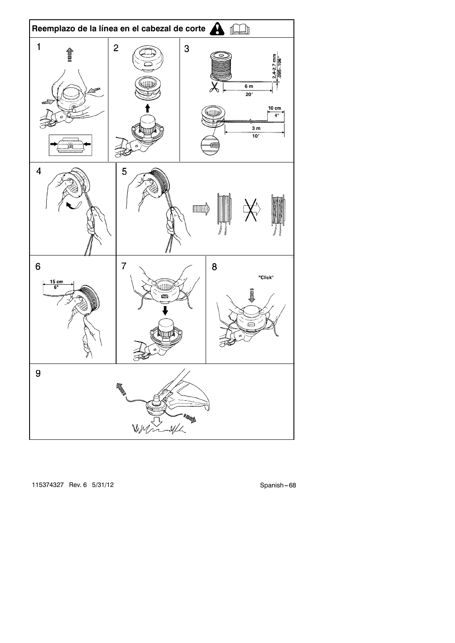

115374327 Rev. 6 5/31/12 Spanish -- 68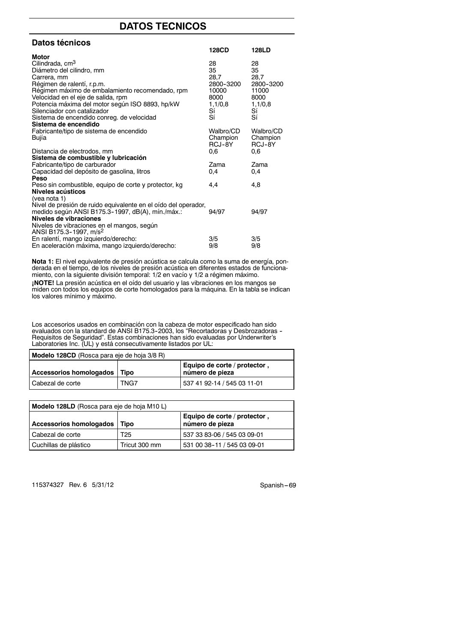# **DATOS TECNICOS**

| <b>Datos técnicos</b>                                                      |           |           |
|----------------------------------------------------------------------------|-----------|-----------|
|                                                                            | 128CD     | 128LD     |
| Motor<br>Cilindrada, cm <sup>3</sup>                                       | 28        | 28        |
| Diámetro del cilindro, mm                                                  | 35        | 35        |
| Carrera, mm                                                                | 28,7      | 28,7      |
| Régimen de ralentí, r.p.m.                                                 | 2800-3200 | 2800-3200 |
| Régimen máximo de embalamiento recomendado, rpm                            | 10000     | 11000     |
| Velocidad en el eje de salida, rpm                                         | 8000      | 8000      |
| Potencia máxima del motor según ISO 8893, hp/kW                            | 1,1/0,8   | 1,1/0,8   |
| Silenciador con catalizador                                                | Sí        | Sí        |
| Sistema de encendido conreg. de velocidad                                  | Sí        | Sí        |
| Sistema de encendido                                                       |           |           |
| Fabricante/tipo de sistema de encendido                                    | Walbro/CD | Walbro/CD |
| Bujía                                                                      | Champion  | Champion  |
|                                                                            | RCJ-8Y    | RCJ-8Y    |
| Distancia de electrodos, mm<br>Sistema de combustible y lubricación        | 0,6       | 0,6       |
| Fabricante/tipo de carburador                                              | Zama      | Zama      |
| Capacidad del depósito de gasolina, litros                                 | 0.4       | 0.4       |
| Peso                                                                       |           |           |
| Peso sin combustible, equipo de corte y protector, kg                      | 4,4       | 4,8       |
| Niveles acústicos                                                          |           |           |
| (vea nota 1)                                                               |           |           |
| Nivel de presión de ruido equivalente en el oído del operador,             |           |           |
| medido según ANSI B175.3-1997, dB(A), mín./máx.:                           | 94/97     | 94/97     |
| Niveles de vibraciones                                                     |           |           |
| Niveles de vibraciones en el mangos, según                                 |           |           |
| ANSI B175.3-1997, m/s <sup>2</sup><br>En ralentí, mango izquierdo/derecho: | 3/5       | 3/5       |
| En aceleración máxima, mango izquierdo/derecho:                            | 9/8       | 9/8       |
|                                                                            |           |           |

**Nota 1:** El nivel equivalente de presión acústica se calcula como la suma de energía, ponderada en el tiempo, de los niveles de presión acústica en diferentes estados de funciona-miento, con la siguiente división temporal: 1/2 en vacío y 1/2 a régimen máximo. **¡NOTE!** La presión acústica en el oído del usuario y las vibraciones en los mangos se miden con todos los equipos de corte homologados para la máquina. En la tabla se indican los valores mínimo y máximo.

Los accesorios usados en combinación con la cabeza de motor especificado han sido<br>evaluados con la standard de ANSI B175.3-2003, los "Recortadoras y Desbrozadoras -<br>Requisitos de Seguridad". Estas combinaciones han sido ev Laboratories Inc. (UL) y está consecutivamente listados por UL:

| Modelo 128CD (Rosca para eje de hoja 3/8 R) |      |                                                 |
|---------------------------------------------|------|-------------------------------------------------|
| Accessorios homologados   Tipo              |      | Equipo de corte / protector,<br>número de pieza |
| Cabezal de corte                            | TNG7 | 537 41 92-14 / 545 03 11-01                     |

| Modelo 128LD (Rosca para eje de hoja M10 L) |               |                                                 |
|---------------------------------------------|---------------|-------------------------------------------------|
| Accessorios homologados                     | Tipo          | Equipo de corte / protector,<br>número de pieza |
| l Cabezal de corte                          | T25           | 537 33 83-06 / 545 03 09-01                     |
| Cuchillas de plástico                       | Tricut 300 mm | 531 00 38-11 / 545 03 09-01                     |

115374327 Rev. 6 5/31/12 Spanish -- 69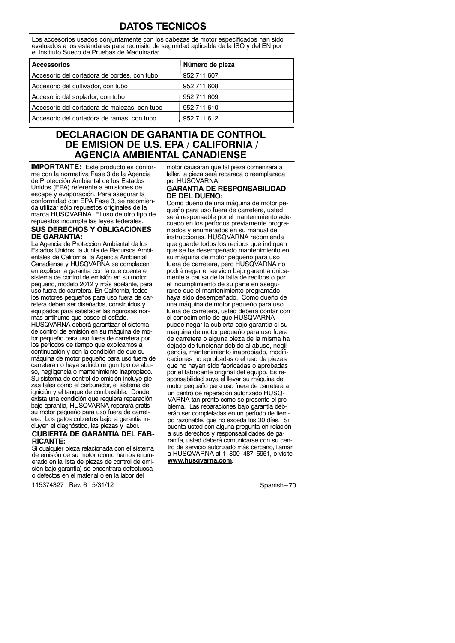# **DATOS TECNICOS**

Los accesorios usados conjuntamente con los cabezas de motor especificados han sido evaluados a los estándares para requisito de seguridad aplicable de la ISO y del EN por el Instituto Sueco de Pruebas de Maquinaria:

| <b>Accessorios</b>                           | Número de pieza |
|----------------------------------------------|-----------------|
| Accesorio del cortadora de bordes, con tubo  | 952 711 607     |
| Accesorio del cultivador, con tubo           | 952 711 608     |
| Accesorio del soplador, con tubo             | 952 711 609     |
| Accesorio del cortadora de malezas, con tubo | 952 711 610     |
| Accesorio del cortadora de ramas, con tubo   | 952 711 612     |

# **DECLARACION DE GARANTIA DE CONTROL DE EMISION DE U.S. EPA / CALIFORNIA / AGENCIA AMBIENTAL CANADIENSE**

**IMPORTANTE:** Este producto es conforme con la normativa Fase 3 de la Agencia de Protección Ambiental de los Estados Unidos (EPA) referente a emisiones de escape y evaporación. Para asegurar la conformidad con EPA Fase 3, se recomienda utilizar sólo repuestos originales de la marca HUSQVARNA. El uso de otro tipo de repuestos incumple las leyes federales. **SUS DERECHOS Y OBLIGACIONES DE GARANTIA:**

La Agencia de Protección Ambiental de los Estados Unidos, la Junta de Recursos Ambientales de California, la Agencia Ambiental Canadiense y HUSQVARNA se complacen en explicar la garantía con la que cuenta el sistema de control de emisión en su motor pequeño, modelo 2012 y más adelante, para uso fuera de carretera. En California, todos los motores pequeños para uso fuera de carretera deben ser diseñados, construídos y equipados para satisfacer las rigurosas normas antihumo que posee el estado. HUSQVARNA deberá garantizar el sistema de control de emisión en su máquina de motor pequeño para uso fuera de carretera por los períodos de tiempo que explicamos a continuación y con la condición de que su máquina de motor pequeño para uso fuera de carretera no haya sufrido ningún tipo de abuso, negligencia o mantenimiento inapropiado. Su sistema de control de emisión incluye piezas tales como el carburador, el sistema de ignición y el tanque de combustible. Donde exista una condición que requiera reparación bajo garantía, HUSQVARNA reparará gratis su motor pequeño para uso fuera de carretera. Los gatos cubiertos bajo la garantía incluyen el diagnóstico, las piezas y labor.

#### **CUBIERTA DE GARANTIA DEL FAB-RICANTE:**

Si cualquier pieza relacionada con el sistema de emisión de su motor (como hemos enumerado en la lista de piezas de control de emisión bajo garantía) se encontrara defectuosa o defectos en el material o en la labor del

115374327 Rev. 6 5/31/12 Spanish --- 70

motor causaran que tal pieza comenzara a fallar, la pieza será reparada o reemplazada por HUSQVARNA.

#### **GARANTIA DE RESPONSABILIDAD DE DEL DUENO:**

máquina de motor pequeño para uso fuera de carretera o alguna pieza de la misma ha dejado de funcionar debido al abuso, negligencia, mantenimiento inapropiado, modificaciones no aprobadas o el uso de piezas que no hayan sido fabricadas o aprobadas por el fabricante original del equipo. Es responsabilidad suya el llevar su máquina de motor pequeño para uso fuera de carretera a Como dueño de una máquina de motor pequeño para uso fuera de carretera, usted será responsable por el mantenimiento adecuado en los períodos previamente programados y enumerados en su manual de instrucciones. HUSQVARNA recomienda que guarde todos los recibos que indiquen que se ha desempeñado mantenimiento en su máquina de motor pequeño para uso fuera de carretera, pero HUSQVARNA no podrá negar el servicio bajo garantía únicamente a causa de la falta de recibos o por el incumplimiento de su parte en asegurarse que el mantenimiento programado haya sido desempeñado. Como dueño de una máquina de motor pequeño para uso fuera de carretera, usted deberá contar con el conocimiento de que HUSQVARNA puede negar la cubierta bajo garantía si su un centro de reparación autorizado HUSQ-VARNA tan pronto como se presente el problema. Las reparaciones bajo garantía deberán ser completadas en un período de tiempo razonable, que no exceda los 30 días. Si cuenta usted con alguna pregunta en relación a sus derechos y responsabilidades de garantía, usted deberá comunicarse con su centro de servicio autorizado más cercano, llamar a HUSQVARNA al 1-800-487-5951, o visite **www.husqvarna.com**.